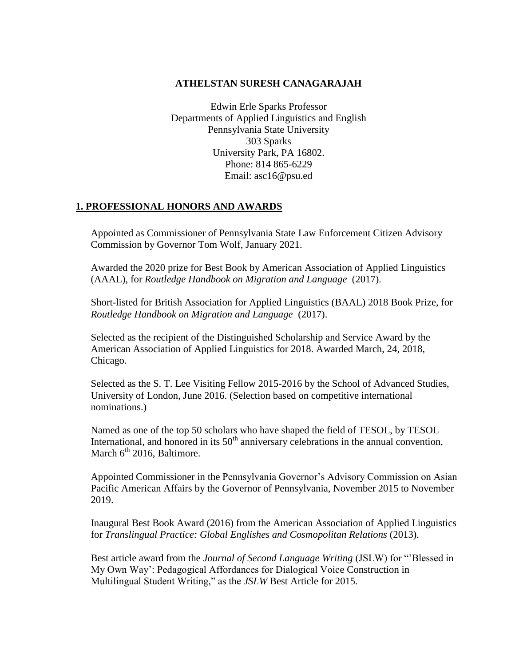#### **ATHELSTAN SURESH CANAGARAJAH**

Edwin Erle Sparks Professor Departments of Applied Linguistics and English Pennsylvania State University 303 Sparks University Park, PA 16802. Phone: 814 865-6229 Email: asc16@psu.ed

#### **1. PROFESSIONAL HONORS AND AWARDS**

Appointed as Commissioner of Pennsylvania State Law Enforcement Citizen Advisory Commission by Governor Tom Wolf, January 2021.

Awarded the 2020 prize for Best Book by American Association of Applied Linguistics (AAAL), for *Routledge Handbook on Migration and Language* (2017).

Short-listed for British Association for Applied Linguistics (BAAL) 2018 Book Prize, for *Routledge Handbook on Migration and Language* (2017).

Selected as the recipient of the Distinguished Scholarship and Service Award by the American Association of Applied Linguistics for 2018. Awarded March, 24, 2018, Chicago.

Selected as the S. T. Lee Visiting Fellow 2015-2016 by the School of Advanced Studies, University of London, June 2016. (Selection based on competitive international nominations.)

Named as one of the top 50 scholars who have shaped the field of TESOL, by TESOL International, and honored in its  $50<sup>th</sup>$  anniversary celebrations in the annual convention. March  $6<sup>th</sup>$  2016, Baltimore.

Appointed Commissioner in the Pennsylvania Governor's Advisory Commission on Asian Pacific American Affairs by the Governor of Pennsylvania, November 2015 to November 2019.

Inaugural Best Book Award (2016) from the American Association of Applied Linguistics for *Translingual Practice: Global Englishes and Cosmopolitan Relations* (2013).

Best article award from the *Journal of Second Language Writing* (JSLW) for "'Blessed in My Own Way': Pedagogical Affordances for Dialogical Voice Construction in Multilingual Student Writing," as the *JSLW* Best Article for 2015.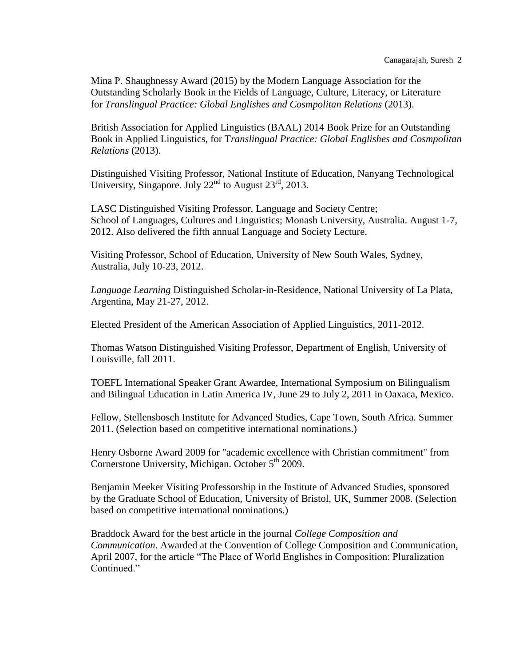Mina P. Shaughnessy Award (2015) by the Modern Language Association for the Outstanding Scholarly Book in the Fields of Language, Culture, Literacy, or Literature for *Translingual Practice: Global Englishes and Cosmpolitan Relations* (2013).

British Association for Applied Linguistics (BAAL) 2014 Book Prize for an Outstanding Book in Applied Linguistics, for T*ranslingual Practice: Global Englishes and Cosmpolitan Relations* (2013).

Distinguished Visiting Professor, National Institute of Education, Nanyang Technological University, Singapore. July  $22<sup>nd</sup>$  to August  $23<sup>rd</sup>$ , 2013.

LASC Distinguished Visiting Professor, Language and Society Centre; School of Languages, Cultures and Linguistics; Monash University, Australia. August 1-7, 2012. Also delivered the fifth annual Language and Society Lecture.

Visiting Professor, School of Education, University of New South Wales, Sydney, Australia, July 10-23, 2012.

*Language Learning* Distinguished Scholar-in-Residence, National University of La Plata, Argentina, May 21-27, 2012.

Elected President of the American Association of Applied Linguistics, 2011-2012.

Thomas Watson Distinguished Visiting Professor, Department of English, University of Louisville, fall 2011.

TOEFL International Speaker Grant Awardee, International Symposium on Bilingualism and Bilingual Education in Latin America IV, June 29 to July 2, 2011 in Oaxaca, Mexico.

Fellow, Stellensbosch Institute for Advanced Studies, Cape Town, South Africa. Summer 2011. (Selection based on competitive international nominations.)

Henry Osborne Award 2009 for "academic excellence with Christian commitment" from Cornerstone University, Michigan. October  $5<sup>th</sup>$  2009.

Benjamin Meeker Visiting Professorship in the Institute of Advanced Studies, sponsored by the Graduate School of Education, University of Bristol, UK, Summer 2008. (Selection based on competitive international nominations.)

Braddock Award for the best article in the journal *College Composition and Communication*. Awarded at the Convention of College Composition and Communication, April 2007, for the article "The Place of World Englishes in Composition: Pluralization Continued."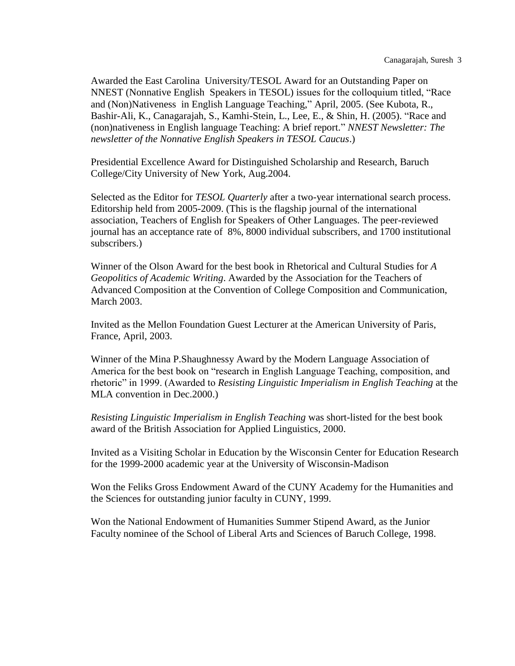Awarded the East Carolina University/TESOL Award for an Outstanding Paper on NNEST (Nonnative English Speakers in TESOL) issues for the colloquium titled, "Race and (Non)Nativeness in English Language Teaching," April, 2005. (See Kubota, R., Bashir-Ali, K., Canagarajah, S., Kamhi-Stein, L., Lee, E., & Shin, H. (2005). "Race and (non)nativeness in English language Teaching: A brief report." *NNEST Newsletter: The newsletter of the Nonnative English Speakers in TESOL Caucus*.)

Presidential Excellence Award for Distinguished Scholarship and Research, Baruch College/City University of New York, Aug.2004.

Selected as the Editor for *TESOL Quarterly* after a two-year international search process. Editorship held from 2005-2009. (This is the flagship journal of the international association, Teachers of English for Speakers of Other Languages. The peer-reviewed journal has an acceptance rate of 8%, 8000 individual subscribers, and 1700 institutional subscribers.)

Winner of the Olson Award for the best book in Rhetorical and Cultural Studies for *A Geopolitics of Academic Writing*. Awarded by the Association for the Teachers of Advanced Composition at the Convention of College Composition and Communication, March 2003.

Invited as the Mellon Foundation Guest Lecturer at the American University of Paris, France, April, 2003.

Winner of the Mina P.Shaughnessy Award by the Modern Language Association of America for the best book on "research in English Language Teaching, composition, and rhetoric" in 1999. (Awarded to *Resisting Linguistic Imperialism in English Teaching* at the MLA convention in Dec.2000.)

*Resisting Linguistic Imperialism in English Teaching* was short-listed for the best book award of the British Association for Applied Linguistics, 2000.

Invited as a Visiting Scholar in Education by the Wisconsin Center for Education Research for the 1999-2000 academic year at the University of Wisconsin-Madison

Won the Feliks Gross Endowment Award of the CUNY Academy for the Humanities and the Sciences for outstanding junior faculty in CUNY, 1999.

Won the National Endowment of Humanities Summer Stipend Award, as the Junior Faculty nominee of the School of Liberal Arts and Sciences of Baruch College, 1998.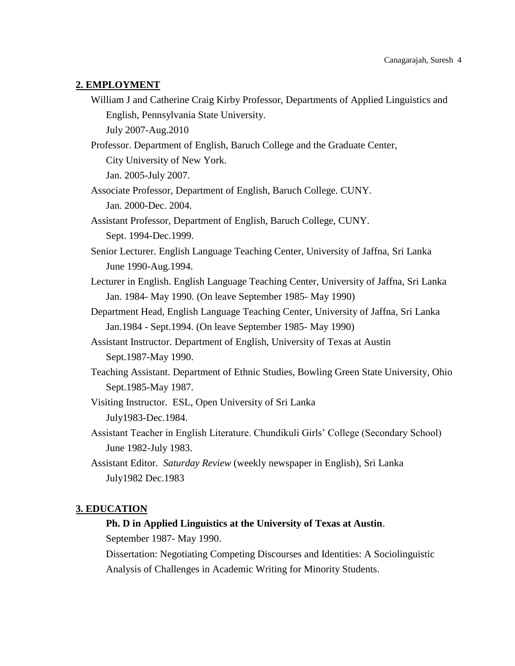#### **2. EMPLOYMENT**

William J and Catherine Craig Kirby Professor, Departments of Applied Linguistics and English, Pennsylvania State University.

July 2007-Aug.2010

Professor. Department of English, Baruch College and the Graduate Center, City University of New York.

Jan. 2005-July 2007.

- Associate Professor, Department of English, Baruch College. CUNY. Jan. 2000-Dec. 2004.
- Assistant Professor, Department of English, Baruch College, CUNY. Sept. 1994-Dec.1999.
- Senior Lecturer. English Language Teaching Center, University of Jaffna, Sri Lanka June 1990-Aug.1994.
- Lecturer in English. English Language Teaching Center, University of Jaffna, Sri Lanka Jan. 1984- May 1990. (On leave September 1985- May 1990)
- Department Head, English Language Teaching Center, University of Jaffna, Sri Lanka Jan.1984 - Sept.1994. (On leave September 1985- May 1990)
- Assistant Instructor. Department of English, University of Texas at Austin Sept.1987-May 1990.
- Teaching Assistant. Department of Ethnic Studies, Bowling Green State University, Ohio Sept.1985-May 1987.
- Visiting Instructor. ESL, Open University of Sri Lanka July1983-Dec.1984.
- Assistant Teacher in English Literature. Chundikuli Girls' College (Secondary School) June 1982-July 1983.
- Assistant Editor. *Saturday Review* (weekly newspaper in English), Sri Lanka July1982 Dec.1983

#### **3. EDUCATION**

#### **Ph. D in Applied Linguistics at the University of Texas at Austin**.

September 1987- May 1990.

Dissertation: Negotiating Competing Discourses and Identities: A Sociolinguistic Analysis of Challenges in Academic Writing for Minority Students.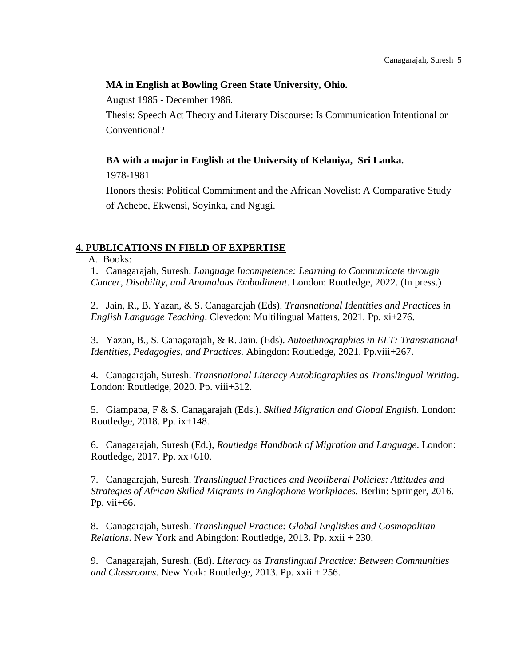## **MA in English at Bowling Green State University, Ohio.**

August 1985 - December 1986.

Thesis: Speech Act Theory and Literary Discourse: Is Communication Intentional or Conventional?

# **BA with a major in English at the University of Kelaniya, Sri Lanka.**

1978-1981.

Honors thesis: Political Commitment and the African Novelist: A Comparative Study of Achebe, Ekwensi, Soyinka, and Ngugi.

# **4. PUBLICATIONS IN FIELD OF EXPERTISE**

A. Books:

1. Canagarajah, Suresh. *Language Incompetence: Learning to Communicate through Cancer, Disability, and Anomalous Embodiment*. London: Routledge, 2022. (In press.)

2. Jain, R., B. Yazan, & S. Canagarajah (Eds). *Transnational Identities and Practices in English Language Teaching*. Clevedon: Multilingual Matters, 2021. Pp. xi+276.

3. Yazan, B., S. Canagarajah, & R. Jain. (Eds). *Autoethnographies in ELT: Transnational Identities, Pedagogies, and Practices.* Abingdon: Routledge, 2021. Pp.viii+267.

4. Canagarajah, Suresh. *Transnational Literacy Autobiographies as Translingual Writing*. London: Routledge, 2020. Pp. viii+312.

5. Giampapa, F & S. Canagarajah (Eds.). *Skilled Migration and Global English*. London: Routledge, 2018. Pp. ix+148.

6. Canagarajah, Suresh (Ed.), *Routledge Handbook of Migration and Language*. London: Routledge, 2017. Pp. xx+610.

7. Canagarajah, Suresh. *Translingual Practices and Neoliberal Policies: Attitudes and Strategies of African Skilled Migrants in Anglophone Workplaces.* Berlin: Springer, 2016. Pp. vii+66.

8. Canagarajah, Suresh. *Translingual Practice: Global Englishes and Cosmopolitan Relations*. New York and Abingdon: Routledge, 2013. Pp. xxii + 230.

9. Canagarajah, Suresh. (Ed). *Literacy as Translingual Practice: Between Communities and Classrooms*. New York: Routledge, 2013. Pp. xxii + 256.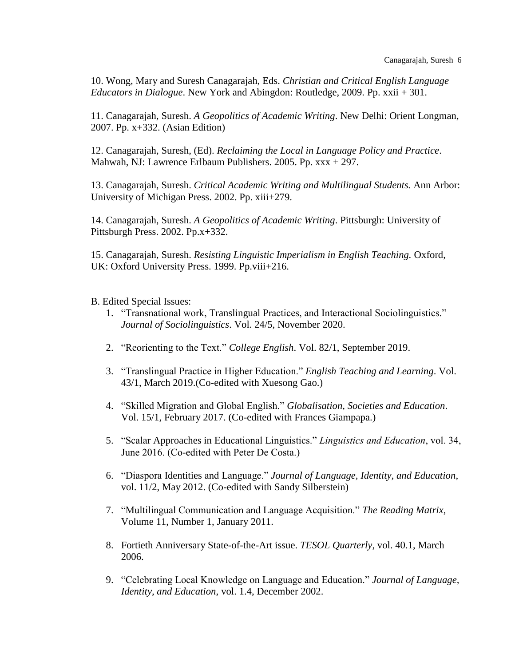10. Wong, Mary and Suresh Canagarajah, Eds. *Christian and Critical English Language Educators in Dialogue*. New York and Abingdon: Routledge, 2009. Pp. xxii + 301.

11. Canagarajah, Suresh. *A Geopolitics of Academic Writing*. New Delhi: Orient Longman, 2007. Pp. x+332. (Asian Edition)

12. Canagarajah, Suresh, (Ed). *Reclaiming the Local in Language Policy and Practice*. Mahwah, NJ: Lawrence Erlbaum Publishers. 2005. Pp. xxx + 297.

13. Canagarajah, Suresh. *Critical Academic Writing and Multilingual Students.* Ann Arbor: University of Michigan Press. 2002. Pp. xiii+279.

14. Canagarajah, Suresh. *A Geopolitics of Academic Writing*. Pittsburgh: University of Pittsburgh Press. 2002. Pp.x+332.

15. Canagarajah, Suresh. *Resisting Linguistic Imperialism in English Teaching.* Oxford, UK: Oxford University Press. 1999. Pp.viii+216.

B. Edited Special Issues:

- 1. "Transnational work, Translingual Practices, and Interactional Sociolinguistics." *Journal of Sociolinguistics*. Vol. 24/5, November 2020.
- 2. "Reorienting to the Text." *College English*. Vol. 82/1, September 2019.
- 3. "Translingual Practice in Higher Education." *English Teaching and Learning*. Vol. 43/1, March 2019.(Co-edited with Xuesong Gao.)
- 4. "Skilled Migration and Global English." *Globalisation, Societies and Education*. Vol. 15/1, February 2017. (Co-edited with Frances Giampapa.)
- 5. "Scalar Approaches in Educational Linguistics." *Linguistics and Education*, vol. 34, June 2016. (Co-edited with Peter De Costa.)
- 6. "Diaspora Identities and Language." *Journal of Language, Identity, and Education*, vol. 11/2, May 2012. (Co-edited with Sandy Silberstein)
- 7. "Multilingual Communication and Language Acquisition." *The Reading Matrix*, Volume 11, Number 1, January 2011.
- 8. Fortieth Anniversary State-of-the-Art issue. *TESOL Quarterly*, vol. 40.1, March 2006.
- 9. "Celebrating Local Knowledge on Language and Education." *Journal of Language, Identity, and Education*, vol. 1.4, December 2002.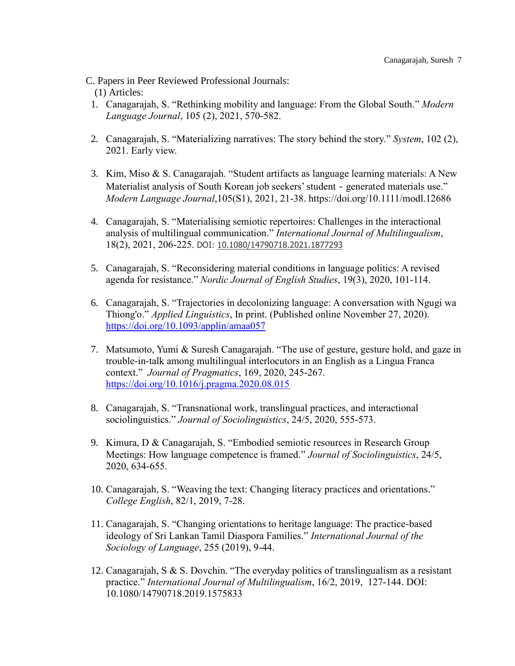C. Papers in Peer Reviewed Professional Journals:

(1) Articles:

- 1. Canagarajah, S. "Rethinking mobility and language: From the Global South." *Modern Language Journal*, 105 (2), 2021, 570-582.
- 2. Canagarajah, S. "Materializing narratives: The story behind the story." *System*, 102 (2), 2021. Early view.
- 3. Kim, Miso & S. Canagarajah. "Student artifacts as language learning materials: A New Materialist analysis of South Korean job seekers' student - generated materials use." *Modern Language Journal*,105(S1), 2021, 21-38. https://doi.org/10.1111/modl.12686
- 4. Canagarajah, S. "Materialising semiotic repertoires: Challenges in the interactional analysis of multilingual communication." *International Journal of Multilingualism*, 18(2), 2021, 206-225. DOI: [10.1080/14790718.2021.1877293](https://doi.org/10.1080/14790718.2021.1877293)
- 5. Canagarajah, S. "Reconsidering material conditions in language politics: A revised agenda for resistance." *Nordic Journal of English Studies*, 19(3), 2020, 101-114.
- 6. Canagarajah, S. "Trajectories in decolonizing language: A conversation with Ngugi wa Thiong'o." *Applied Linguistics*, In print. (Published online November 27, 2020). <https://doi.org/10.1093/applin/amaa057>
- 7. Matsumoto, Yumi & Suresh Canagarajah. "The use of gesture, gesture hold, and gaze in trouble-in-talk among multilingual interlocutors in an English as a Lingua Franca context." *Journal of Pragmatics*, 169, 2020, 245-267. <https://doi.org/10.1016/j.pragma.2020.08.015>
- 8. Canagarajah, S. "Transnational work, translingual practices, and interactional sociolinguistics." *Journal of Sociolinguistics*, 24/5, 2020, 555-573.
- 9. Kimura, D & Canagarajah, S. "Embodied semiotic resources in Research Group Meetings: How language competence is framed." *Journal of Sociolinguistics*, 24/5, 2020, 634-655.
- 10. Canagarajah, S. "Weaving the text: Changing literacy practices and orientations." *College English*, 82/1, 2019, 7-28.
- 11. Canagarajah, S. "Changing orientations to heritage language: The practice-based ideology of Sri Lankan Tamil Diaspora Families." *International Journal of the Sociology of Language*, 255 (2019), 9-44.
- 12. Canagarajah, S & S. Dovchin. "The everyday politics of translingualism as a resistant practice." *International Journal of Multilingualism*, 16/2, 2019, 127-144. DOI: 10.1080/14790718.2019.1575833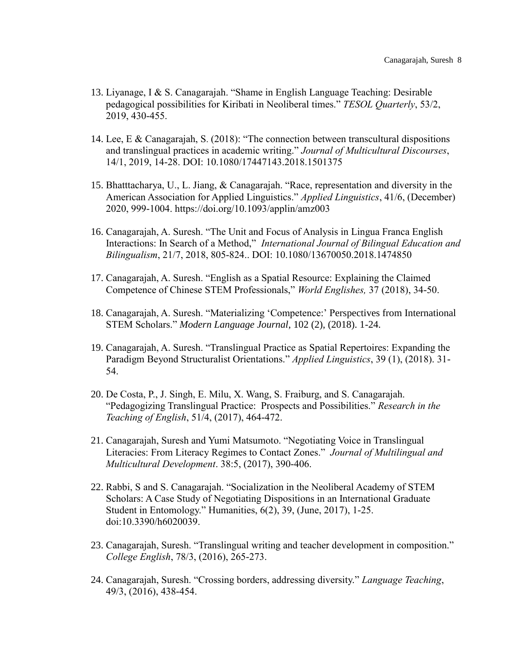- 13. Liyanage, I & S. Canagarajah. "Shame in English Language Teaching: Desirable pedagogical possibilities for Kiribati in Neoliberal times." *TESOL Quarterly*, 53/2, 2019, 430-455.
- 14. Lee, E & Canagarajah, S. (2018): "The connection between transcultural dispositions and translingual practices in academic writing." *Journal of Multicultural Discourses*, 14/1, 2019, 14-28. DOI: 10.1080/17447143.2018.1501375
- 15. Bhatttacharya, U., L. Jiang, & Canagarajah. "Race, representation and diversity in the American Association for Applied Linguistics." *Applied Linguistics*, 41/6, (December) 2020, 999-1004. https://doi.org/10.1093/applin/amz003
- 16. Canagarajah, A. Suresh. "The Unit and Focus of Analysis in Lingua Franca English Interactions: In Search of a Method," *International Journal of Bilingual Education and Bilingualism*, 21/7, 2018, 805-824.. DOI: 10.1080/13670050.2018.1474850
- 17. Canagarajah, A. Suresh. "English as a Spatial Resource: Explaining the Claimed Competence of Chinese STEM Professionals," *World Englishes,* 37 (2018), 34-50.
- 18. Canagarajah, A. Suresh. "Materializing 'Competence:' Perspectives from International STEM Scholars." *Modern Language Journal*, 102 (2), (2018). 1-24.
- 19. Canagarajah, A. Suresh. "Translingual Practice as Spatial Repertoires: Expanding the Paradigm Beyond Structuralist Orientations." *Applied Linguistics*, 39 (1), (2018). 31- 54.
- 20. De Costa, P., J. Singh, E. Milu, X. Wang, S. Fraiburg, and S. Canagarajah. "Pedagogizing Translingual Practice: Prospects and Possibilities." *Research in the Teaching of English*, 51/4, (2017), 464-472.
- 21. Canagarajah, Suresh and Yumi Matsumoto. "Negotiating Voice in Translingual Literacies: From Literacy Regimes to Contact Zones." *Journal of Multilingual and Multicultural Development*. 38:5, (2017), 390-406.
- 22. Rabbi, S and S. Canagarajah. "Socialization in the Neoliberal Academy of STEM Scholars: A Case Study of Negotiating Dispositions in an International Graduate Student in Entomology." Humanities, 6(2), 39, (June, 2017), 1-25. doi:10.3390/h6020039.
- 23. Canagarajah, Suresh. "Translingual writing and teacher development in composition." *College English*, 78/3, (2016), 265-273.
- 24. Canagarajah, Suresh. "Crossing borders, addressing diversity." *Language Teaching*, 49/3, (2016), 438-454.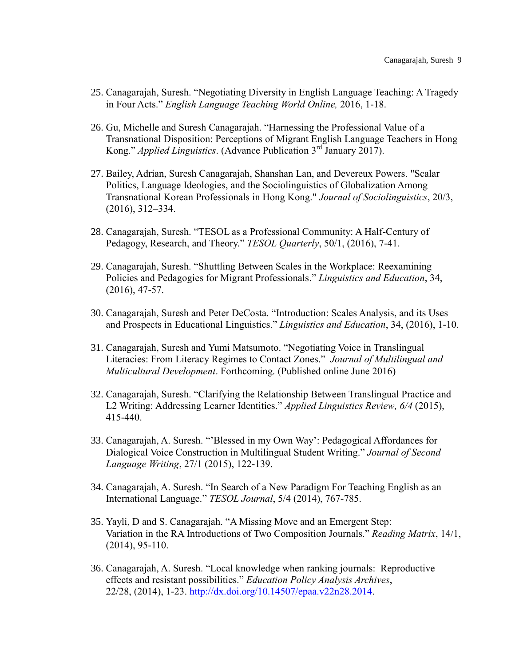- 25. Canagarajah, Suresh. "Negotiating Diversity in English Language Teaching: A Tragedy in Four Acts." *English Language Teaching World Online,* 2016, 1-18.
- 26. Gu, Michelle and Suresh Canagarajah. "Harnessing the Professional Value of a Transnational Disposition: Perceptions of Migrant English Language Teachers in Hong Kong." *Applied Linguistics*. (Advance Publication 3rd January 2017).
- 27. Bailey, Adrian, Suresh Canagarajah, Shanshan Lan, and Devereux Powers. "Scalar Politics, Language Ideologies, and the Sociolinguistics of Globalization Among Transnational Korean Professionals in Hong Kong." *Journal of Sociolinguistics*, 20/3, (2016), 312–334.
- 28. Canagarajah, Suresh. "TESOL as a Professional Community: A Half-Century of Pedagogy, Research, and Theory." *TESOL Quarterly*, 50/1, (2016), 7-41.
- 29. Canagarajah, Suresh. "Shuttling Between Scales in the Workplace: Reexamining Policies and Pedagogies for Migrant Professionals." *Linguistics and Education*, 34, (2016), 47-57.
- 30. Canagarajah, Suresh and Peter DeCosta. "Introduction: Scales Analysis, and its Uses and Prospects in Educational Linguistics." *Linguistics and Education*, 34, (2016), 1-10.
- 31. Canagarajah, Suresh and Yumi Matsumoto. "Negotiating Voice in Translingual Literacies: From Literacy Regimes to Contact Zones." *Journal of Multilingual and Multicultural Development*. Forthcoming. (Published online June 2016)
- 32. Canagarajah, Suresh. "Clarifying the Relationship Between Translingual Practice and L2 Writing: Addressing Learner Identities." *Applied Linguistics Review, 6/4* (2015), 415-440.
- 33. Canagarajah, A. Suresh. "'Blessed in my Own Way': Pedagogical Affordances for Dialogical Voice Construction in Multilingual Student Writing." *Journal of Second Language Writing*, 27/1 (2015), 122-139.
- 34. Canagarajah, A. Suresh. "In Search of a New Paradigm For Teaching English as an International Language." *TESOL Journal*, 5/4 (2014), 767-785.
- 35. Yayli, D and S. Canagarajah. "A Missing Move and an Emergent Step: Variation in the RA Introductions of Two Composition Journals." *Reading Matrix*, 14/1, (2014), 95-110.
- 36. Canagarajah, A. Suresh. "Local knowledge when ranking journals: Reproductive effects and resistant possibilities." *Education Policy Analysis Archives*, 22/28, (2014), 1-23. [http://dx.doi.org/10.14507/epaa.v22n28.2014.](http://dx.doi.org/10.14507/epaa.v22n28.2014)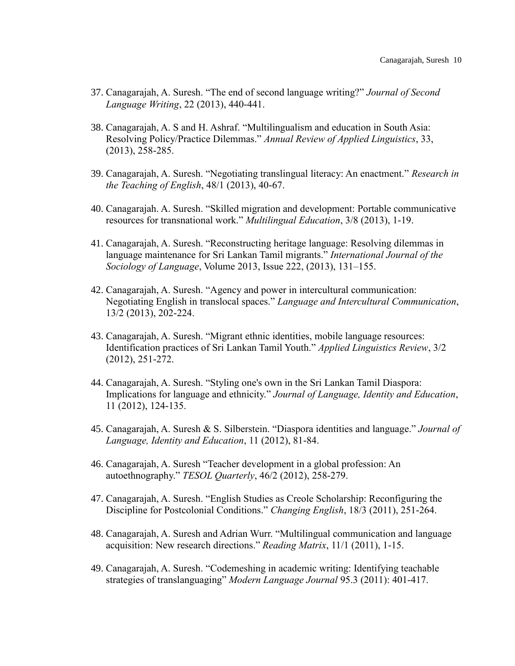- 37. Canagarajah, A. Suresh. "The end of second language writing?" *Journal of Second Language Writing*, 22 (2013), 440-441.
- 38. Canagarajah, A. S and H. Ashraf. "Multilingualism and education in South Asia: Resolving Policy/Practice Dilemmas." *Annual Review of Applied Linguistics*, 33, (2013), 258-285.
- 39. Canagarajah, A. Suresh. "Negotiating translingual literacy: An enactment." *Research in the Teaching of English*, 48/1 (2013), 40-67.
- 40. Canagarajah. A. Suresh. "Skilled migration and development: Portable communicative resources for transnational work." *Multilingual Education*, 3/8 (2013), 1-19.
- 41. Canagarajah, A. Suresh. "Reconstructing heritage language: Resolving dilemmas in language maintenance for Sri Lankan Tamil migrants." *International Journal of the Sociology of Language*, Volume 2013, Issue 222, (2013), 131–155.
- 42. Canagarajah, A. Suresh. "Agency and power in intercultural communication: Negotiating English in translocal spaces." *Language and Intercultural Communication*, 13/2 (2013), 202-224.
- 43. Canagarajah, A. Suresh. "Migrant ethnic identities, mobile language resources: Identification practices of Sri Lankan Tamil Youth." *Applied Linguistics Review*, 3/2 (2012), 251-272.
- 44. Canagarajah, A. Suresh. "Styling one's own in the Sri Lankan Tamil Diaspora: Implications for language and ethnicity." *Journal of Language, Identity and Education*, 11 (2012), 124-135.
- 45. Canagarajah, A. Suresh & S. Silberstein. "Diaspora identities and language." *Journal of Language, Identity and Education*, 11 (2012), 81-84.
- 46. Canagarajah, A. Suresh "Teacher development in a global profession: An autoethnography." *TESOL Quarterly*, 46/2 (2012), 258-279.
- 47. Canagarajah, A. Suresh. "English Studies as Creole Scholarship: Reconfiguring the Discipline for Postcolonial Conditions." *Changing English*, 18/3 (2011), 251-264.
- 48. Canagarajah, A. Suresh and Adrian Wurr. ["Multilingual communication and language](http://www.readingmatrix.com/articles/january_2011/canagarajah_wurr.pdf)  [acquisition: New research directions.](http://www.readingmatrix.com/articles/january_2011/canagarajah_wurr.pdf)" *Reading Matrix*, 11/1 (2011), 1-15.
- 49. Canagarajah, A. Suresh. "Codemeshing in academic writing: Identifying teachable strategies of translanguaging" *Modern Language Journal* 95.3 (2011): 401-417.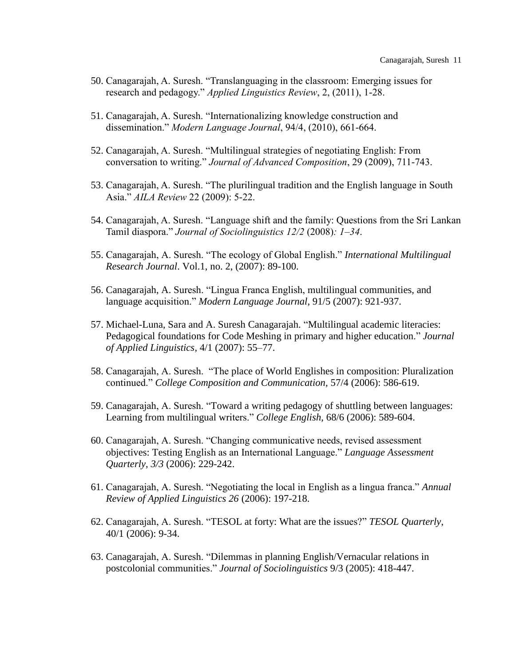- 50. Canagarajah, A. Suresh. "Translanguaging in the classroom: Emerging issues for research and pedagogy." *Applied Linguistics Review*, 2, (2011), 1-28.
- 51. Canagarajah, A. Suresh. "Internationalizing knowledge construction and dissemination." *Modern Language Journal*, 94/4, (2010), 661-664.
- 52. Canagarajah, A. Suresh. "Multilingual strategies of negotiating English: From conversation to writing." *Journal of Advanced Composition*, 29 (2009), 711-743.
- 53. Canagarajah, A. Suresh. "The plurilingual tradition and the English language in South Asia." *AILA Review* 22 (2009): 5-22.
- 54. Canagarajah, A. Suresh. "Language shift and the family: Questions from the Sri Lankan Tamil diaspora." *Journal of Sociolinguistics 12/2* (2008)*: 1–34*.
- 55. Canagarajah, A. Suresh. "The ecology of Global English." *International Multilingual Research Journal*. Vol.1, no. 2, (2007): 89-100.
- 56. Canagarajah, A. Suresh. "Lingua Franca English, multilingual communities, and language acquisition." *Modern Language Journal*, 91/5 (2007): 921-937.
- 57. Michael-Luna, Sara and A. Suresh Canagarajah. "Multilingual academic literacies: Pedagogical foundations for Code Meshing in primary and higher education." *Journal of Applied Linguistics,* 4/1 (2007): 55–77.
- 58. Canagarajah, A. Suresh. "The place of World Englishes in composition: Pluralization continued." *College Composition and Communication,* 57/4 (2006): 586-619.
- 59. Canagarajah, A. Suresh. "Toward a writing pedagogy of shuttling between languages: Learning from multilingual writers." *College English,* 68/6 (2006): 589-604.
- 60. Canagarajah, A. Suresh. "Changing communicative needs, revised assessment objectives: Testing English as an International Language." *Language Assessment Quarterly, 3/3* (2006): 229-242.
- 61. Canagarajah, A. Suresh. "Negotiating the local in English as a lingua franca." *Annual Review of Applied Linguistics 26* (2006): 197-218.
- 62. Canagarajah, A. Suresh. "TESOL at forty: What are the issues?" *TESOL Quarterly*, 40/1 (2006): 9-34.
- 63. Canagarajah, A. Suresh. "Dilemmas in planning English/Vernacular relations in postcolonial communities." *Journal of Sociolinguistics* 9/3 (2005): 418-447.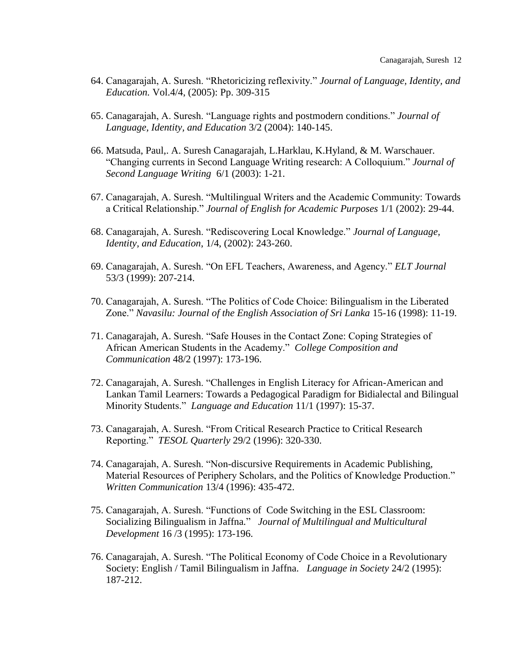- 64. Canagarajah, A. Suresh. "Rhetoricizing reflexivity." *Journal of Language, Identity, and Education.* Vol.4/4, (2005): Pp. 309-315
- 65. Canagarajah, A. Suresh. "Language rights and postmodern conditions." *Journal of Language, Identity, and Education* 3/2 (2004): 140-145.
- 66. Matsuda, Paul,. A. Suresh Canagarajah, L.Harklau, K.Hyland, & M. Warschauer. "Changing currents in Second Language Writing research: A Colloquium." *Journal of Second Language Writing* 6/1 (2003): 1-21.
- 67. Canagarajah, A. Suresh. "Multilingual Writers and the Academic Community: Towards a Critical Relationship." *Journal of English for Academic Purposes* 1/1 (2002): 29-44.
- 68. Canagarajah, A. Suresh. "Rediscovering Local Knowledge." *Journal of Language, Identity, and Education*, 1/4, (2002): 243-260.
- 69. Canagarajah, A. Suresh. "On EFL Teachers, Awareness, and Agency." *ELT Journal* 53/3 (1999): 207-214.
- 70. Canagarajah, A. Suresh. "The Politics of Code Choice: Bilingualism in the Liberated Zone." *Navasilu: Journal of the English Association of Sri Lanka* 15-16 (1998): 11-19.
- 71. Canagarajah, A. Suresh. "Safe Houses in the Contact Zone: Coping Strategies of African American Students in the Academy." *College Composition and Communication* 48/2 (1997): 173-196.
- 72. Canagarajah, A. Suresh. "Challenges in English Literacy for African-American and Lankan Tamil Learners: Towards a Pedagogical Paradigm for Bidialectal and Bilingual Minority Students." *Language and Education* 11/1 (1997): 15-37.
- 73. Canagarajah, A. Suresh. "From Critical Research Practice to Critical Research Reporting." *TESOL Quarterly* 29/2 (1996): 320-330.
- 74. Canagarajah, A. Suresh. "Non-discursive Requirements in Academic Publishing, Material Resources of Periphery Scholars, and the Politics of Knowledge Production." *Written Communication* 13/4 (1996): 435-472.
- 75. Canagarajah, A. Suresh. "Functions of Code Switching in the ESL Classroom: Socializing Bilingualism in Jaffna*.*" *Journal of Multilingual and Multicultural Development* 16 /3 (1995): 173-196.
- 76. Canagarajah, A. Suresh. "The Political Economy of Code Choice in a Revolutionary Society: English / Tamil Bilingualism in Jaffna. *Language in Society* 24/2 (1995): 187-212.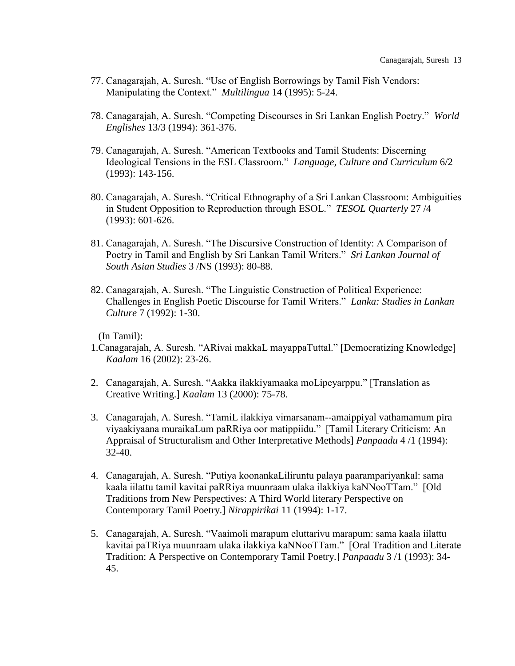- 77. Canagarajah, A. Suresh. "Use of English Borrowings by Tamil Fish Vendors: Manipulating the Context." *Multilingua* 14 (1995): 5-24.
- 78. Canagarajah, A. Suresh. "Competing Discourses in Sri Lankan English Poetry." *World Englishes* 13/3 (1994): 361-376.
- 79. Canagarajah, A. Suresh. "American Textbooks and Tamil Students: Discerning Ideological Tensions in the ESL Classroom." *Language, Culture and Curriculum* 6/2 (1993): 143-156.
- 80. Canagarajah, A. Suresh. "Critical Ethnography of a Sri Lankan Classroom: Ambiguities in Student Opposition to Reproduction through ESOL." *TESOL Quarterly* 27 /4 (1993): 601-626.
- 81. Canagarajah, A. Suresh. "The Discursive Construction of Identity: A Comparison of Poetry in Tamil and English by Sri Lankan Tamil Writers." *Sri Lankan Journal of South Asian Studies* 3 /NS (1993): 80-88.
- 82. Canagarajah, A. Suresh. "The Linguistic Construction of Political Experience: Challenges in English Poetic Discourse for Tamil Writers." *Lanka: Studies in Lankan Culture* 7 (1992): 1-30.

(In Tamil):

- 1.Canagarajah, A. Suresh. "ARivai makkaL mayappaTuttal." [Democratizing Knowledge] *Kaalam* 16 (2002): 23-26.
- 2. Canagarajah, A. Suresh. "Aakka ilakkiyamaaka moLipeyarppu." [Translation as Creative Writing.] *Kaalam* 13 (2000): 75-78.
- 3. Canagarajah, A. Suresh. "TamiL ilakkiya vimarsanam--amaippiyal vathamamum pira viyaakiyaana muraikaLum paRRiya oor matippiidu." [Tamil Literary Criticism: An Appraisal of Structuralism and Other Interpretative Methods] *Panpaadu* 4 /1 (1994): 32-40.
- 4. Canagarajah, A. Suresh. "Putiya koonankaLiliruntu palaya paarampariyankal: sama kaala iilattu tamil kavitai paRRiya muunraam ulaka ilakkiya kaNNooTTam." [Old Traditions from New Perspectives: A Third World literary Perspective on Contemporary Tamil Poetry.] *Nirappirikai* 11 (1994): 1-17.
- 5. Canagarajah, A. Suresh. "Vaaimoli marapum eluttarivu marapum: sama kaala iilattu kavitai paTRiya muunraam ulaka ilakkiya kaNNooTTam." [Oral Tradition and Literate Tradition: A Perspective on Contemporary Tamil Poetry.] *Panpaadu* 3 /1 (1993): 34- 45.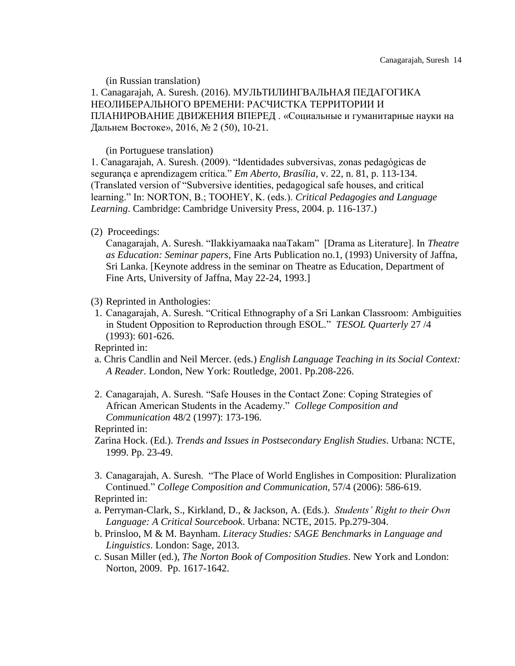(in Russian translation)

1. Canagarajah, A. Suresh. (2016). МУЛЬТИЛИНГВАЛЬНАЯ ПЕДАГОГИКА НЕОЛИБЕРАЛЬНОГО ВРЕМЕНИ: РАСЧИСТКА ТЕРРИТОРИИ И ПЛАНИРОВАНИЕ ДВИЖЕНИЯ ВПЕРЕД . «Социальные и гуманитарные науки на Дальнем Востоке», 2016, № 2 (50), 10-21.

(in Portuguese translation)

1. Canagarajah, A. Suresh. (2009). "Identidades subversivas, zonas pedagógicas de segurança e aprendizagem crítica." *Em Aberto, Brasília*, v. 22, n. 81, p. 113-134. (Translated version of "Subversive identities, pedagogical safe houses, and critical learning." In: NORTON, B.; TOOHEY, K. (eds.). *Critical Pedagogies and Language Learning*. Cambridge: Cambridge University Press, 2004. p. 116-137.)

#### (2) Proceedings:

Canagarajah, A. Suresh. "Ilakkiyamaaka naaTakam" [Drama as Literature]. In *Theatre as Education: Seminar papers*, Fine Arts Publication no.1, (1993) University of Jaffna, Sri Lanka. [Keynote address in the seminar on Theatre as Education, Department of Fine Arts, University of Jaffna, May 22-24, 1993.]

- (3) Reprinted in Anthologies:
- 1. Canagarajah, A. Suresh. "Critical Ethnography of a Sri Lankan Classroom: Ambiguities in Student Opposition to Reproduction through ESOL." *TESOL Quarterly* 27 /4 (1993): 601-626.

Reprinted in:

- a. Chris Candlin and Neil Mercer. (eds.) *English Language Teaching in its Social Context: A Reader*. London, New York: Routledge, 2001. Pp.208-226.
- 2. Canagarajah, A. Suresh. "Safe Houses in the Contact Zone: Coping Strategies of African American Students in the Academy." *College Composition and Communication* 48/2 (1997): 173-196.

#### Reprinted in:

- Zarina Hock. (Ed.). *Trends and Issues in Postsecondary English Studies*. Urbana: NCTE*,* 1999. Pp. 23-49.
- 3. Canagarajah, A. Suresh. "The Place of World Englishes in Composition: Pluralization Continued." *College Composition and Communication,* 57/4 (2006): 586-619. Reprinted in:
- a. Perryman-Clark, S., Kirkland, D., & Jackson, A. (Eds.). *Students' Right to their Own Language: A Critical Sourcebook*. Urbana: NCTE, 2015. Pp.279-304.
- b. Prinsloo, M & M. Baynham. *Literacy Studies: SAGE Benchmarks in Language and Linguistics*. London: Sage, 2013.
- c. Susan Miller (ed.), *The Norton Book of Composition Studies*. New York and London: Norton, 2009. Pp. 1617-1642.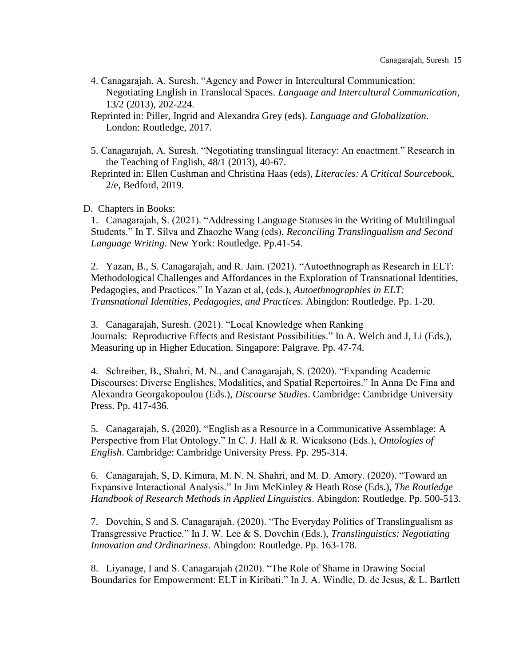- 4. Canagarajah, A. Suresh. "Agency and Power in Intercultural Communication: Negotiating English in Translocal Spaces. *Language and Intercultural Communication*, 13/2 (2013), 202-224.
- Reprinted in: Piller, Ingrid and Alexandra Grey (eds). *Language and Globalization*. London: Routledge, 2017.
- 5. Canagarajah, A. Suresh. "Negotiating translingual literacy: An enactment." Research in the Teaching of English, 48/1 (2013), 40-67.
- Reprinted in: Ellen Cushman and Christina Haas (eds), *Literacies: A Critical Sourcebook*, 2/e, Bedford, 2019.

D. Chapters in Books:

1. Canagarajah, S. (2021). "Addressing Language Statuses in the Writing of Multilingual Students." In T. Silva and Zhaozhe Wang (eds), *Reconciling Translingualism and Second Language Writing*. New York: Routledge. Pp.41-54.

2. Yazan, B., S. Canagarajah, and R. Jain. (2021). "Autoethnograph as Research in ELT: Methodological Challenges and Affordances in the Exploration of Transnational Identities, Pedagogies, and Practices." In Yazan et al, (eds.), *Autoethnographies in ELT: Transnational Identities, Pedagogies, and Practices.* Abingdon: Routledge. Pp. 1-20.

3. Canagarajah, Suresh. (2021). "Local Knowledge when Ranking Journals: Reproductive Effects and Resistant Possibilities." In A. Welch and J, Li (Eds.), Measuring up in Higher Education. Singapore: Palgrave. Pp. 47-74.

4. Schreiber, B., Shahri, M. N., and Canagarajah, S. (2020). "Expanding Academic Discourses: Diverse Englishes, Modalities, and Spatial Repertoires." In Anna De Fina and Alexandra Georgakopoulou (Eds.), *Discourse Studies*. Cambridge: Cambridge University Press. Pp. 417-436.

5. Canagarajah, S. (2020). "English as a Resource in a Communicative Assemblage: A Perspective from Flat Ontology." In C. J. Hall & R. Wicaksono (Eds.), *Ontologies of English*. Cambridge: Cambridge University Press. Pp. 295-314.

6. Canagarajah, S, D. Kimura, M. N. N. Shahri, and M. D. Amory. (2020). "Toward an Expansive Interactional Analysis." In Jim McKinley & Heath Rose (Eds.), *The Routledge Handbook of Research Methods in Applied Linguistics*. Abingdon: Routledge. Pp. 500-513.

7. Dovchin, S and S. Canagarajah. (2020). "The Everyday Politics of Translingualism as Transgressive Practice." In J. W. Lee & S. Dovchin (Eds.), *Translinguistics: Negotiating Innovation and Ordinariness*. Abingdon: Routledge. Pp. 163-178.

8. Liyanage, I and S. Canagarajah (2020). "The Role of Shame in Drawing Social Boundaries for Empowerment: ELT in Kiribati." In J. A. Windle, D. de Jesus, & L. Bartlett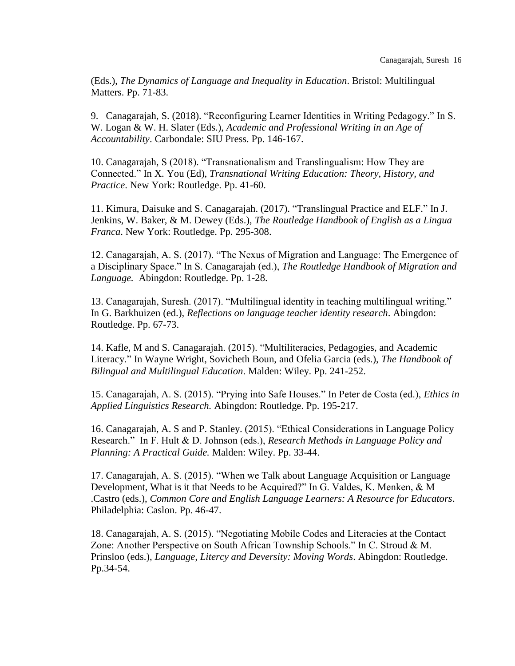(Eds.), *The Dynamics of Language and Inequality in Education*. Bristol: Multilingual Matters. Pp. 71-83.

9. Canagarajah, S. (2018). "Reconfiguring Learner Identities in Writing Pedagogy." In S. W. Logan & W. H. Slater (Eds.), *Academic and Professional Writing in an Age of Accountability*. Carbondale: SIU Press. Pp. 146-167.

10. Canagarajah, S (2018). "Transnationalism and Translingualism: How They are Connected." In X. You (Ed), *Transnational Writing Education: Theory, History, and Practice*. New York: Routledge. Pp. 41-60.

11. Kimura, Daisuke and S. Canagarajah. (2017). "Translingual Practice and ELF." In J. Jenkins, W. Baker, & M. Dewey (Eds.), *The Routledge Handbook of English as a Lingua Franca*. New York: Routledge. Pp. 295-308.

12. Canagarajah, A. S. (2017). "The Nexus of Migration and Language: The Emergence of a Disciplinary Space." In S. Canagarajah (ed.), *The Routledge Handbook of Migration and Language.* Abingdon: Routledge. Pp. 1-28.

13. Canagarajah, Suresh. (2017). "Multilingual identity in teaching multilingual writing." In G. Barkhuizen (ed.), *Reflections on language teacher identity research*. Abingdon: Routledge. Pp. 67-73.

14. Kafle, M and S. Canagarajah. (2015). "Multiliteracies, Pedagogies, and Academic Literacy." In Wayne Wright, Sovicheth Boun, and Ofelia Garcia (eds.), *The Handbook of Bilingual and Multilingual Education*. Malden: Wiley. Pp. 241-252.

15. Canagarajah, A. S. (2015). "Prying into Safe Houses." In Peter de Costa (ed.), *Ethics in Applied Linguistics Research.* Abingdon: Routledge. Pp. 195-217.

16. Canagarajah, A. S and P. Stanley. (2015). "Ethical Considerations in Language Policy Research." In F. Hult & D. Johnson (eds.), *Research Methods in Language Policy and Planning: A Practical Guide.* Malden: Wiley. Pp. 33-44.

17. Canagarajah, A. S. (2015). "When we Talk about Language Acquisition or Language Development, What is it that Needs to be Acquired?" In G. Valdes, K. Menken, & M .Castro (eds.), *Common Core and English Language Learners: A Resource for Educators*. Philadelphia: Caslon. Pp. 46-47.

18. Canagarajah, A. S. (2015). "Negotiating Mobile Codes and Literacies at the Contact Zone: Another Perspective on South African Township Schools." In C. Stroud & M. Prinsloo (eds.), *Language, Litercy and Deversity: Moving Words*. Abingdon: Routledge. Pp.34-54.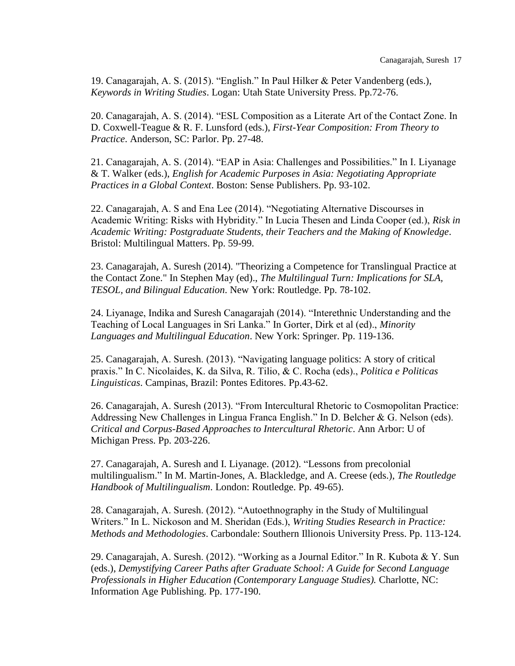19. Canagarajah, A. S. (2015). "English." In Paul Hilker & Peter Vandenberg (eds.), *Keywords in Writing Studies*. Logan: Utah State University Press. Pp.72-76.

20. Canagarajah, A. S. (2014). "ESL Composition as a Literate Art of the Contact Zone. In D. Coxwell-Teague & R. F. Lunsford (eds.), *First-Year Composition: From Theory to Practice*. Anderson, SC: Parlor. Pp. 27-48.

21. Canagarajah, A. S. (2014). "EAP in Asia: Challenges and Possibilities." In I. Liyanage & T. Walker (eds.), *English for Academic Purposes in Asia: Negotiating Appropriate Practices in a Global Context*. Boston: Sense Publishers. Pp. 93-102.

22. Canagarajah, A. S and Ena Lee (2014). "Negotiating Alternative Discourses in Academic Writing: Risks with Hybridity." In Lucia Thesen and Linda Cooper (ed.), *Risk in Academic Writing: Postgraduate Students, their Teachers and the Making of Knowledge*. Bristol: Multilingual Matters. Pp. 59-99.

23. Canagarajah, A. Suresh (2014). "Theorizing a Competence for Translingual Practice at the Contact Zone." In Stephen May (ed)., *The Multilingual Turn: Implications for SLA, TESOL, and Bilingual Education*. New York: Routledge. Pp. 78-102.

24. Liyanage, Indika and Suresh Canagarajah (2014). "Interethnic Understanding and the Teaching of Local Languages in Sri Lanka." In Gorter, Dirk et al (ed)., *Minority Languages and Multilingual Education*. New York: Springer. Pp. 119-136.

25. Canagarajah, A. Suresh. (2013). "Navigating language politics: A story of critical praxis." In C. Nicolaides, K. da Silva, R. Tilio, & C. Rocha (eds)., *Politica e Politicas Linguisticas*. Campinas, Brazil: Pontes Editores. Pp.43-62.

26. Canagarajah, A. Suresh (2013). "From Intercultural Rhetoric to Cosmopolitan Practice: Addressing New Challenges in Lingua Franca English." In D. Belcher & G. Nelson (eds). *Critical and Corpus-Based Approaches to Intercultural Rhetoric*. Ann Arbor: U of Michigan Press. Pp. 203-226.

27. Canagarajah, A. Suresh and I. Liyanage. (2012). "Lessons from precolonial multilingualism." In M. Martin-Jones, A. Blackledge, and A. Creese (eds.), *The Routledge Handbook of Multilingualism*. London: Routledge. Pp. 49-65).

28. Canagarajah, A. Suresh. (2012). "Autoethnography in the Study of Multilingual Writers." In L. Nickoson and M. Sheridan (Eds.), *Writing Studies Research in Practice: Methods and Methodologies*. Carbondale: Southern Illionois University Press. Pp. 113-124.

29. Canagarajah, A. Suresh. (2012). "Working as a Journal Editor." In R. Kubota & Y. Sun (eds.), *Demystifying Career Paths after Graduate School: A Guide for Second Language Professionals in Higher Education (Contemporary Language Studies).* Charlotte, NC: Information Age Publishing. Pp. 177-190.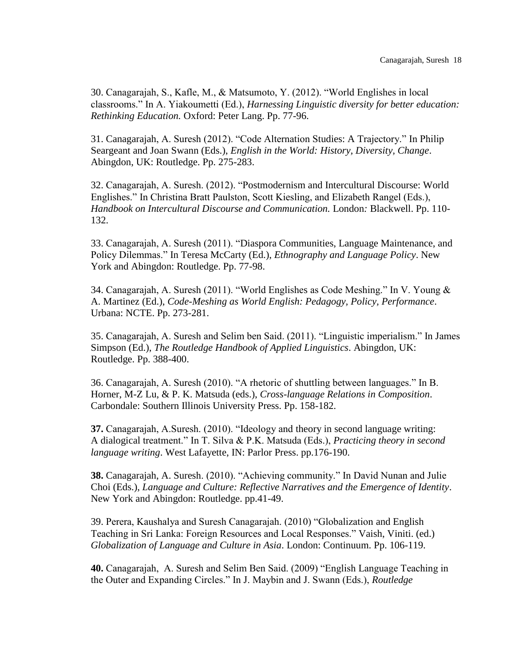30. Canagarajah, S., Kafle, M., & Matsumoto, Y. (2012). "World Englishes in local classrooms." In A. Yiakoumetti (Ed.), *Harnessing Linguistic diversity for better education: Rethinking Education.* Oxford: Peter Lang. Pp. 77-96.

31. Canagarajah, A. Suresh (2012). "Code Alternation Studies: A Trajectory." In Philip Seargeant and Joan Swann (Eds.), *English in the World: History, Diversity, Change*. Abingdon, UK: Routledge. Pp. 275-283.

32. Canagarajah, A. Suresh. (2012). "Postmodernism and Intercultural Discourse: World Englishes." In Christina Bratt Paulston, Scott Kiesling, and Elizabeth Rangel (Eds.), *Handbook on Intercultural Discourse and Communication.* London*:* Blackwell. Pp. 110- 132.

33. Canagarajah, A. Suresh (2011). "Diaspora Communities, Language Maintenance, and Policy Dilemmas." In Teresa McCarty (Ed.), *Ethnography and Language Policy*. New York and Abingdon: Routledge. Pp. 77-98.

34. Canagarajah, A. Suresh (2011). "World Englishes as Code Meshing." In V. Young & A. Martinez (Ed.), *Code-Meshing as World English: Pedagogy, Policy, Performance*. Urbana: NCTE. Pp. 273-281.

35. Canagarajah, A. Suresh and Selim ben Said. (2011). "Linguistic imperialism." In James Simpson (Ed.), *The Routledge Handbook of Applied Linguistics*. Abingdon, UK: Routledge. Pp. 388-400.

36. Canagarajah, A. Suresh (2010). "A rhetoric of shuttling between languages." In B. Horner, M-Z Lu, & P. K. Matsuda (eds.), *Cross-language Relations in Composition*. Carbondale: Southern Illinois University Press. Pp. 158-182.

**37.** Canagarajah, A.Suresh. (2010). "Ideology and theory in second language writing: A dialogical treatment." In T. Silva & P.K. Matsuda (Eds.), *Practicing theory in second language writing*. West Lafayette, IN: Parlor Press. pp.176-190.

**38.** Canagarajah, A. Suresh. (2010). "Achieving community." In David Nunan and Julie Choi (Eds.), *Language and Culture: Reflective Narratives and the Emergence of Identity*. New York and Abingdon: Routledge. pp.41-49.

39. Perera, Kaushalya and Suresh Canagarajah. (2010) "Globalization and English Teaching in Sri Lanka: Foreign Resources and Local Responses." Vaish, Viniti. (ed.) *Globalization of Language and Culture in Asia*. London: Continuum. Pp. 106-119.

**40.** Canagarajah, A. Suresh and Selim Ben Said. (2009) "English Language Teaching in the Outer and Expanding Circles." In J. Maybin and J. Swann (Eds.), *Routledge*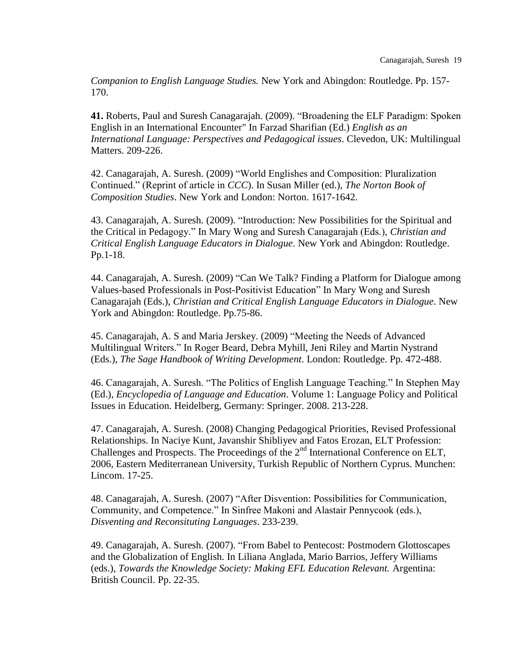*Companion to English Language Studies.* New York and Abingdon: Routledge. Pp. 157- 170.

**41.** Roberts, Paul and Suresh Canagarajah. (2009). "Broadening the ELF Paradigm: Spoken English in an International Encounter" In Farzad Sharifian (Ed.) *English as an International Language: Perspectives and Pedagogical issues*. Clevedon, UK: Multilingual Matters. 209-226.

42. Canagarajah, A. Suresh. (2009) "World Englishes and Composition: Pluralization Continued." (Reprint of article in *CCC*). In Susan Miller (ed.), *The Norton Book of Composition Studies*. New York and London: Norton. 1617-1642.

43. Canagarajah, A. Suresh. (2009). "Introduction: New Possibilities for the Spiritual and the Critical in Pedagogy." In Mary Wong and Suresh Canagarajah (Eds.), *Christian and Critical English Language Educators in Dialogue*. New York and Abingdon: Routledge. Pp.1-18.

44. Canagarajah, A. Suresh. (2009) "Can We Talk? Finding a Platform for Dialogue among Values-based Professionals in Post-Positivist Education" In Mary Wong and Suresh Canagarajah (Eds.), *Christian and Critical English Language Educators in Dialogue*. New York and Abingdon: Routledge. Pp.75-86.

45. Canagarajah, A. S and Maria Jerskey. (2009) "Meeting the Needs of Advanced Multilingual Writers." In Roger Beard, Debra Myhill, Jeni Riley and Martin Nystrand (Eds.), *The Sage Handbook of Writing Development*. London: Routledge. Pp. 472-488.

46. Canagarajah, A. Suresh. "The Politics of English Language Teaching." In Stephen May (Ed.), *Encyclopedia of Language and Education*. Volume 1: Language Policy and Political Issues in Education. Heidelberg, Germany: Springer. 2008. 213-228.

47. Canagarajah, A. Suresh. (2008) Changing Pedagogical Priorities, Revised Professional Relationships. In Naciye Kunt, Javanshir Shibliyev and Fatos Erozan, ELT Profession: Challenges and Prospects. The Proceedings of the 2<sup>nd</sup> International Conference on ELT, 2006, Eastern Mediterranean University, Turkish Republic of Northern Cyprus. Munchen: Lincom. 17-25.

48. Canagarajah, A. Suresh. (2007) "After Disvention: Possibilities for Communication, Community, and Competence." In Sinfree Makoni and Alastair Pennycook (eds.), *Disventing and Reconsituting Languages*. 233-239.

49. Canagarajah, A. Suresh. (2007). "From Babel to Pentecost: Postmodern Glottoscapes and the Globalization of English. In Liliana Anglada, Mario Barrios, Jeffery Williams (eds.), *Towards the Knowledge Society: Making EFL Education Relevant.* Argentina: British Council. Pp. 22-35.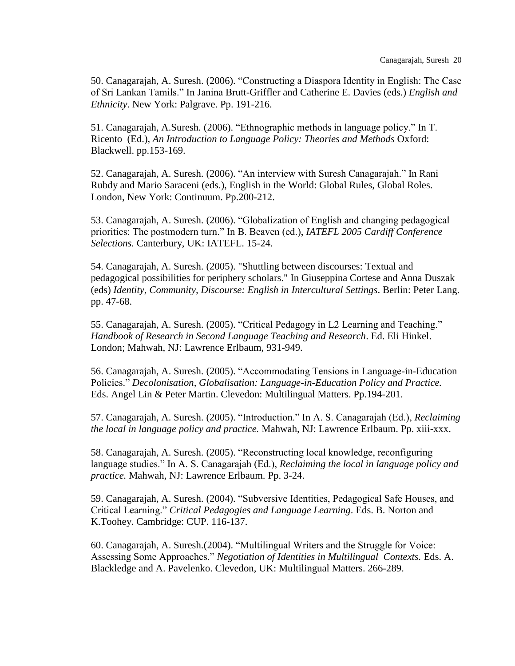50. Canagarajah, A. Suresh. (2006). "Constructing a Diaspora Identity in English: The Case of Sri Lankan Tamils." In Janina Brutt-Griffler and Catherine E. Davies (eds.) *English and Ethnicity*. New York: Palgrave. Pp. 191-216.

51. Canagarajah, A.Suresh. (2006). "Ethnographic methods in language policy." In T. Ricento (Ed.), *An Introduction to Language Policy: Theories and Methods* Oxford: Blackwell. pp.153-169.

52. Canagarajah, A. Suresh. (2006). "An interview with Suresh Canagarajah." In Rani Rubdy and Mario Saraceni (eds.), English in the World: Global Rules, Global Roles. London, New York: Continuum. Pp.200-212.

53. Canagarajah, A. Suresh. (2006). "Globalization of English and changing pedagogical priorities: The postmodern turn." In B. Beaven (ed.), *IATEFL 2005 Cardiff Conference Selections.* Canterbury, UK: IATEFL. 15-24.

54. Canagarajah, A. Suresh. (2005). "Shuttling between discourses: Textual and pedagogical possibilities for periphery scholars." In Giuseppina Cortese and Anna Duszak (eds) *Identity, Community, Discourse: English in Intercultural Settings*. Berlin: Peter Lang. pp. 47-68.

55. Canagarajah, A. Suresh. (2005). "Critical Pedagogy in L2 Learning and Teaching." *Handbook of Research in Second Language Teaching and Research*. Ed. Eli Hinkel. London; Mahwah, NJ: Lawrence Erlbaum, 931-949.

56. Canagarajah, A. Suresh. (2005). "Accommodating Tensions in Language-in-Education Policies." *Decolonisation, Globalisation: Language-in-Education Policy and Practice.* Eds. Angel Lin & Peter Martin. Clevedon: Multilingual Matters. Pp.194-201.

57. Canagarajah, A. Suresh. (2005). "Introduction." In A. S. Canagarajah (Ed.), *Reclaiming the local in language policy and practice.* Mahwah, NJ: Lawrence Erlbaum. Pp. xiii-xxx.

58. Canagarajah, A. Suresh. (2005). "Reconstructing local knowledge, reconfiguring language studies." In A. S. Canagarajah (Ed.), *Reclaiming the local in language policy and practice.* Mahwah, NJ: Lawrence Erlbaum. Pp. 3-24.

59. Canagarajah, A. Suresh. (2004). "Subversive Identities, Pedagogical Safe Houses, and Critical Learning." *Critical Pedagogies and Language Learning*. Eds. B. Norton and K.Toohey. Cambridge: CUP. 116-137.

60. Canagarajah, A. Suresh.(2004). "Multilingual Writers and the Struggle for Voice: Assessing Some Approaches." *Negotiation of Identities in Multilingual Contexts.* Eds. A. Blackledge and A. Pavelenko. Clevedon, UK: Multilingual Matters. 266-289.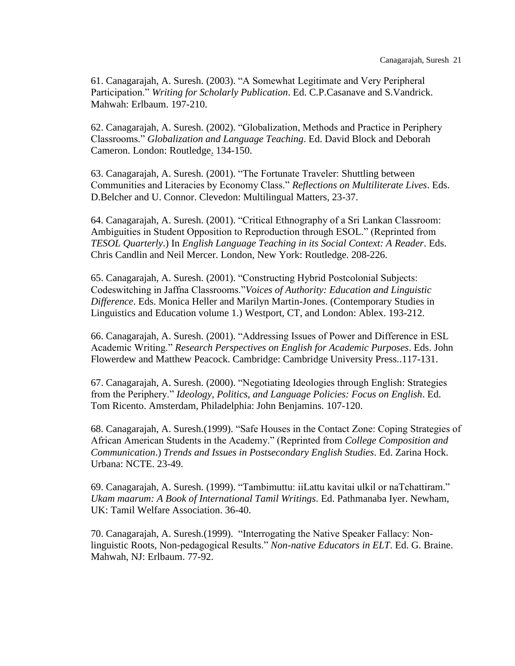61. Canagarajah, A. Suresh. (2003). "A Somewhat Legitimate and Very Peripheral Participation." *Writing for Scholarly Publication*. Ed. C.P.Casanave and S.Vandrick. Mahwah: Erlbaum. 197-210.

62. Canagarajah, A. Suresh. (2002). "Globalization, Methods and Practice in Periphery Classrooms." *Globalization and Language Teaching*. Ed. David Block and Deborah Cameron. London: Routledge. 134-150.

63. Canagarajah, A. Suresh. (2001). "The Fortunate Traveler: Shuttling between Communities and Literacies by Economy Class." *Reflections on Multiliterate Lives*. Eds. D.Belcher and U. Connor. Clevedon: Multilingual Matters, 23-37.

64. Canagarajah, A. Suresh. (2001). "Critical Ethnography of a Sri Lankan Classroom: Ambiguities in Student Opposition to Reproduction through ESOL." (Reprinted from *TESOL Quarterly*.) In *English Language Teaching in its Social Context: A Reader*. Eds. Chris Candlin and Neil Mercer. London, New York: Routledge. 208-226.

65. Canagarajah, A. Suresh. (2001). "Constructing Hybrid Postcolonial Subjects: Codeswitching in Jaffna Classrooms."*Voices of Authority: Education and Linguistic Difference*. Eds. Monica Heller and Marilyn Martin-Jones. (Contemporary Studies in Linguistics and Education volume 1.) Westport, CT, and London: Ablex. 193-212.

66. Canagarajah, A. Suresh. (2001). "Addressing Issues of Power and Difference in ESL Academic Writing." *Research Perspectives on English for Academic Purposes*. Eds. John Flowerdew and Matthew Peacock. Cambridge: Cambridge University Press*.*.117-131.

67. Canagarajah, A. Suresh. (2000). "Negotiating Ideologies through English: Strategies from the Periphery." *Ideology, Politics, and Language Policies: Focus on English*. Ed. Tom Ricento. Amsterdam, Philadelphia: John Benjamins. 107-120.

68. Canagarajah, A. Suresh.(1999). "Safe Houses in the Contact Zone: Coping Strategies of African American Students in the Academy." (Reprinted from *College Composition and Communication*.) *Trends and Issues in Postsecondary English Studies*. Ed. Zarina Hock. Urbana: NCTE. 23-49.

69. Canagarajah, A. Suresh. (1999). "Tambimuttu: iiLattu kavitai ulkil or naTchattiram." *Ukam maarum: A Book of International Tamil Writings*. Ed. Pathmanaba Iyer. Newham, UK: Tamil Welfare Association. 36-40.

70. Canagarajah, A. Suresh.(1999). "Interrogating the Native Speaker Fallacy: Nonlinguistic Roots, Non-pedagogical Results." *Non-native Educators in ELT*. Ed. G. Braine. Mahwah, NJ: Erlbaum. 77-92.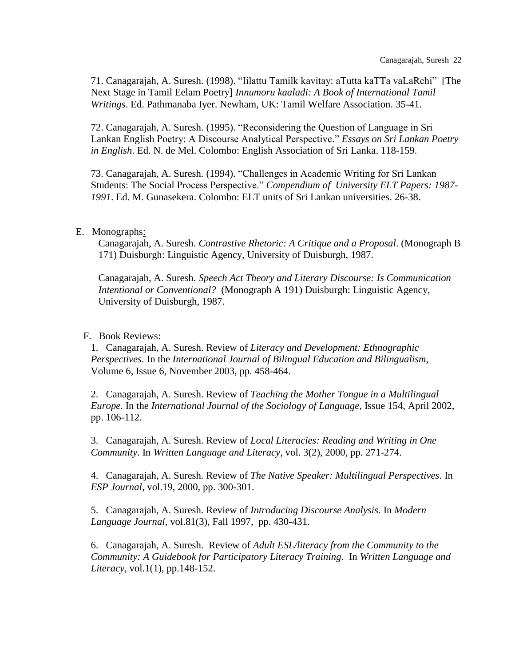71. Canagarajah, A. Suresh. (1998). "Iilattu Tamilk kavitay: aTutta kaTTa vaLaRchi" [The Next Stage in Tamil Eelam Poetry] *Innumoru kaaladi: A Book of International Tamil Writings*. Ed. Pathmanaba Iyer. Newham, UK: Tamil Welfare Association. 35-41.

72. Canagarajah, A. Suresh. (1995). "Reconsidering the Question of Language in Sri Lankan English Poetry: A Discourse Analytical Perspective." *Essays on Sri Lankan Poetry in English*. Ed. N. de Mel. Colombo: English Association of Sri Lanka. 118-159.

73. Canagarajah, A. Suresh. (1994). "Challenges in Academic Writing for Sri Lankan Students: The Social Process Perspective." *Compendium of University ELT Papers: 1987- 1991*. Ed. M. Gunasekera. Colombo: ELT units of Sri Lankan universities. 26-38.

## E. Monographs:

Canagarajah, A. Suresh. *Contrastive Rhetoric: A Critique and a Proposal*. (Monograph B 171) Duisburgh: Linguistic Agency, University of Duisburgh, 1987.

Canagarajah, A. Suresh. *Speech Act Theory and Literary Discourse: Is Communication Intentional or Conventional?* (Monograph A 191) Duisburgh: Linguistic Agency, University of Duisburgh, 1987.

## F. Book Reviews:

1. Canagarajah, A. Suresh. Review of *Literacy and Development: Ethnographic Perspectives.* In the *International Journal of Bilingual Education and Bilingualism*, Volume 6, Issue 6, November 2003, pp. 458-464.

2. Canagarajah, A. Suresh. Review of *Teaching the Mother Tongue in a Multilingual Europe*. In the *International Journal of the Sociology of Language*, Issue 154, April 2002, pp. 106-112.

3. Canagarajah, A. Suresh. Review of *Local Literacies: Reading and Writing in One Community*. In *Written Language and Literacy*, vol. 3(2), 2000, pp. 271-274.

4. Canagarajah, A. Suresh. Review of *The Native Speaker: Multilingual Perspectives*. In *ESP Journal*, vol.19, 2000, pp. 300-301.

5. Canagarajah, A. Suresh. Review of *Introducing Discourse Analysis*. In *Modern Language Journal*, vol.81(3), Fall 1997, pp. 430-431.

6. Canagarajah, A. Suresh. Review of *Adult ESL/literacy from the Community to the Community: A Guidebook for Participatory Literacy Training*. In *Written Language and Literacy*, vol.1(1), pp.148-152.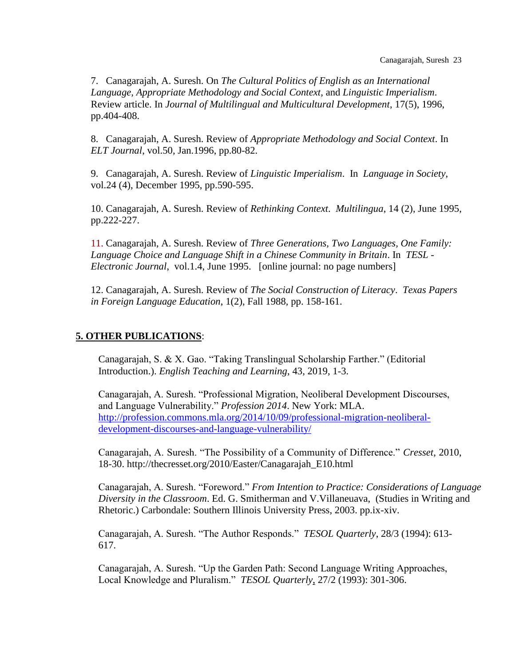7. Canagarajah, A. Suresh. On *The Cultural Politics of English as an International Language, Appropriate Methodology and Social Context*, and *Linguistic Imperialism*. Review article. In *Journal of Multilingual and Multicultural Development*, 17(5), 1996, pp.404-408.

8. Canagarajah, A. Suresh. Review of *Appropriate Methodology and Social Context*. In *ELT Journal*, vol.50, Jan.1996, pp.80-82.

9. Canagarajah, A. Suresh. Review of *Linguistic Imperialism*. In *Language in Society*, vol.24 (4), December 1995, pp.590-595.

10. Canagarajah, A. Suresh. Review of *Rethinking Context*. *Multilingua*, 14 (2), June 1995, pp.222-227.

11. Canagarajah, A. Suresh. Review of *Three Generations, Two Languages, One Family: Language Choice and Language Shift in a Chinese Community in Britain*. In *TESL - Electronic Journal*, vol.1.4, June 1995. [online journal: no page numbers]

12. Canagarajah, A. Suresh. Review of *The Social Construction of Literacy*. *Texas Papers in Foreign Language Education*, 1(2), Fall 1988, pp. 158-161.

# **5. OTHER PUBLICATIONS**:

Canagarajah, S. & X. Gao. "Taking Translingual Scholarship Farther." (Editorial Introduction.). *English Teaching and Learning*, 43, 2019, 1-3.

Canagarajah, A. Suresh. "Professional Migration, Neoliberal Development Discourses, and Language Vulnerability." *Profession 2014*. New York: MLA. [http://profession.commons.mla.org/2014/10/09/professional-migration-neoliberal](http://profession.commons.mla.org/2014/10/09/professional-migration-neoliberal-development-discourses-and-language-vulnerability/)[development-discourses-and-language-vulnerability/](http://profession.commons.mla.org/2014/10/09/professional-migration-neoliberal-development-discourses-and-language-vulnerability/)

Canagarajah, A. Suresh. "The Possibility of a Community of Difference." *Cresset*, 2010, 18-30. http://thecresset.org/2010/Easter/Canagarajah\_E10.html

Canagarajah, A. Suresh. "Foreword." *From Intention to Practice: Considerations of Language Diversity in the Classroom*. Ed. G. Smitherman and V.Villaneuava, (Studies in Writing and Rhetoric.) Carbondale: Southern Illinois University Press, 2003. pp.ix-xiv.

Canagarajah, A. Suresh. "The Author Responds." *TESOL Quarterly*, 28/3 (1994): 613- 617.

Canagarajah, A. Suresh. "Up the Garden Path: Second Language Writing Approaches, Local Knowledge and Pluralism." *TESOL Quarterly*, 27/2 (1993): 301-306.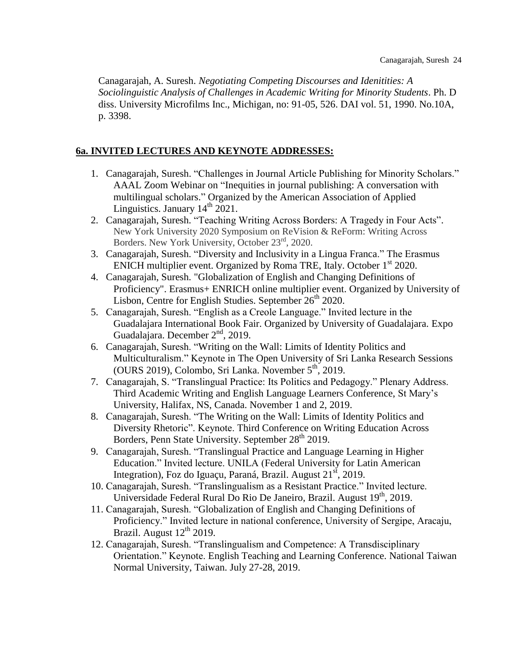Canagarajah, A. Suresh. *Negotiating Competing Discourses and Idenitities: A Sociolinguistic Analysis of Challenges in Academic Writing for Minority Students*. Ph. D diss. University Microfilms Inc., Michigan, no: 91-05, 526. DAI vol. 51, 1990. No.10A, p. 3398.

## **6a. INVITED LECTURES AND KEYNOTE ADDRESSES:**

- 1. Canagarajah, Suresh. "Challenges in Journal Article Publishing for Minority Scholars." AAAL Zoom Webinar on "Inequities in journal publishing: A conversation with multilingual scholars." Organized by the American Association of Applied Linguistics. January  $14<sup>th</sup> 2021$ .
- 2. Canagarajah, Suresh. "Teaching Writing Across Borders: A Tragedy in Four Acts". New York University 2020 Symposium on ReVision & ReForm: Writing Across Borders. New York University, October 23rd, 2020.
- 3. Canagarajah, Suresh. "Diversity and Inclusivity in a Lingua Franca." The Erasmus ENICH multiplier event. Organized by Roma TRE, Italy. October  $1<sup>st</sup> 2020$ .
- 4. Canagarajah, Suresh. "Globalization of English and Changing Definitions of Proficiency". Erasmus+ ENRICH online multiplier event. Organized by University of Lisbon, Centre for English Studies. September 26<sup>th</sup> 2020.
- 5. Canagarajah, Suresh. "English as a Creole Language." Invited lecture in the Guadalajara International Book Fair. Organized by University of Guadalajara. Expo Guadalajara. December  $2<sup>nd</sup>$ , 2019.
- 6. Canagarajah, Suresh. "Writing on the Wall: Limits of Identity Politics and Multiculturalism." Keynote in The Open University of Sri Lanka Research Sessions (OURS 2019), Colombo, Sri Lanka. November 5<sup>th</sup>, 2019.
- 7. Canagarajah, S. "Translingual Practice: Its Politics and Pedagogy." Plenary Address. Third Academic Writing and English Language Learners Conference, St Mary's University, Halifax, NS, Canada. November 1 and 2, 2019.
- 8. Canagarajah, Suresh. "The Writing on the Wall: Limits of Identity Politics and Diversity Rhetoric". Keynote. Third Conference on Writing Education Across Borders, Penn State University. September 28<sup>th</sup> 2019.
- 9. Canagarajah, Suresh. "Translingual Practice and Language Learning in Higher Education." Invited lecture. UNILA (Federal University for Latin American Integration), Foz do Iguaçu, Paraná, Brazil. August 21<sup>st</sup>, 2019.
- 10. Canagarajah, Suresh. "Translingualism as a Resistant Practice." Invited lecture. Universidade Federal Rural Do Rio De Janeiro, Brazil. August  $19<sup>th</sup>$ , 2019.
- 11. Canagarajah, Suresh. "Globalization of English and Changing Definitions of Proficiency." Invited lecture in national conference, University of Sergipe, Aracaju, Brazil. August  $12<sup>th</sup>$  2019.
- 12. Canagarajah, Suresh. "Translingualism and Competence: A Transdisciplinary Orientation." Keynote. English Teaching and Learning Conference. National Taiwan Normal University, Taiwan. July 27-28, 2019.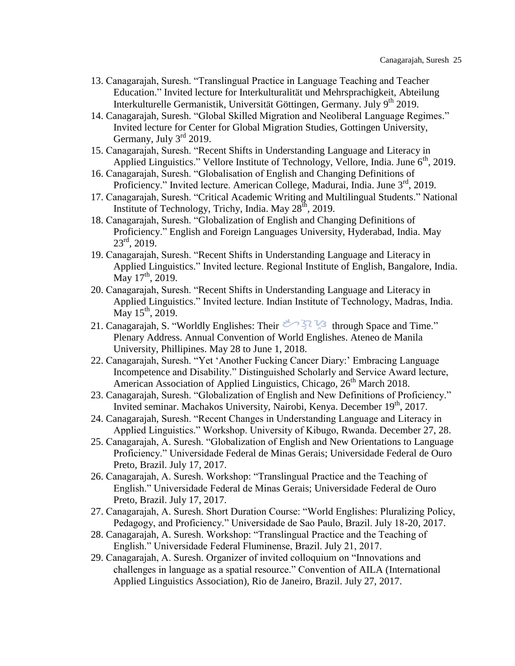- 13. Canagarajah, Suresh. "Translingual Practice in Language Teaching and Teacher Education." Invited lecture for Interkulturalität und Mehrsprachigkeit, Abteilung Interkulturelle Germanistik, Universität Göttingen, Germany. July  $9<sup>th</sup> 2019$ .
- 14. Canagarajah, Suresh. "Global Skilled Migration and Neoliberal Language Regimes." Invited lecture for Center for Global Migration Studies, Gottingen University, Germany, July  $3<sup>rd</sup>$  2019.
- 15. Canagarajah, Suresh. "Recent Shifts in Understanding Language and Literacy in Applied Linguistics." Vellore Institute of Technology, Vellore, India. June  $6<sup>th</sup>$ , 2019.
- 16. Canagarajah, Suresh. "Globalisation of English and Changing Definitions of Proficiency." Invited lecture. American College, Madurai, India. June  $3<sup>rd</sup>$ , 2019.
- 17. Canagarajah, Suresh. "Critical Academic Writing and Multilingual Students." National Institute of Technology, Trichy, India. May  $28<sup>th</sup>$ , 2019.
- 18. Canagarajah, Suresh. "Globalization of English and Changing Definitions of Proficiency." English and Foreign Languages University, Hyderabad, India. May  $23^{\text{rd}}$ , 2019.
- 19. Canagarajah, Suresh. "Recent Shifts in Understanding Language and Literacy in Applied Linguistics." Invited lecture. Regional Institute of English, Bangalore, India. May  $17^{\text{th}}$ , 2019.
- 20. Canagarajah, Suresh. "Recent Shifts in Understanding Language and Literacy in Applied Linguistics." Invited lecture. Indian Institute of Technology, Madras, India. May  $15^{th}$ , 2019.
- 21. Canagarajah, S. "Worldly Englishes: Their  $\frac{3}{2}$  s through Space and Time." Plenary Address. Annual Convention of World Englishes. Ateneo de Manila University, Phillipines. May 28 to June 1, 2018.
- 22. Canagarajah, Suresh. "Yet 'Another Fucking Cancer Diary:' Embracing Language Incompetence and Disability." Distinguished Scholarly and Service Award lecture, American Association of Applied Linguistics, Chicago, 26<sup>th</sup> March 2018.
- 23. Canagarajah, Suresh. "Globalization of English and New Definitions of Proficiency." Invited seminar. Machakos University, Nairobi, Kenya. December 19<sup>th</sup>, 2017.
- 24. Canagarajah, Suresh. "Recent Changes in Understanding Language and Literacy in Applied Linguistics." Workshop. University of Kibugo, Rwanda. December 27, 28.
- 25. Canagarajah, A. Suresh. "Globalization of English and New Orientations to Language Proficiency." Universidade Federal de Minas Gerais; Universidade Federal de Ouro Preto, Brazil. July 17, 2017.
- 26. Canagarajah, A. Suresh. Workshop: "Translingual Practice and the Teaching of English." Universidade Federal de Minas Gerais; Universidade Federal de Ouro Preto, Brazil. July 17, 2017.
- 27. Canagarajah, A. Suresh. Short Duration Course: "World Englishes: Pluralizing Policy, Pedagogy, and Proficiency." Universidade de Sao Paulo, Brazil. July 18-20, 2017.
- 28. Canagarajah, A. Suresh. Workshop: "Translingual Practice and the Teaching of English." Universidade Federal Fluminense, Brazil. July 21, 2017.
- 29. Canagarajah, A. Suresh. Organizer of invited colloquium on "Innovations and challenges in language as a spatial resource." Convention of AILA (International Applied Linguistics Association), Rio de Janeiro, Brazil. July 27, 2017.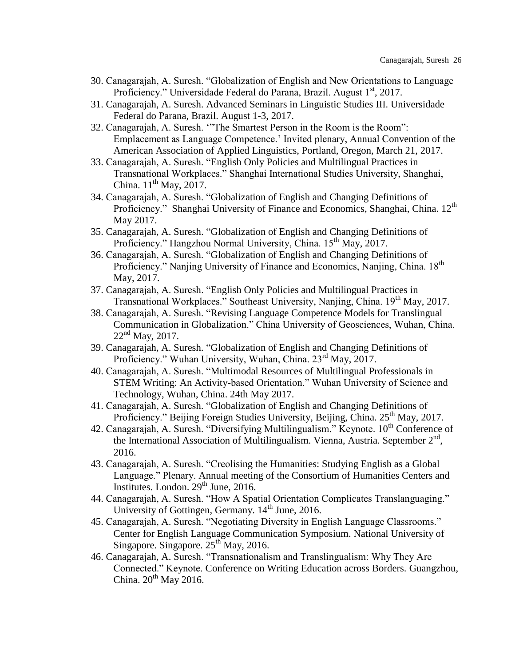- 30. Canagarajah, A. Suresh. "Globalization of English and New Orientations to Language Proficiency." Universidade Federal do Parana, Brazil. August 1<sup>st</sup>, 2017.
- 31. Canagarajah, A. Suresh. Advanced Seminars in Linguistic Studies III. Universidade Federal do Parana, Brazil. August 1-3, 2017.
- 32. Canagarajah, A. Suresh. '"The Smartest Person in the Room is the Room": Emplacement as Language Competence.' Invited plenary, Annual Convention of the American Association of Applied Linguistics, Portland, Oregon, March 21, 2017.
- 33. Canagarajah, A. Suresh. "English Only Policies and Multilingual Practices in Transnational Workplaces." Shanghai International Studies University, Shanghai, China.  $11<sup>th</sup>$  May, 2017.
- 34. Canagarajah, A. Suresh. "Globalization of English and Changing Definitions of Proficiency." Shanghai University of Finance and Economics, Shanghai, China. 12<sup>th</sup> May 2017.
- 35. Canagarajah, A. Suresh. "Globalization of English and Changing Definitions of Proficiency." Hangzhou Normal University, China. 15<sup>th</sup> May, 2017.
- 36. Canagarajah, A. Suresh. "Globalization of English and Changing Definitions of Proficiency." Nanjing University of Finance and Economics, Nanjing, China. 18<sup>th</sup> May, 2017.
- 37. Canagarajah, A. Suresh. "English Only Policies and Multilingual Practices in Transnational Workplaces." Southeast University, Nanjing, China. 19<sup>th</sup> May, 2017.
- 38. Canagarajah, A. Suresh. "Revising Language Competence Models for Translingual Communication in Globalization." China University of Geosciences, Wuhan, China.  $22<sup>nd</sup>$  May, 2017.
- 39. Canagarajah, A. Suresh. "Globalization of English and Changing Definitions of Proficiency." Wuhan University, Wuhan, China. 23<sup>rd</sup> May, 2017.
- 40. Canagarajah, A. Suresh. "Multimodal Resources of Multilingual Professionals in STEM Writing: An Activity-based Orientation." Wuhan University of Science and Technology, Wuhan, China. 24th May 2017.
- 41. Canagarajah, A. Suresh. "Globalization of English and Changing Definitions of Proficiency." Beijing Foreign Studies University, Beijing, China. 25<sup>th</sup> May, 2017.
- 42. Canagarajah, A. Suresh. "Diversifying Multilingualism." Keynote.  $10^{th}$  Conference of the International Association of Multilingualism. Vienna, Austria. September 2<sup>nd</sup>, 2016.
- 43. Canagarajah, A. Suresh. "Creolising the Humanities: Studying English as a Global Language." Plenary. Annual meeting of the Consortium of Humanities Centers and Institutes. London. 29<sup>th</sup> June, 2016.
- 44. Canagarajah, A. Suresh. "How A Spatial Orientation Complicates Translanguaging." University of Gottingen, Germany.  $14<sup>th</sup>$  June, 2016.
- 45. Canagarajah, A. Suresh. "Negotiating Diversity in English Language Classrooms." Center for English Language Communication Symposium. National University of Singapore. Singapore.  $25<sup>th</sup>$  May, 2016.
- 46. Canagarajah, A. Suresh. "Transnationalism and Translingualism: Why They Are Connected." Keynote. Conference on Writing Education across Borders. Guangzhou, China.  $20^{th}$  May 2016.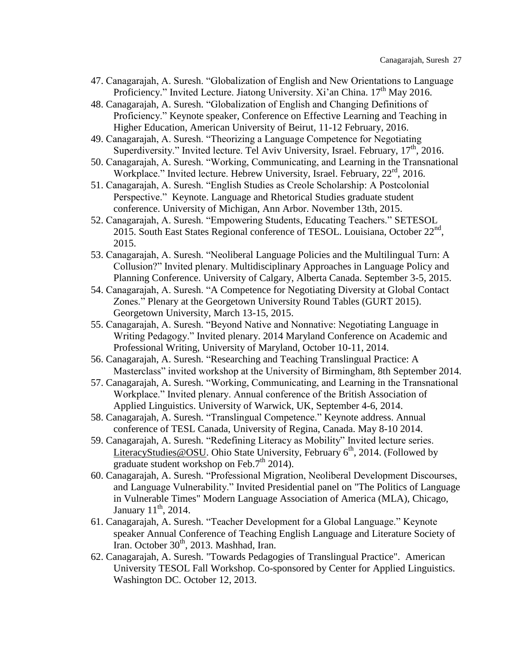- 47. Canagarajah, A. Suresh. "Globalization of English and New Orientations to Language Proficiency." Invited Lecture. Jiatong University. Xi'an China.  $17<sup>th</sup>$  May 2016.
- 48. Canagarajah, A. Suresh. "Globalization of English and Changing Definitions of Proficiency." Keynote speaker, Conference on Effective Learning and Teaching in Higher Education, American University of Beirut, 11-12 February, 2016.
- 49. Canagarajah, A. Suresh. "Theorizing a Language Competence for Negotiating Superdiversity." Invited lecture. Tel Aviv University, Israel. February,  $17<sup>th</sup>$ , 2016.
- 50. Canagarajah, A. Suresh. "Working, Communicating, and Learning in the Transnational Workplace." Invited lecture. Hebrew University, Israel. February, 22<sup>rd</sup>, 2016.
- 51. Canagarajah, A. Suresh. "English Studies as Creole Scholarship: A Postcolonial Perspective." Keynote. Language and Rhetorical Studies graduate student conference. University of Michigan, Ann Arbor. November 13th, 2015.
- 52. Canagarajah, A. Suresh. "Empowering Students, Educating Teachers." SETESOL 2015. South East States Regional conference of TESOL. Louisiana, October 22<sup>nd</sup>, 2015.
- 53. Canagarajah, A. Suresh. "Neoliberal Language Policies and the Multilingual Turn: A Collusion?" Invited plenary. Multidisciplinary Approaches in Language Policy and Planning Conference. University of Calgary, Alberta Canada. September 3-5, 2015.
- 54. Canagarajah, A. Suresh. "A Competence for Negotiating Diversity at Global Contact Zones." Plenary at the Georgetown University Round Tables (GURT 2015). Georgetown University, March 13-15, 2015.
- 55. Canagarajah, A. Suresh. "Beyond Native and Nonnative: Negotiating Language in Writing Pedagogy." Invited plenary. 2014 Maryland Conference on Academic and Professional Writing, University of Maryland, October 10-11, 2014.
- 56. Canagarajah, A. Suresh. "Researching and Teaching Translingual Practice: A Masterclass" invited workshop at the University of Birmingham, 8th September 2014.
- 57. Canagarajah, A. Suresh. "Working, Communicating, and Learning in the Transnational Workplace." Invited plenary. Annual conference of the British Association of Applied Linguistics. University of Warwick, UK, September 4-6, 2014.
- 58. Canagarajah, A. Suresh. "Translingual Competence." Keynote address. Annual conference of TESL Canada, University of Regina, Canada. May 8-10 2014.
- 59. Canagarajah, A. Suresh. "Redefining Literacy as Mobility" Invited lecture series. [LiteracyStudies@OSU.](https://webmail.psu.edu/webmail/blankIe.html) Ohio State University, February  $6<sup>th</sup>$ , 2014. (Followed by graduate student workshop on Feb.7<sup>th</sup> 2014).
- 60. Canagarajah, A. Suresh. "Professional Migration, Neoliberal Development Discourses, and Language Vulnerability." Invited Presidential panel on "The Politics of Language in Vulnerable Times" Modern Language Association of America (MLA), Chicago, January  $11<sup>th</sup>$ , 2014.
- 61. Canagarajah, A. Suresh. "Teacher Development for a Global Language." Keynote speaker Annual Conference of Teaching English Language and Literature Society of Iran. October 30<sup>th</sup>, 2013. Mashhad, Iran.
- 62. Canagarajah, A. Suresh. "Towards Pedagogies of Translingual Practice". American University TESOL Fall Workshop. Co-sponsored by Center for Applied Linguistics. Washington DC. October 12, 2013.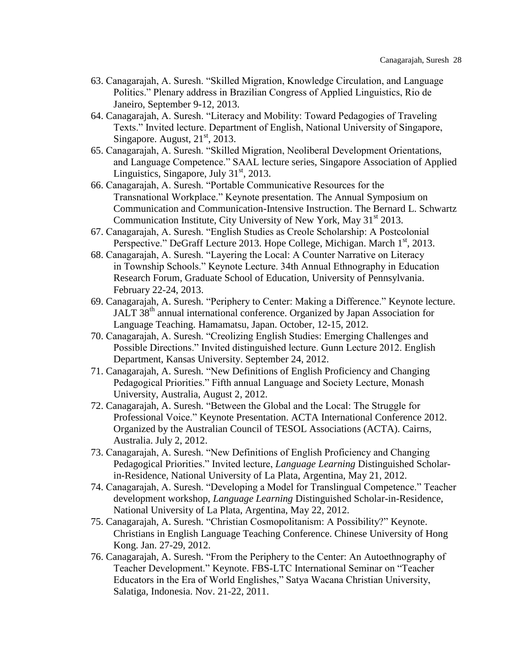- 63. Canagarajah, A. Suresh. "Skilled Migration, Knowledge Circulation, and Language Politics." Plenary address in Brazilian Congress of Applied Linguistics, Rio de Janeiro, September 9-12, 2013.
- 64. Canagarajah, A. Suresh. "Literacy and Mobility: Toward Pedagogies of Traveling Texts." Invited lecture. Department of English, National University of Singapore, Singapore. August,  $21<sup>st</sup>$ , 2013.
- 65. Canagarajah, A. Suresh. "Skilled Migration, Neoliberal Development Orientations, and Language Competence." SAAL lecture series, Singapore Association of Applied Linguistics, Singapore, July 31<sup>st</sup>, 2013.
- 66. Canagarajah, A. Suresh. "Portable Communicative Resources for the Transnational Workplace." Keynote presentation. The Annual Symposium on Communication and Communication-Intensive Instruction. The Bernard L. Schwartz Communication Institute, City University of New York, May 31<sup>st</sup> 2013.
- 67. Canagarajah, A. Suresh. "English Studies as Creole Scholarship: A Postcolonial Perspective." DeGraff Lecture 2013. Hope College, Michigan. March  $1<sup>st</sup>$ , 2013.
- 68. Canagarajah, A. Suresh. "Layering the Local: A Counter Narrative on Literacy in Township Schools." Keynote Lecture. 34th Annual Ethnography in Education Research Forum, Graduate School of Education, University of Pennsylvania. February 22-24, 2013.
- 69. Canagarajah, A. Suresh. "Periphery to Center: Making a Difference." Keynote lecture. JALT 38<sup>th</sup> annual international conference. Organized by Japan Association for Language Teaching. Hamamatsu, Japan. October, 12-15, 2012.
- 70. Canagarajah, A. Suresh. "Creolizing English Studies: Emerging Challenges and Possible Directions." Invited distinguished lecture. Gunn Lecture 2012. English Department, Kansas University. September 24, 2012.
- 71. Canagarajah, A. Suresh. "New Definitions of English Proficiency and Changing Pedagogical Priorities." Fifth annual Language and Society Lecture, Monash University, Australia, August 2, 2012.
- 72. Canagarajah, A. Suresh. "Between the Global and the Local: The Struggle for Professional Voice." Keynote Presentation. ACTA International Conference 2012. Organized by the Australian Council of TESOL Associations (ACTA). Cairns, Australia. July 2, 2012.
- 73. Canagarajah, A. Suresh. "New Definitions of English Proficiency and Changing Pedagogical Priorities." Invited lecture, *Language Learning* Distinguished Scholarin-Residence, National University of La Plata, Argentina, May 21, 2012.
- 74. Canagarajah, A. Suresh. "Developing a Model for Translingual Competence." Teacher development workshop, *Language Learning* Distinguished Scholar-in-Residence, National University of La Plata, Argentina, May 22, 2012.
- 75. Canagarajah, A. Suresh. "Christian Cosmopolitanism: A Possibility?" Keynote. Christians in English Language Teaching Conference. Chinese University of Hong Kong. Jan. 27-29, 2012.
- 76. Canagarajah, A. Suresh. "From the Periphery to the Center: An Autoethnography of Teacher Development." Keynote. FBS-LTC International Seminar on "Teacher Educators in the Era of World Englishes," Satya Wacana Christian University, Salatiga, Indonesia. Nov. 21-22, 2011.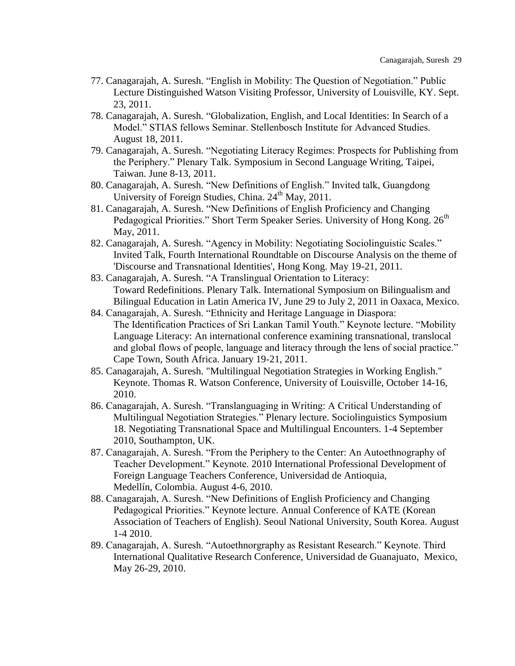- 77. Canagarajah, A. Suresh. "English in Mobility: The Question of Negotiation." Public Lecture Distinguished Watson Visiting Professor, University of Louisville, KY. Sept. 23, 2011.
- 78. Canagarajah, A. Suresh. "Globalization, English, and Local Identities: In Search of a Model." STIAS fellows Seminar. Stellenbosch Institute for Advanced Studies. August 18, 2011.
- 79. Canagarajah, A. Suresh. "Negotiating Literacy Regimes: Prospects for Publishing from the Periphery." Plenary Talk. Symposium in Second Language Writing, Taipei, Taiwan. June 8-13, 2011.
- 80. Canagarajah, A. Suresh. "New Definitions of English." Invited talk, Guangdong University of Foreign Studies, China.  $24<sup>th</sup>$  May, 2011.
- 81. Canagarajah, A. Suresh. "New Definitions of English Proficiency and Changing Pedagogical Priorities." Short Term Speaker Series. University of Hong Kong. 26<sup>th</sup> May, 2011.
- 82. Canagarajah, A. Suresh. "Agency in Mobility: Negotiating Sociolinguistic Scales." Invited Talk, Fourth International Roundtable on Discourse Analysis on the theme of 'Discourse and Transnational Identities', Hong Kong. May 19-21, 2011.
- 83. Canagarajah, A. Suresh. "A Translingual Orientation to Literacy: Toward Redefinitions. Plenary Talk. International Symposium on Bilingualism and Bilingual Education in Latin America IV, June 29 to July 2, 2011 in Oaxaca, Mexico.
- 84. Canagarajah, A. Suresh. "Ethnicity and Heritage Language in Diaspora: The Identification Practices of Sri Lankan Tamil Youth." Keynote lecture. "Mobility Language Literacy: An international conference examining transnational, translocal and global flows of people, language and literacy through the lens of social practice." Cape Town, South Africa. January 19-21, 2011.
- 85. Canagarajah, A. Suresh. "Multilingual Negotiation Strategies in Working English." Keynote. Thomas R. Watson Conference, University of Louisville, October 14-16, 2010.
- 86. Canagarajah, A. Suresh. "Translanguaging in Writing: A Critical Understanding of Multilingual Negotiation Strategies." Plenary lecture. Sociolinguistics Symposium 18. Negotiating Transnational Space and Multilingual Encounters. 1-4 September 2010, Southampton, UK.
- 87. Canagarajah, A. Suresh. "From the Periphery to the Center: An Autoethnography of Teacher Development." Keynote. 2010 International Professional Development of Foreign Language Teachers Conference, Universidad de Antioquia, Medellín, Colombia. August 4-6, 2010.
- 88. Canagarajah, A. Suresh. "New Definitions of English Proficiency and Changing Pedagogical Priorities." Keynote lecture. Annual Conference of KATE (Korean Association of Teachers of English). Seoul National University, South Korea. August 1-4 2010.
- 89. Canagarajah, A. Suresh. "Autoethnorgraphy as Resistant Research." Keynote. Third International Qualitative Research Conference, Universidad de Guanajuato, Mexico, May 26-29, 2010.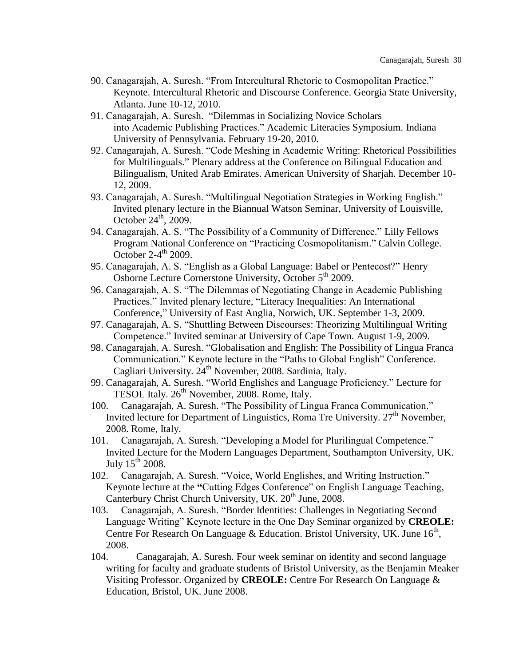- 90. Canagarajah, A. Suresh. "From Intercultural Rhetoric to Cosmopolitan Practice." Keynote. Intercultural Rhetoric and Discourse Conference. Georgia State University, Atlanta. June 10-12, 2010.
- 91. Canagarajah, A. Suresh. "Dilemmas in Socializing Novice Scholars into Academic Publishing Practices." Academic Literacies Symposium. Indiana University of Pennsylvania. February 19-20, 2010.
- 92. Canagarajah, A. Suresh. "Code Meshing in Academic Writing: Rhetorical Possibilities for Multilinguals." Plenary address at the Conference on Bilingual Education and Bilingualism, United Arab Emirates. American University of Sharjah. December 10- 12, 2009.
- 93. Canagarajah, A. Suresh. "Multilingual Negotiation Strategies in Working English." Invited plenary lecture in the Biannual Watson Seminar, University of Louisville, October  $24^{\text{th}}$ , 2009.
- 94. Canagarajah, A. S. "The Possibility of a Community of Difference." Lilly Fellows Program National Conference on "Practicing Cosmopolitanism." Calvin College. October  $2-4$ <sup>th</sup> 2009.
- 95. Canagarajah, A. S. "English as a Global Language: Babel or Pentecost?" Henry Osborne Lecture Cornerstone University, October 5<sup>th</sup> 2009.
- 96. Canagarajah, A. S. "The Dilemmas of Negotiating Change in Academic Publishing Practices." Invited plenary lecture, "Literacy Inequalities: An International Conference," University of East Anglia, Norwich, UK. September 1-3, 2009.
- 97. Canagarajah, A. S. "Shuttling Between Discourses: Theorizing Multilingual Writing Competence." Invited seminar at University of Cape Town. August 1-9, 2009.
- 98. Canagarajah, A. Suresh. "Globalisation and English: The Possibility of Lingua Franca Communication." Keynote lecture in the "Paths to Global English" Conference. Cagliari University. 24<sup>th</sup> November, 2008. Sardinia, Italy.
- 99. Canagarajah, A. Suresh. "World Englishes and Language Proficiency." Lecture for TESOL Italy. 26<sup>th</sup> November, 2008. Rome, Italy.
- 100. Canagarajah, A. Suresh. "The Possibility of Lingua Franca Communication." Invited lecture for Department of Linguistics, Roma Tre University.  $27<sup>th</sup>$  November, 2008. Rome, Italy.
- 101. Canagarajah, A. Suresh. "Developing a Model for Plurilingual Competence." Invited Lecture for the Modern Languages Department, Southampton University, UK. July  $15^{\text{th}}$  2008.
- 102. Canagarajah, A. Suresh. "Voice, World Englishes, and Writing Instruction." Keynote lecture at the **"**Cutting Edges Conference" on English Language Teaching, Canterbury Christ Church University, UK. 20<sup>th</sup> June, 2008.
- 103. Canagarajah, A. Suresh. "Border Identities: Challenges in Negotiating Second Language Writing" Keynote lecture in the One Day Seminar organized by **CREOLE:**  Centre For Research On Language & Education. Bristol University, UK. June  $16<sup>th</sup>$ , 2008.
- 104. Canagarajah, A. Suresh. Four week seminar on identity and second language writing for faculty and graduate students of Bristol University, as the Benjamin Meaker Visiting Professor. Organized by **CREOLE:** Centre For Research On Language & Education, Bristol, UK. June 2008.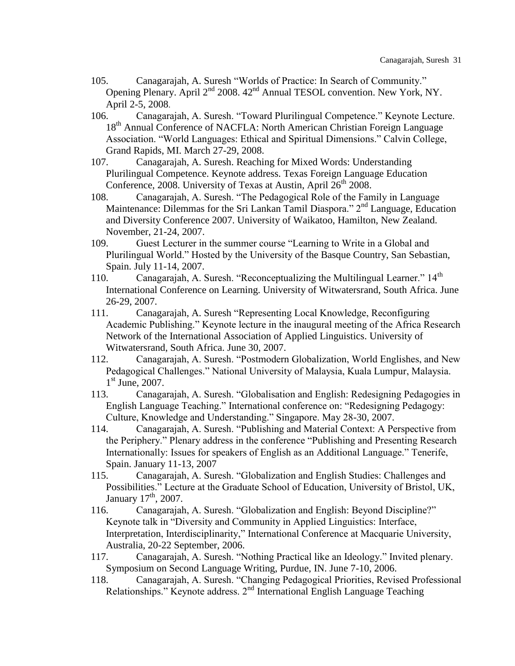- 105. Canagarajah, A. Suresh "Worlds of Practice: In Search of Community." Opening Plenary. April 2<sup>nd</sup> 2008. 42<sup>nd</sup> Annual TESOL convention. New York, NY. April 2-5, 2008.
- 106. Canagarajah, A. Suresh. "Toward Plurilingual Competence." Keynote Lecture. 18<sup>th</sup> Annual Conference of NACFLA: North American Christian Foreign Language Association. "World Languages: Ethical and Spiritual Dimensions." Calvin College, Grand Rapids, MI. March 27-29, 2008.
- 107. Canagarajah, A. Suresh. Reaching for Mixed Words: Understanding Plurilingual Competence. Keynote address. Texas Foreign Language Education Conference,  $2008$ . University of Texas at Austin, April  $26<sup>th</sup> 2008$ .
- 108. Canagarajah, A. Suresh. "The Pedagogical Role of the Family in Language Maintenance: Dilemmas for the Sri Lankan Tamil Diaspora."  $2<sup>nd</sup>$  Language, Education and Diversity Conference 2007. University of Waikatoo, Hamilton, New Zealand. November, 21-24, 2007.
- 109. Guest Lecturer in the summer course "Learning to Write in a Global and Plurilingual World." Hosted by the University of the Basque Country, San Sebastian, Spain. July 11-14, 2007.
- 110. Canagarajah, A. Suresh. "Reconceptualizing the Multilingual Learner."  $14<sup>th</sup>$ International Conference on Learning. University of Witwatersrand, South Africa. June 26-29, 2007.
- 111. Canagarajah, A. Suresh "Representing Local Knowledge, Reconfiguring Academic Publishing." Keynote lecture in the inaugural meeting of the Africa Research Network of the International Association of Applied Linguistics. University of Witwatersrand, South Africa. June 30, 2007.
- 112. Canagarajah, A. Suresh. "Postmodern Globalization, World Englishes, and New Pedagogical Challenges." National University of Malaysia, Kuala Lumpur, Malaysia. 1<sup>st</sup> June, 2007.
- 113. Canagarajah, A. Suresh. "Globalisation and English: Redesigning Pedagogies in English Language Teaching." International conference on: "Redesigning Pedagogy: Culture, Knowledge and Understanding." Singapore. May 28-30, 2007.
- 114. Canagarajah, A. Suresh. "Publishing and Material Context: A Perspective from the Periphery." Plenary address in the conference "Publishing and Presenting Research Internationally: Issues for speakers of English as an Additional Language." Tenerife, Spain. January 11-13, 2007
- 115. Canagarajah, A. Suresh. "Globalization and English Studies: Challenges and Possibilities." Lecture at the Graduate School of Education, University of Bristol, UK, January  $17<sup>th</sup>$ , 2007.
- 116. Canagarajah, A. Suresh. "Globalization and English: Beyond Discipline?" Keynote talk in "Diversity and Community in Applied Linguistics: Interface, Interpretation, Interdisciplinarity," International Conference at Macquarie University, Australia, 20-22 September, 2006.
- 117. Canagarajah, A. Suresh. "Nothing Practical like an Ideology." Invited plenary. Symposium on Second Language Writing, Purdue, IN. June 7-10, 2006.
- 118. Canagarajah, A. Suresh. "Changing Pedagogical Priorities, Revised Professional Relationships." Keynote address. 2nd International English Language Teaching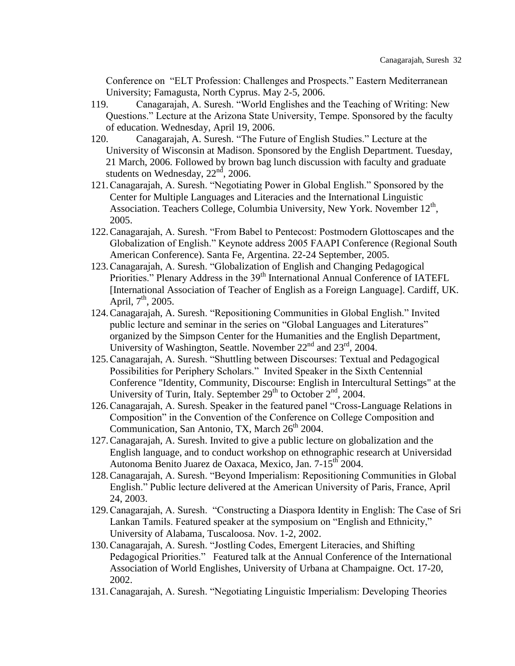Conference on "ELT Profession: Challenges and Prospects." Eastern Mediterranean University; Famagusta, North Cyprus. May 2-5, 2006.

- 119. Canagarajah, A. Suresh. "World Englishes and the Teaching of Writing: New Questions." Lecture at the Arizona State University, Tempe. Sponsored by the faculty of education. Wednesday, April 19, 2006.
- 120. Canagarajah, A. Suresh. "The Future of English Studies." Lecture at the University of Wisconsin at Madison. Sponsored by the English Department. Tuesday, 21 March, 2006. Followed by brown bag lunch discussion with faculty and graduate students on Wednesday,  $22<sup>nd</sup>$ , 2006.
- 121.Canagarajah, A. Suresh. "Negotiating Power in Global English." Sponsored by the Center for Multiple Languages and Literacies and the International Linguistic Association. Teachers College, Columbia University, New York. November  $12<sup>th</sup>$ , 2005.
- 122.Canagarajah, A. Suresh. "From Babel to Pentecost: Postmodern Glottoscapes and the Globalization of English." Keynote address 2005 FAAPI Conference (Regional South American Conference). Santa Fe, Argentina. 22-24 September, 2005.
- 123.Canagarajah, A. Suresh. "Globalization of English and Changing Pedagogical Priorities." Plenary Address in the 39<sup>th</sup> International Annual Conference of IATEFL [International Association of Teacher of English as a Foreign Language]. Cardiff, UK. April,  $7^{\text{th}}$ , 2005.
- 124.Canagarajah, A. Suresh. "Repositioning Communities in Global English." Invited public lecture and seminar in the series on "Global Languages and Literatures" organized by the Simpson Center for the Humanities and the English Department, University of Washington, Seattle. November 22<sup>nd</sup> and 23<sup>rd</sup>, 2004.
- 125.Canagarajah, A. Suresh. "Shuttling between Discourses: Textual and Pedagogical Possibilities for Periphery Scholars." Invited Speaker in the Sixth Centennial Conference "Identity, Community, Discourse: English in Intercultural Settings" at the University of Turin, Italy. September  $29<sup>th</sup>$  to October  $2<sup>nd</sup>$ , 2004.
- 126.Canagarajah, A. Suresh. Speaker in the featured panel "Cross-Language Relations in Composition" in the Convention of the Conference on College Composition and Communication, San Antonio, TX, March  $26<sup>th</sup>$  2004.
- 127.Canagarajah, A. Suresh. Invited to give a public lecture on globalization and the English language, and to conduct workshop on ethnographic research at Universidad Autonoma Benito Juarez de Oaxaca, Mexico, Jan. 7-15<sup>th</sup> 2004.
- 128.Canagarajah, A. Suresh. "Beyond Imperialism: Repositioning Communities in Global English." Public lecture delivered at the American University of Paris, France, April 24, 2003.
- 129.Canagarajah, A. Suresh. "Constructing a Diaspora Identity in English: The Case of Sri Lankan Tamils. Featured speaker at the symposium on "English and Ethnicity," University of Alabama, Tuscaloosa. Nov. 1-2, 2002.
- 130.Canagarajah, A. Suresh. "Jostling Codes, Emergent Literacies, and Shifting Pedagogical Priorities." Featured talk at the Annual Conference of the International Association of World Englishes, University of Urbana at Champaigne. Oct. 17-20, 2002.
- 131.Canagarajah, A. Suresh. "Negotiating Linguistic Imperialism: Developing Theories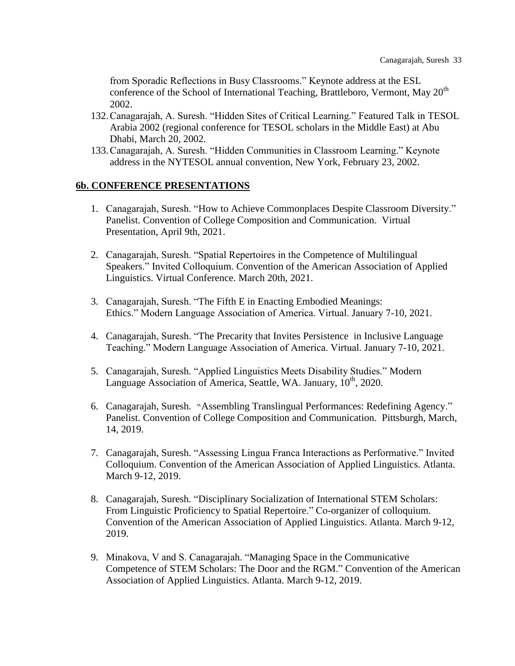from Sporadic Reflections in Busy Classrooms." Keynote address at the ESL conference of the School of International Teaching, Brattleboro, Vermont, May  $20<sup>th</sup>$ 2002.

- 132.Canagarajah, A. Suresh. "Hidden Sites of Critical Learning." Featured Talk in TESOL Arabia 2002 (regional conference for TESOL scholars in the Middle East) at Abu Dhabi, March 20, 2002.
- 133.Canagarajah, A. Suresh. "Hidden Communities in Classroom Learning." Keynote address in the NYTESOL annual convention, New York, February 23, 2002.

## **6b. CONFERENCE PRESENTATIONS**

- 1. Canagarajah, Suresh. "How to Achieve Commonplaces Despite Classroom Diversity." Panelist. Convention of College Composition and Communication. Virtual Presentation, April 9th, 2021.
- 2. Canagarajah, Suresh. "Spatial Repertoires in the Competence of Multilingual Speakers." Invited Colloquium. Convention of the American Association of Applied Linguistics. Virtual Conference. March 20th, 2021.
- 3. Canagarajah, Suresh. "The Fifth E in Enacting Embodied Meanings: Ethics." Modern Language Association of America. Virtual. January 7-10, 2021.
- 4. Canagarajah, Suresh. "The Precarity that Invites Persistence in Inclusive Language Teaching." Modern Language Association of America. Virtual. January 7-10, 2021.
- 5. Canagarajah, Suresh. "Applied Linguistics Meets Disability Studies." Modern Language Association of America, Seattle, WA. January, 10<sup>th</sup>, 2020.
- 6. Canagarajah, Suresh. "Assembling Translingual Performances: Redefining Agency." Panelist. Convention of College Composition and Communication. Pittsburgh, March, 14, 2019.
- 7. Canagarajah, Suresh. "Assessing Lingua Franca Interactions as Performative." Invited Colloquium. Convention of the American Association of Applied Linguistics. Atlanta. March 9-12, 2019.
- 8. Canagarajah, Suresh. "Disciplinary Socialization of International STEM Scholars: From Linguistic Proficiency to Spatial Repertoire." Co-organizer of colloquium. Convention of the American Association of Applied Linguistics. Atlanta. March 9-12, 2019.
- 9. Minakova, V and S. Canagarajah. "Managing Space in the Communicative Competence of STEM Scholars: The Door and the RGM." Convention of the American Association of Applied Linguistics. Atlanta. March 9-12, 2019.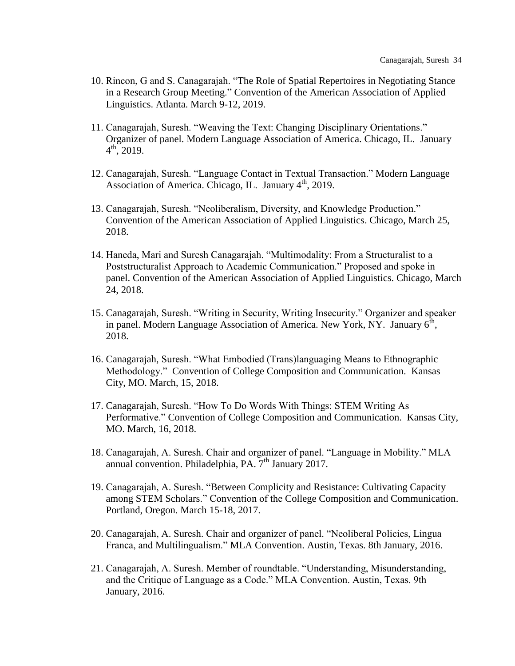- 10. Rincon, G and S. Canagarajah. "The Role of Spatial Repertoires in Negotiating Stance in a Research Group Meeting." Convention of the American Association of Applied Linguistics. Atlanta. March 9-12, 2019.
- 11. Canagarajah, Suresh. "Weaving the Text: Changing Disciplinary Orientations." Organizer of panel. Modern Language Association of America. Chicago, IL. January  $4^{\text{th}}$ , 2019.
- 12. Canagarajah, Suresh. "Language Contact in Textual Transaction." Modern Language Association of America. Chicago, IL. January  $4<sup>th</sup>$ , 2019.
- 13. Canagarajah, Suresh. "Neoliberalism, Diversity, and Knowledge Production." Convention of the American Association of Applied Linguistics. Chicago, March 25, 2018.
- 14. Haneda, Mari and Suresh Canagarajah. "Multimodality: From a Structuralist to a Poststructuralist Approach to Academic Communication." Proposed and spoke in panel. Convention of the American Association of Applied Linguistics. Chicago, March 24, 2018.
- 15. Canagarajah, Suresh. "Writing in Security, Writing Insecurity." Organizer and speaker in panel. Modern Language Association of America. New York, NY. January  $6^{\text{th}}$ , 2018.
- 16. Canagarajah, Suresh. "What Embodied (Trans)languaging Means to Ethnographic Methodology." Convention of College Composition and Communication. Kansas City, MO. March, 15, 2018.
- 17. Canagarajah, Suresh. "How To Do Words With Things: STEM Writing As Performative." Convention of College Composition and Communication. Kansas City, MO. March, 16, 2018.
- 18. Canagarajah, A. Suresh. Chair and organizer of panel. "Language in Mobility." MLA annual convention. Philadelphia, PA.  $7<sup>th</sup>$  January 2017.
- 19. Canagarajah, A. Suresh. "Between Complicity and Resistance: Cultivating Capacity among STEM Scholars." Convention of the College Composition and Communication. Portland, Oregon. March 15-18, 2017.
- 20. Canagarajah, A. Suresh. Chair and organizer of panel. "Neoliberal Policies, Lingua Franca, and Multilingualism." MLA Convention. Austin, Texas. 8th January, 2016.
- 21. Canagarajah, A. Suresh. Member of roundtable. "Understanding, Misunderstanding, and the Critique of Language as a Code." MLA Convention. Austin, Texas. 9th January, 2016.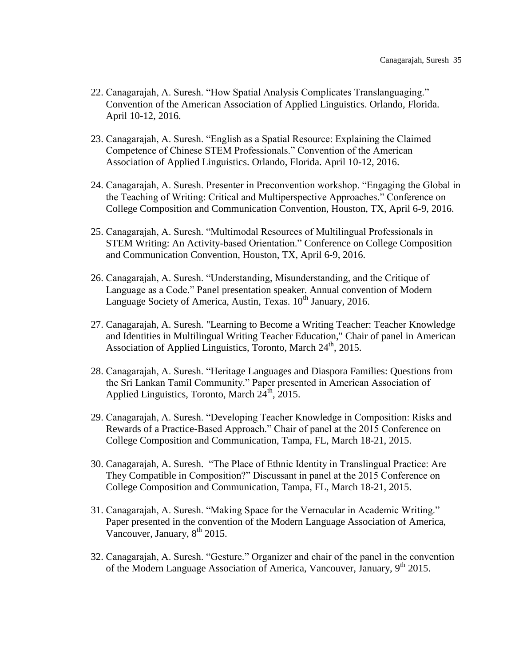- 22. Canagarajah, A. Suresh. "How Spatial Analysis Complicates Translanguaging." Convention of the American Association of Applied Linguistics. Orlando, Florida. April 10-12, 2016.
- 23. Canagarajah, A. Suresh. "English as a Spatial Resource: Explaining the Claimed Competence of Chinese STEM Professionals." Convention of the American Association of Applied Linguistics. Orlando, Florida. April 10-12, 2016.
- 24. Canagarajah, A. Suresh. Presenter in Preconvention workshop. "Engaging the Global in the Teaching of Writing: Critical and Multiperspective Approaches." Conference on College Composition and Communication Convention, Houston, TX, April 6-9, 2016.
- 25. Canagarajah, A. Suresh. "Multimodal Resources of Multilingual Professionals in STEM Writing: An Activity-based Orientation." Conference on College Composition and Communication Convention, Houston, TX, April 6-9, 2016.
- 26. Canagarajah, A. Suresh. "Understanding, Misunderstanding, and the Critique of Language as a Code." Panel presentation speaker. Annual convention of Modern Language Society of America, Austin, Texas.  $10^{th}$  January, 2016.
- 27. Canagarajah, A. Suresh. "Learning to Become a Writing Teacher: Teacher Knowledge and Identities in Multilingual Writing Teacher Education," Chair of panel in American Association of Applied Linguistics, Toronto, March  $24<sup>th</sup>$ , 2015.
- 28. Canagarajah, A. Suresh. "Heritage Languages and Diaspora Families: Questions from the Sri Lankan Tamil Community." Paper presented in American Association of Applied Linguistics, Toronto, March  $24<sup>th</sup>$ , 2015.
- 29. Canagarajah, A. Suresh. "Developing Teacher Knowledge in Composition: Risks and Rewards of a Practice-Based Approach." Chair of panel at the 2015 Conference on College Composition and Communication, Tampa, FL, March 18-21, 2015.
- 30. Canagarajah, A. Suresh. "The Place of Ethnic Identity in Translingual Practice: Are They Compatible in Composition?" Discussant in panel at the 2015 Conference on College Composition and Communication, Tampa, FL, March 18-21, 2015.
- 31. Canagarajah, A. Suresh. "Making Space for the Vernacular in Academic Writing." Paper presented in the convention of the Modern Language Association of America, Vancouver, January, 8<sup>th</sup> 2015.
- 32. Canagarajah, A. Suresh. "Gesture." Organizer and chair of the panel in the convention of the Modern Language Association of America, Vancouver, January,  $9<sup>th</sup> 2015$ .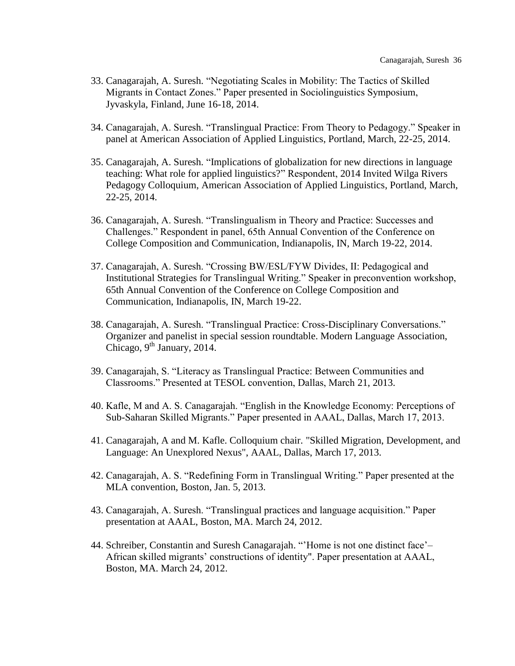- 33. Canagarajah, A. Suresh. "Negotiating Scales in Mobility: The Tactics of Skilled Migrants in Contact Zones." Paper presented in Sociolinguistics Symposium, Jyvaskyla, Finland, June 16-18, 2014.
- 34. Canagarajah, A. Suresh. "Translingual Practice: From Theory to Pedagogy." Speaker in panel at American Association of Applied Linguistics, Portland, March, 22-25, 2014.
- 35. Canagarajah, A. Suresh. ["Implications of globalization for new directions in language](http://aaal.org/displaycommon.cfm?an=1&subarticlenbr=108#wilga)  [teaching: What role for applied linguistics?"](http://aaal.org/displaycommon.cfm?an=1&subarticlenbr=108#wilga) Respondent, 2014 Invited Wilga Rivers Pedagogy Colloquium, American Association of Applied Linguistics, Portland, March, 22-25, 2014.
- 36. Canagarajah, A. Suresh. "Translingualism in Theory and Practice: Successes and Challenges." Respondent in panel, 65th Annual Convention of the Conference on College Composition and Communication, Indianapolis, IN, March 19-22, 2014.
- 37. Canagarajah, A. Suresh. "Crossing BW/ESL/FYW Divides, II: Pedagogical and Institutional Strategies for Translingual Writing." Speaker in preconvention workshop, 65th Annual Convention of the Conference on College Composition and Communication, Indianapolis, IN, March 19-22.
- 38. Canagarajah, A. Suresh. "Translingual Practice: Cross-Disciplinary Conversations." Organizer and panelist in special session roundtable. Modern Language Association, Chicago,  $9^{th}$  January, 2014.
- 39. Canagarajah, S. "Literacy as Translingual Practice: Between Communities and Classrooms." Presented at TESOL convention, Dallas, March 21, 2013.
- 40. Kafle, M and A. S. Canagarajah. "English in the Knowledge Economy: Perceptions of Sub-Saharan Skilled Migrants." Paper presented in AAAL, Dallas, March 17, 2013.
- 41. Canagarajah, A and M. Kafle. Colloquium chair. "Skilled Migration, Development, and Language: An Unexplored Nexus", AAAL, Dallas, March 17, 2013.
- 42. Canagarajah, A. S. "Redefining Form in Translingual Writing." Paper presented at the MLA convention, Boston, Jan. 5, 2013.
- 43. Canagarajah, A. Suresh. "Translingual practices and language acquisition." Paper presentation at AAAL, Boston, MA. March 24, 2012.
- 44. Schreiber, Constantin and Suresh Canagarajah. "'Home is not one distinct face'– African skilled migrants' constructions of identity". Paper presentation at AAAL, Boston, MA. March 24, 2012.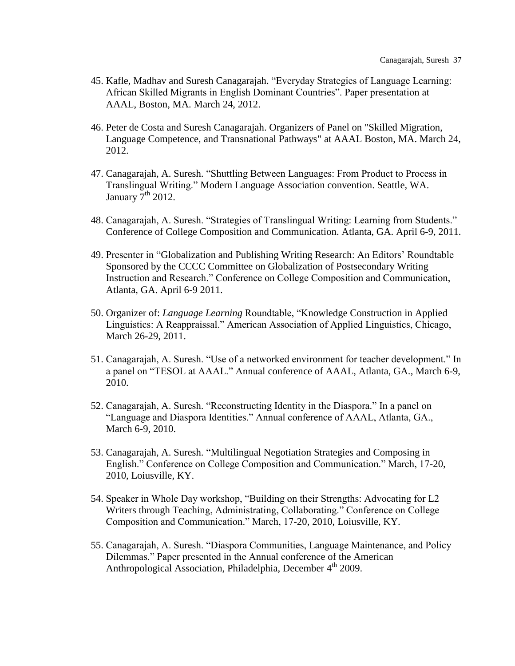- 45. Kafle, Madhav and Suresh Canagarajah. "Everyday Strategies of Language Learning: African Skilled Migrants in English Dominant Countries". Paper presentation at AAAL, Boston, MA. March 24, 2012.
- 46. Peter de Costa and Suresh Canagarajah. Organizers of Panel on "Skilled Migration, Language Competence, and Transnational Pathways" at AAAL Boston, MA. March 24, 2012.
- 47. Canagarajah, A. Suresh. "Shuttling Between Languages: From Product to Process in Translingual Writing." Modern Language Association convention. Seattle, WA. January  $7<sup>th</sup>$  2012.
- 48. Canagarajah, A. Suresh. "Strategies of Translingual Writing: Learning from Students." Conference of College Composition and Communication. Atlanta, GA. April 6-9, 2011.
- 49. Presenter in "Globalization and Publishing Writing Research: An Editors' Roundtable Sponsored by the CCCC Committee on Globalization of Postsecondary Writing Instruction and Research." Conference on College Composition and Communication, Atlanta, GA. April 6-9 2011.
- 50. Organizer of: *Language Learning* Roundtable, "Knowledge Construction in Applied Linguistics: A Reappraissal." American Association of Applied Linguistics, Chicago, March 26-29, 2011.
- 51. Canagarajah, A. Suresh. "Use of a networked environment for teacher development." In a panel on "TESOL at AAAL." Annual conference of AAAL, Atlanta, GA., March 6-9, 2010.
- 52. Canagarajah, A. Suresh. "Reconstructing Identity in the Diaspora." In a panel on "Language and Diaspora Identities." Annual conference of AAAL, Atlanta, GA., March 6-9, 2010.
- 53. Canagarajah, A. Suresh. "Multilingual Negotiation Strategies and Composing in English." Conference on College Composition and Communication." March, 17-20, 2010, Loiusville, KY.
- 54. Speaker in Whole Day workshop, "Building on their Strengths: Advocating for L2 Writers through Teaching, Administrating, Collaborating." Conference on College Composition and Communication." March, 17-20, 2010, Loiusville, KY.
- 55. Canagarajah, A. Suresh. "Diaspora Communities, Language Maintenance, and Policy Dilemmas." Paper presented in the Annual conference of the American Anthropological Association, Philadelphia, December 4<sup>th</sup> 2009.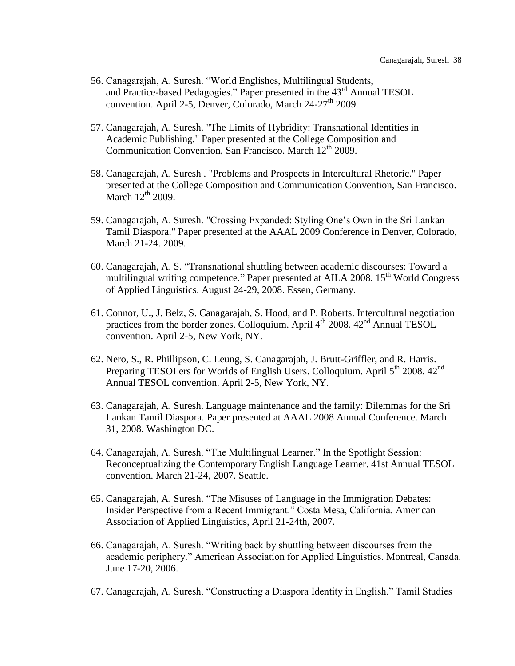- 56. Canagarajah, A. Suresh. "World Englishes, Multilingual Students, and Practice-based Pedagogies." Paper presented in the  $43<sup>rd</sup>$  Annual TESOL convention. April 2-5, Denver, Colorado, March  $24-27<sup>th</sup>$  2009.
- 57. Canagarajah, A. Suresh. "The Limits of Hybridity: Transnational Identities in Academic Publishing." Paper presented at the College Composition and Communication Convention, San Francisco. March  $12<sup>th</sup>$  2009.
- 58. Canagarajah, A. Suresh . "Problems and Prospects in Intercultural Rhetoric." Paper presented at the College Composition and Communication Convention, San Francisco. March  $12<sup>th</sup>$  2009.
- 59. Canagarajah, A. Suresh. "Crossing Expanded: Styling One's Own in the Sri Lankan Tamil Diaspora." Paper presented at the AAAL 2009 Conference in Denver, Colorado, March 21-24. 2009.
- 60. Canagarajah, A. S. "Transnational shuttling between academic discourses: Toward a multilingual writing competence." Paper presented at AILA 2008. 15<sup>th</sup> World Congress of Applied Linguistics. August 24-29, 2008. Essen, Germany.
- 61. Connor, U., J. Belz, S. Canagarajah, S. Hood, and P. Roberts. Intercultural negotiation practices from the border zones. Colloquium. April  $4^{th}$  2008.  $42^{nd}$  Annual TESOL convention. April 2-5, New York, NY.
- 62. Nero, S., R. Phillipson, C. Leung, S. Canagarajah, J. Brutt-Griffler, and R. Harris. Preparing TESOLers for Worlds of English Users. Colloquium. April 5<sup>th</sup> 2008. 42<sup>nd</sup> Annual TESOL convention. April 2-5, New York, NY.
- 63. Canagarajah, A. Suresh. Language maintenance and the family: Dilemmas for the Sri Lankan Tamil Diaspora. Paper presented at AAAL 2008 Annual Conference. March 31, 2008. Washington DC.
- 64. Canagarajah, A. Suresh. "The Multilingual Learner." In the Spotlight Session: Reconceptualizing the Contemporary English Language Learner. 41st Annual TESOL convention. March 21-24, 2007. Seattle.
- 65. Canagarajah, A. Suresh. "The Misuses of Language in the Immigration Debates: Insider Perspective from a Recent Immigrant." Costa Mesa, California. American Association of Applied Linguistics, April 21-24th, 2007.
- 66. Canagarajah, A. Suresh. "Writing back by shuttling between discourses from the academic periphery." American Association for Applied Linguistics. Montreal, Canada. June 17-20, 2006.
- 67. Canagarajah, A. Suresh. "Constructing a Diaspora Identity in English." Tamil Studies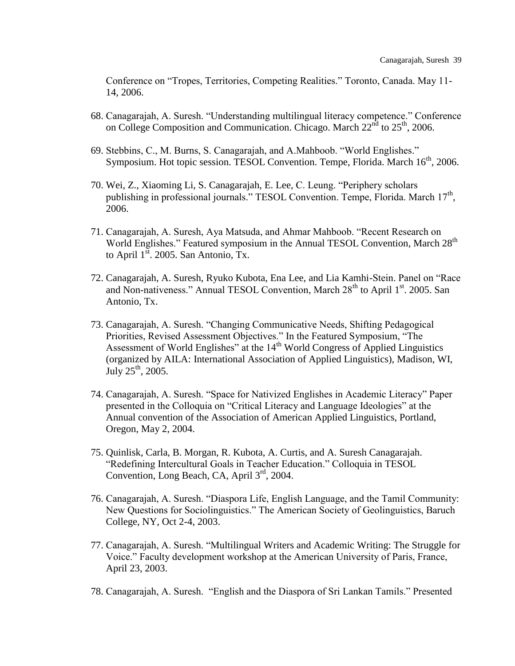Conference on "Tropes, Territories, Competing Realities." Toronto, Canada. May 11- 14, 2006.

- 68. Canagarajah, A. Suresh. "Understanding multilingual literacy competence." Conference on College Composition and Communication. Chicago. March 22<sup>nd</sup> to 25<sup>th</sup>, 2006.
- 69. Stebbins, C., M. Burns, S. Canagarajah, and A.Mahboob. "World Englishes." Symposium. Hot topic session. TESOL Convention. Tempe, Florida. March 16<sup>th</sup>, 2006.
- 70. Wei, Z., Xiaoming Li, S. Canagarajah, E. Lee, C. Leung. "Periphery scholars publishing in professional journals." TESOL Convention. Tempe, Florida. March 17<sup>th</sup>, 2006.
- 71. Canagarajah, A. Suresh, Aya Matsuda, and Ahmar Mahboob. "Recent Research on World Englishes." Featured symposium in the Annual TESOL Convention, March 28<sup>th</sup> to April  $1<sup>st</sup>$ . 2005. San Antonio, Tx.
- 72. Canagarajah, A. Suresh, Ryuko Kubota, Ena Lee, and Lia Kamhi-Stein. Panel on "Race and Non-nativeness." Annual TESOL Convention, March  $28<sup>th</sup>$  to April  $1<sup>st</sup>$ . 2005. San Antonio, Tx.
- 73. Canagarajah, A. Suresh. "Changing Communicative Needs, Shifting Pedagogical Priorities, Revised Assessment Objectives." In the Featured Symposium, "The Assessment of World Englishes" at the  $14<sup>th</sup>$  World Congress of Applied Linguistics (organized by AILA: International Association of Applied Linguistics), Madison, WI, July  $25^{th}$ , 2005.
- 74. Canagarajah, A. Suresh. "Space for Nativized Englishes in Academic Literacy" Paper presented in the Colloquia on "Critical Literacy and Language Ideologies" at the Annual convention of the Association of American Applied Linguistics, Portland, Oregon, May 2, 2004.
- 75. Quinlisk, Carla, B. Morgan, R. Kubota, A. Curtis, and A. Suresh Canagarajah. "Redefining Intercultural Goals in Teacher Education." Colloquia in TESOL Convention, Long Beach, CA, April 3<sup>rd</sup>, 2004.
- 76. Canagarajah, A. Suresh. "Diaspora Life, English Language, and the Tamil Community: New Questions for Sociolinguistics." The American Society of Geolinguistics, Baruch College, NY, Oct 2-4, 2003.
- 77. Canagarajah, A. Suresh. "Multilingual Writers and Academic Writing: The Struggle for Voice." Faculty development workshop at the American University of Paris, France, April 23, 2003.
- 78. Canagarajah, A. Suresh. "English and the Diaspora of Sri Lankan Tamils." Presented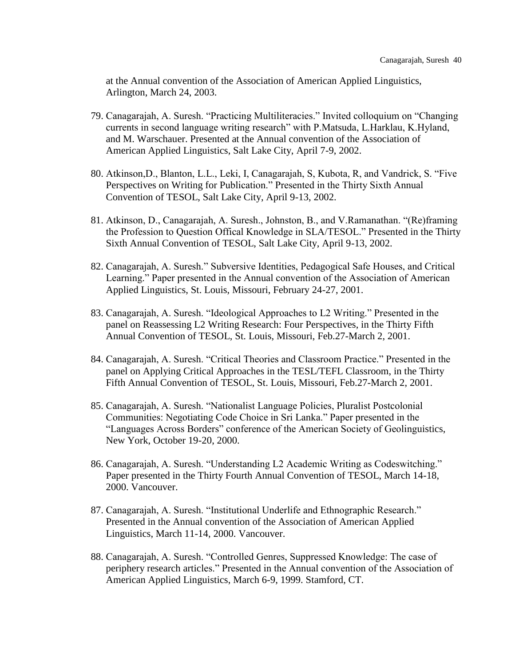at the Annual convention of the Association of American Applied Linguistics, Arlington, March 24, 2003.

- 79. Canagarajah, A. Suresh. "Practicing Multiliteracies." Invited colloquium on "Changing currents in second language writing research" with P.Matsuda, L.Harklau, K.Hyland, and M. Warschauer. Presented at the Annual convention of the Association of American Applied Linguistics, Salt Lake City, April 7-9, 2002.
- 80. Atkinson,D., Blanton, L.L., Leki, I, Canagarajah, S, Kubota, R, and Vandrick, S. "Five Perspectives on Writing for Publication." Presented in the Thirty Sixth Annual Convention of TESOL, Salt Lake City, April 9-13, 2002.
- 81. Atkinson, D., Canagarajah, A. Suresh., Johnston, B., and V.Ramanathan. "(Re)framing the Profession to Question Offical Knowledge in SLA/TESOL." Presented in the Thirty Sixth Annual Convention of TESOL, Salt Lake City, April 9-13, 2002.
- 82. Canagarajah, A. Suresh." Subversive Identities, Pedagogical Safe Houses, and Critical Learning." Paper presented in the Annual convention of the Association of American Applied Linguistics, St. Louis, Missouri, February 24-27, 2001.
- 83. Canagarajah, A. Suresh. "Ideological Approaches to L2 Writing." Presented in the panel on Reassessing L2 Writing Research: Four Perspectives, in the Thirty Fifth Annual Convention of TESOL, St. Louis, Missouri, Feb.27-March 2, 2001.
- 84. Canagarajah, A. Suresh. "Critical Theories and Classroom Practice." Presented in the panel on Applying Critical Approaches in the TESL/TEFL Classroom, in the Thirty Fifth Annual Convention of TESOL, St. Louis, Missouri, Feb.27-March 2, 2001.
- 85. Canagarajah, A. Suresh. "Nationalist Language Policies, Pluralist Postcolonial Communities: Negotiating Code Choice in Sri Lanka." Paper presented in the "Languages Across Borders" conference of the American Society of Geolinguistics, New York, October 19-20, 2000.
- 86. Canagarajah, A. Suresh. "Understanding L2 Academic Writing as Codeswitching." Paper presented in the Thirty Fourth Annual Convention of TESOL, March 14-18, 2000. Vancouver.
- 87. Canagarajah, A. Suresh. "Institutional Underlife and Ethnographic Research." Presented in the Annual convention of the Association of American Applied Linguistics, March 11-14, 2000. Vancouver.
- 88. Canagarajah, A. Suresh. "Controlled Genres, Suppressed Knowledge: The case of periphery research articles." Presented in the Annual convention of the Association of American Applied Linguistics, March 6-9, 1999. Stamford, CT.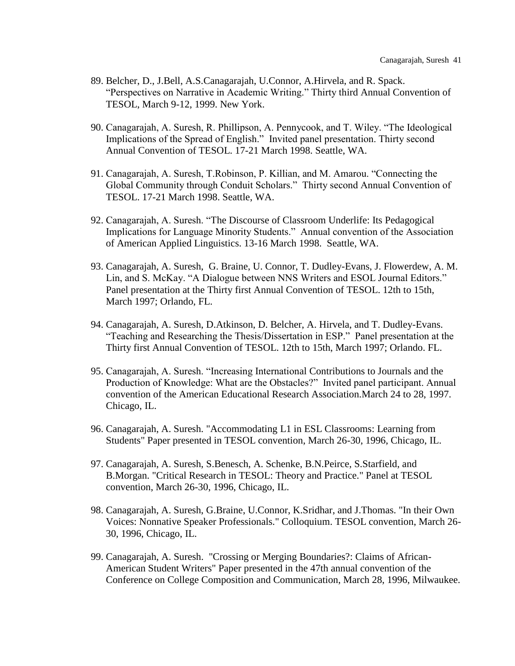- 89. Belcher, D., J.Bell, A.S.Canagarajah, U.Connor, A.Hirvela, and R. Spack. "Perspectives on Narrative in Academic Writing." Thirty third Annual Convention of TESOL, March 9-12, 1999. New York.
- 90. Canagarajah, A. Suresh, R. Phillipson, A. Pennycook, and T. Wiley. "The Ideological Implications of the Spread of English." Invited panel presentation. Thirty second Annual Convention of TESOL. 17-21 March 1998. Seattle, WA.
- 91. Canagarajah, A. Suresh, T.Robinson, P. Killian, and M. Amarou. "Connecting the Global Community through Conduit Scholars." Thirty second Annual Convention of TESOL. 17-21 March 1998. Seattle, WA.
- 92. Canagarajah, A. Suresh. "The Discourse of Classroom Underlife: Its Pedagogical Implications for Language Minority Students." Annual convention of the Association of American Applied Linguistics. 13-16 March 1998. Seattle, WA.
- 93. Canagarajah, A. Suresh, G. Braine, U. Connor, T. Dudley-Evans, J. Flowerdew, A. M. Lin, and S. McKay. "A Dialogue between NNS Writers and ESOL Journal Editors." Panel presentation at the Thirty first Annual Convention of TESOL. 12th to 15th, March 1997; Orlando, FL.
- 94. Canagarajah, A. Suresh, D.Atkinson, D. Belcher, A. Hirvela, and T. Dudley-Evans. "Teaching and Researching the Thesis/Dissertation in ESP." Panel presentation at the Thirty first Annual Convention of TESOL. 12th to 15th, March 1997; Orlando. FL.
- 95. Canagarajah, A. Suresh. "Increasing International Contributions to Journals and the Production of Knowledge: What are the Obstacles?" Invited panel participant. Annual convention of the American Educational Research Association.March 24 to 28, 1997. Chicago, IL.
- 96. Canagarajah, A. Suresh. "Accommodating L1 in ESL Classrooms: Learning from Students" Paper presented in TESOL convention, March 26-30, 1996, Chicago, IL.
- 97. Canagarajah, A. Suresh, S.Benesch, A. Schenke, B.N.Peirce, S.Starfield, and B.Morgan. "Critical Research in TESOL: Theory and Practice." Panel at TESOL convention, March 26-30, 1996, Chicago, IL.
- 98. Canagarajah, A. Suresh, G.Braine, U.Connor, K.Sridhar, and J.Thomas. "In their Own Voices: Nonnative Speaker Professionals." Colloquium. TESOL convention, March 26- 30, 1996, Chicago, IL.
- 99. Canagarajah, A. Suresh. "Crossing or Merging Boundaries?: Claims of African-American Student Writers" Paper presented in the 47th annual convention of the Conference on College Composition and Communication, March 28, 1996, Milwaukee.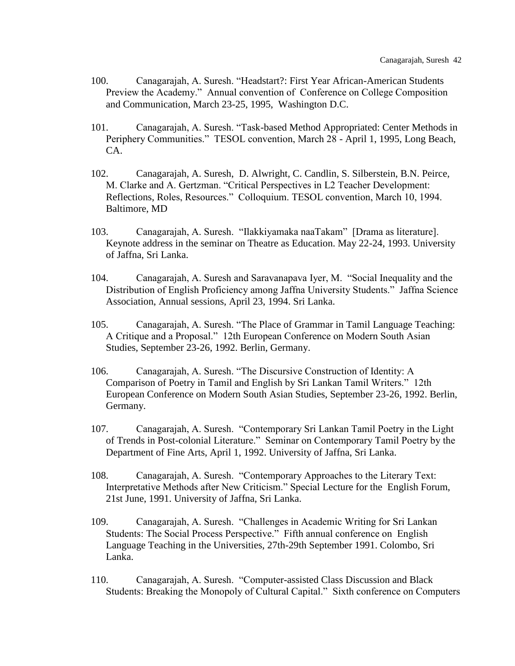- 100. Canagarajah, A. Suresh. "Headstart?: First Year African-American Students Preview the Academy." Annual convention of Conference on College Composition and Communication, March 23-25, 1995, Washington D.C.
- 101. Canagarajah, A. Suresh. "Task-based Method Appropriated: Center Methods in Periphery Communities." TESOL convention, March 28 - April 1, 1995, Long Beach, CA.
- 102. Canagarajah, A. Suresh, D. Alwright, C. Candlin, S. Silberstein, B.N. Peirce, M. Clarke and A. Gertzman. "Critical Perspectives in L2 Teacher Development: Reflections, Roles, Resources." Colloquium. TESOL convention, March 10, 1994. Baltimore, MD
- 103. Canagarajah, A. Suresh. "Ilakkiyamaka naaTakam" [Drama as literature]. Keynote address in the seminar on Theatre as Education. May 22-24, 1993. University of Jaffna, Sri Lanka.
- 104. Canagarajah, A. Suresh and Saravanapava Iyer, M. "Social Inequality and the Distribution of English Proficiency among Jaffna University Students." Jaffna Science Association, Annual sessions, April 23, 1994. Sri Lanka.
- 105. Canagarajah, A. Suresh. "The Place of Grammar in Tamil Language Teaching: A Critique and a Proposal." 12th European Conference on Modern South Asian Studies, September 23-26, 1992. Berlin, Germany.
- 106. Canagarajah, A. Suresh. "The Discursive Construction of Identity: A Comparison of Poetry in Tamil and English by Sri Lankan Tamil Writers." 12th European Conference on Modern South Asian Studies, September 23-26, 1992. Berlin, Germany.
- 107. Canagarajah, A. Suresh. "Contemporary Sri Lankan Tamil Poetry in the Light of Trends in Post-colonial Literature." Seminar on Contemporary Tamil Poetry by the Department of Fine Arts, April 1, 1992. University of Jaffna, Sri Lanka.
- 108. Canagarajah, A. Suresh. "Contemporary Approaches to the Literary Text: Interpretative Methods after New Criticism." Special Lecture for the English Forum, 21st June, 1991. University of Jaffna, Sri Lanka.
- 109. Canagarajah, A. Suresh. "Challenges in Academic Writing for Sri Lankan Students: The Social Process Perspective." Fifth annual conference on English Language Teaching in the Universities, 27th-29th September 1991. Colombo, Sri Lanka.
- 110. Canagarajah, A. Suresh. "Computer-assisted Class Discussion and Black Students: Breaking the Monopoly of Cultural Capital." Sixth conference on Computers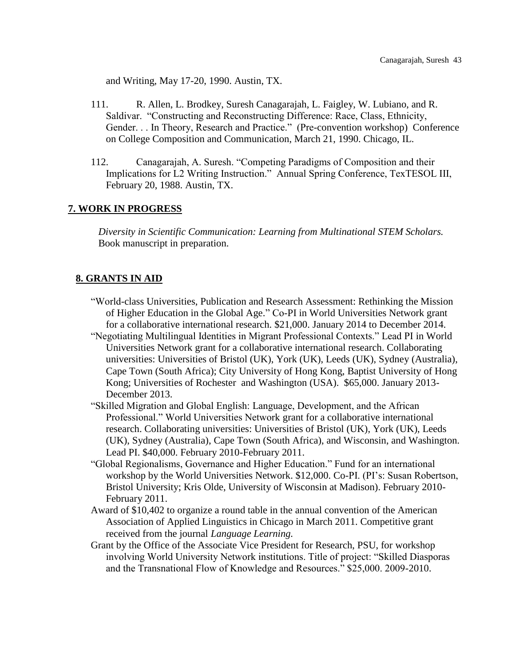and Writing, May 17-20, 1990. Austin, TX.

- 111. R. Allen, L. Brodkey, Suresh Canagarajah, L. Faigley, W. Lubiano, and R. Saldivar. "Constructing and Reconstructing Difference: Race, Class, Ethnicity, Gender. . . In Theory, Research and Practice." (Pre-convention workshop) Conference on College Composition and Communication, March 21, 1990. Chicago, IL.
- 112. Canagarajah, A. Suresh. "Competing Paradigms of Composition and their Implications for L2 Writing Instruction." Annual Spring Conference, TexTESOL III, February 20, 1988. Austin, TX.

#### **7. WORK IN PROGRESS**

*Diversity in Scientific Communication: Learning from Multinational STEM Scholars.*  Book manuscript in preparation.

#### **8. GRANTS IN AID**

- "World-class Universities, Publication and Research Assessment: Rethinking the Mission of Higher Education in the Global Age." Co-PI in World Universities Network grant for a collaborative international research. \$21,000. January 2014 to December 2014.
- "Negotiating Multilingual Identities in Migrant Professional Contexts." Lead PI in World Universities Network grant for a collaborative international research. Collaborating universities: Universities of Bristol (UK), York (UK), Leeds (UK), Sydney (Australia), Cape Town (South Africa); City University of Hong Kong, Baptist University of Hong Kong; Universities of Rochester and Washington (USA). \$65,000. January 2013- December 2013.
- "Skilled Migration and Global English: Language, Development, and the African Professional." World Universities Network grant for a collaborative international research. Collaborating universities: Universities of Bristol (UK), York (UK), Leeds (UK), Sydney (Australia), Cape Town (South Africa), and Wisconsin, and Washington. Lead PI. \$40,000. February 2010-February 2011.
- "Global Regionalisms, Governance and Higher Education." Fund for an international workshop by the World Universities Network. \$12,000. Co-PI. (PI's: Susan Robertson, Bristol University; Kris Olde, University of Wisconsin at Madison). February 2010- February 2011.
- Award of \$10,402 to organize a round table in the annual convention of the American Association of Applied Linguistics in Chicago in March 2011. Competitive grant received from the journal *Language Learning.*
- Grant by the Office of the Associate Vice President for Research, PSU, for workshop involving World University Network institutions. Title of project: "Skilled Diasporas and the Transnational Flow of Knowledge and Resources." \$25,000. 2009-2010.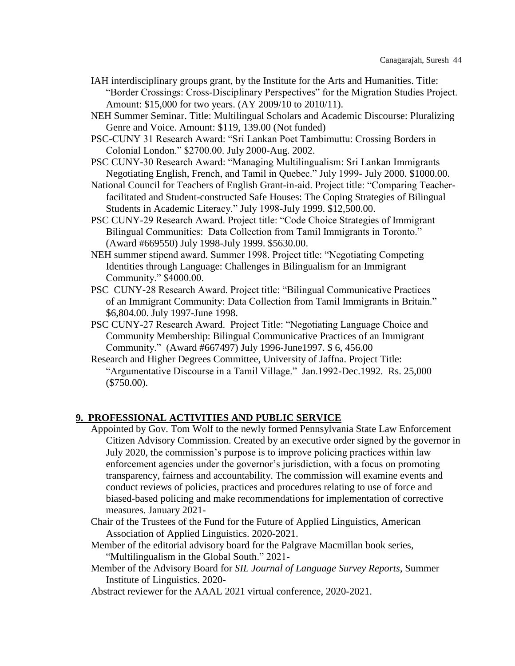- IAH interdisciplinary groups grant, by the Institute for the Arts and Humanities. Title: "Border Crossings: Cross-Disciplinary Perspectives" for the Migration Studies Project. Amount: \$15,000 for two years. (AY 2009/10 to 2010/11).
- NEH Summer Seminar. Title: Multilingual Scholars and Academic Discourse: Pluralizing Genre and Voice. Amount: \$119, 139.00 (Not funded)
- PSC-CUNY 31 Research Award: "Sri Lankan Poet Tambimuttu: Crossing Borders in Colonial London." \$2700.00. July 2000-Aug. 2002.
- PSC CUNY-30 Research Award: "Managing Multilingualism: Sri Lankan Immigrants Negotiating English, French, and Tamil in Quebec." July 1999- July 2000. \$1000.00.
- National Council for Teachers of English Grant-in-aid. Project title: "Comparing Teacherfacilitated and Student-constructed Safe Houses: The Coping Strategies of Bilingual Students in Academic Literacy." July 1998-July 1999. \$12,500.00.
- PSC CUNY-29 Research Award. Project title: "Code Choice Strategies of Immigrant Bilingual Communities: Data Collection from Tamil Immigrants in Toronto." (Award #669550) July 1998-July 1999. \$5630.00.
- NEH summer stipend award. Summer 1998. Project title: "Negotiating Competing Identities through Language: Challenges in Bilingualism for an Immigrant Community." \$4000.00.
- PSC CUNY-28 Research Award. Project title: "Bilingual Communicative Practices of an Immigrant Community: Data Collection from Tamil Immigrants in Britain." \$6,804.00. July 1997-June 1998.
- PSC CUNY-27 Research Award. Project Title: "Negotiating Language Choice and Community Membership: Bilingual Communicative Practices of an Immigrant Community." (Award #667497) July 1996-June1997. \$ 6, 456.00
- Research and Higher Degrees Committee, University of Jaffna. Project Title: "Argumentative Discourse in a Tamil Village." Jan.1992-Dec.1992. Rs. 25,000 (\$750.00).

#### **9. PROFESSIONAL ACTIVITIES AND PUBLIC SERVICE**

- Appointed by Gov. Tom Wolf to the newly formed Pennsylvania State Law Enforcement Citizen Advisory Commission. Created by an executive order signed by the governor in July 2020, the commission's purpose is to improve policing practices within law enforcement agencies under the governor's jurisdiction, with a focus on promoting transparency, fairness and accountability. The commission will examine events and conduct reviews of policies, practices and procedures relating to use of force and biased-based policing and make recommendations for implementation of corrective measures. January 2021-
- Chair of the Trustees of the Fund for the Future of Applied Linguistics, American Association of Applied Linguistics. 2020-2021.

Member of the editorial advisory board for the Palgrave Macmillan book series, "Multilingualism in the Global South." 2021-

- Member of the Advisory Board for *SIL Journal of Language Survey Reports*, Summer Institute of Linguistics. 2020-
- Abstract reviewer for the AAAL 2021 virtual conference, 2020-2021.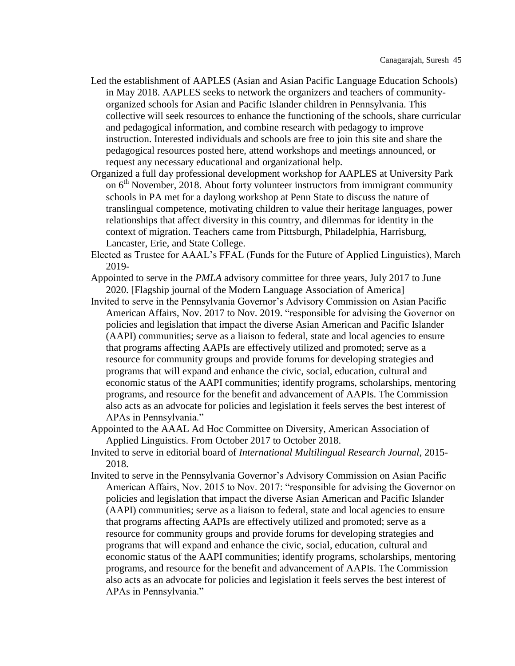- Led the establishment of AAPLES (Asian and Asian Pacific Language Education Schools) in May 2018. AAPLES seeks to network the organizers and teachers of communityorganized schools for Asian and Pacific Islander children in Pennsylvania. This collective will seek resources to enhance the functioning of the schools, share curricular and pedagogical information, and combine research with pedagogy to improve instruction. Interested individuals and schools are free to join this site and share the pedagogical resources posted here, attend workshops and meetings announced, or request any necessary educational and organizational help.
- Organized a full day professional development workshop for AAPLES at University Park on  $6<sup>th</sup>$  November, 2018. About forty volunteer instructors from immigrant community schools in PA met for a daylong workshop at Penn State to discuss the nature of translingual competence, motivating children to value their heritage languages, power relationships that affect diversity in this country, and dilemmas for identity in the context of migration. Teachers came from Pittsburgh, Philadelphia, Harrisburg, Lancaster, Erie, and State College.
- Elected as Trustee for AAAL's FFAL (Funds for the Future of Applied Linguistics), March 2019-
- Appointed to serve in the *PMLA* advisory committee for three years, July 2017 to June 2020. [Flagship journal of the Modern Language Association of America]
- Invited to serve in the Pennsylvania Governor's Advisory Commission on Asian Pacific American Affairs, Nov. 2017 to Nov. 2019. "responsible for advising the Governor on policies and legislation that impact the diverse Asian American and Pacific Islander (AAPI) communities; serve as a liaison to federal, state and local agencies to ensure that programs affecting AAPIs are effectively utilized and promoted; serve as a resource for community groups and provide forums for developing strategies and programs that will expand and enhance the civic, social, education, cultural and economic status of the AAPI communities; identify programs, scholarships, mentoring programs, and resource for the benefit and advancement of AAPIs. The Commission also acts as an advocate for policies and legislation it feels serves the best interest of APAs in Pennsylvania."
- Appointed to the AAAL Ad Hoc Committee on Diversity, American Association of Applied Linguistics. From October 2017 to October 2018.
- Invited to serve in editorial board of *International Multilingual Research Journal*, 2015- 2018.
- Invited to serve in the Pennsylvania Governor's Advisory Commission on Asian Pacific American Affairs, Nov. 2015 to Nov. 2017: "responsible for advising the Governor on policies and legislation that impact the diverse Asian American and Pacific Islander (AAPI) communities; serve as a liaison to federal, state and local agencies to ensure that programs affecting AAPIs are effectively utilized and promoted; serve as a resource for community groups and provide forums for developing strategies and programs that will expand and enhance the civic, social, education, cultural and economic status of the AAPI communities; identify programs, scholarships, mentoring programs, and resource for the benefit and advancement of AAPIs. The Commission also acts as an advocate for policies and legislation it feels serves the best interest of APAs in Pennsylvania."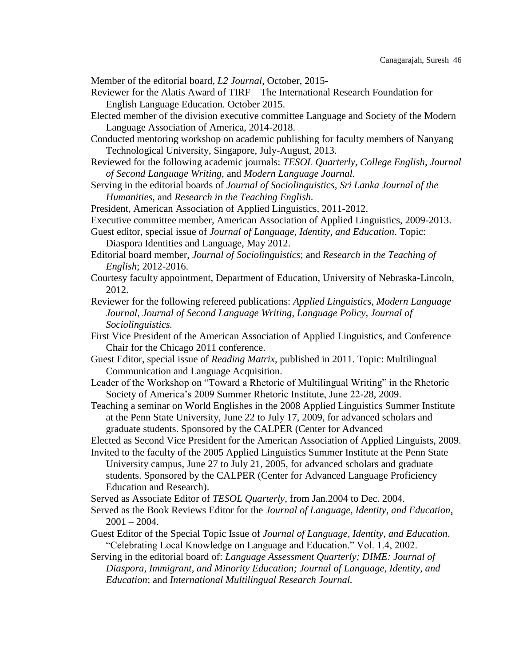Member of the editorial board, *L2 Journal*, October, 2015-

- Reviewer for the Alatis Award of TIRF The International Research Foundation for English Language Education. October 2015.
- Elected member of the division executive committee Language and Society of the Modern Language Association of America, 2014-2018.
- Conducted mentoring workshop on academic publishing for faculty members of Nanyang Technological University, Singapore, July-August, 2013.
- Reviewed for the following academic journals: *TESOL Quarterly, College English, Journal of Second Language Writing,* and *Modern Language Journal.*
- Serving in the editorial boards of *Journal of Sociolinguistics, Sri Lanka Journal of the Humanities,* and *Research in the Teaching English.*

President, American Association of Applied Linguistics, 2011-2012.

- Executive committee member, American Association of Applied Linguistics, 2009-2013.
- Guest editor, special issue of *Journal of Language, Identity, and Education*. Topic: Diaspora Identities and Language, May 2012.
- Editorial board member, *Journal of Sociolinguistics*; and *Research in the Teaching of English*; 2012-2016.
- Courtesy faculty appointment, Department of Education, University of Nebraska-Lincoln, 2012.
- Reviewer for the following refereed publications: *Applied Linguistics, Modern Language Journal, Journal of Second Language Writing, Language Policy, Journal of Sociolinguistics.*
- First Vice President of the American Association of Applied Linguistics, and Conference Chair for the Chicago 2011 conference.
- Guest Editor, special issue of *Reading Matrix*, published in 2011. Topic: Multilingual Communication and Language Acquisition.
- Leader of the Workshop on "Toward a Rhetoric of Multilingual Writing" in the Rhetoric Society of America's 2009 Summer Rhetoric Institute, June 22-28, 2009.
- Teaching a seminar on World Englishes in the 2008 Applied Linguistics Summer Institute at the Penn State University, June 22 to July 17, 2009, for advanced scholars and graduate students. Sponsored by the CALPER (Center for Advanced
- Elected as Second Vice President for the American Association of Applied Linguists, 2009.
- Invited to the faculty of the 2005 Applied Linguistics Summer Institute at the Penn State University campus, June 27 to July 21, 2005, for advanced scholars and graduate students. Sponsored by the CALPER (Center for Advanced Language Proficiency Education and Research).
- Served as Associate Editor of *TESOL Quarterly*, from Jan.2004 to Dec. 2004.
- Served as the Book Reviews Editor for the *Journal of Language, Identity, and Education*,  $2001 - 2004$ .
- Guest Editor of the Special Topic Issue of *Journal of Language, Identity, and Education*. "Celebrating Local Knowledge on Language and Education." Vol. 1.4, 2002.
- Serving in the editorial board of: *Language Assessment Quarterly; DIME: Journal of Diaspora, Immigrant, and Minority Education; Journal of Language, Identity, and Education*; and *International Multilingual Research Journal.*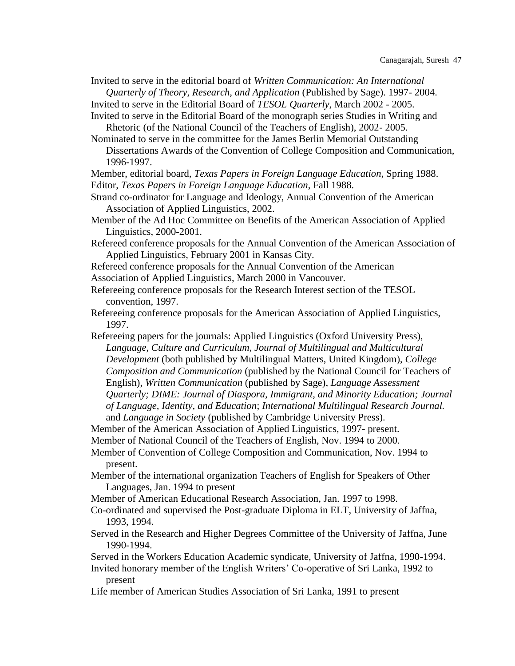Invited to serve in the editorial board of *Written Communication: An International Quarterly of Theory, Research, and Application* (Published by Sage). 1997- 2004.

Invited to serve in the Editorial Board of *TESOL Quarterly*, March 2002 - 2005.

Invited to serve in the Editorial Board of the monograph series Studies in Writing and Rhetoric (of the National Council of the Teachers of English), 2002- 2005.

Nominated to serve in the committee for the James Berlin Memorial Outstanding Dissertations Awards of the Convention of College Composition and Communication, 1996-1997.

Member, editorial board, *Texas Papers in Foreign Language Education*, Spring 1988. Editor, *Texas Papers in Foreign Language Education*, Fall 1988.

Strand co-ordinator for Language and Ideology, Annual Convention of the American Association of Applied Linguistics, 2002.

Member of the Ad Hoc Committee on Benefits of the American Association of Applied Linguistics, 2000-2001.

Refereed conference proposals for the Annual Convention of the American Association of Applied Linguistics, February 2001 in Kansas City.

- Refereed conference proposals for the Annual Convention of the American
- Association of Applied Linguistics, March 2000 in Vancouver.

Refereeing conference proposals for the Research Interest section of the TESOL convention, 1997.

Refereeing conference proposals for the American Association of Applied Linguistics, 1997.

Refereeing papers for the journals: Applied Linguistics (Oxford University Press), Language, Culture and Curriculum, Journal of Multilingual and Multicultural *Development* (both published by Multilingual Matters, United Kingdom), *College Composition and Communication* (published by the National Council for Teachers of English), *Written Communication* (published by Sage), *Language Assessment Quarterly; DIME: Journal of Diaspora, Immigrant, and Minority Education; Journal of Language, Identity, and Education*; *International Multilingual Research Journal.* and *Language in Society* (published by Cambridge University Press).

Member of the American Association of Applied Linguistics, 1997- present.

Member of National Council of the Teachers of English, Nov. 1994 to 2000.

Member of Convention of College Composition and Communication, Nov. 1994 to present.

Member of the international organization Teachers of English for Speakers of Other Languages, Jan. 1994 to present

Member of American Educational Research Association, Jan. 1997 to 1998.

Co-ordinated and supervised the Post-graduate Diploma in ELT, University of Jaffna, 1993, 1994.

Served in the Research and Higher Degrees Committee of the University of Jaffna, June 1990-1994.

Served in the Workers Education Academic syndicate, University of Jaffna, 1990-1994.

Invited honorary member of the English Writers' Co-operative of Sri Lanka, 1992 to present

Life member of American Studies Association of Sri Lanka, 1991 to present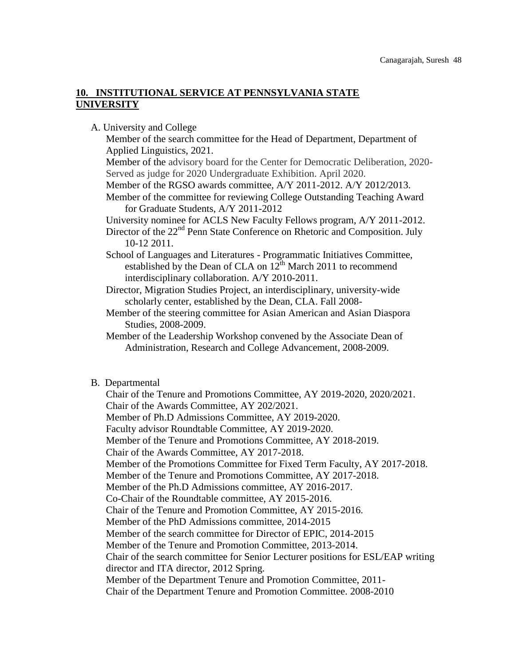## **10. INSTITUTIONAL SERVICE AT PENNSYLVANIA STATE UNIVERSITY**

A. University and College

Member of the search committee for the Head of Department, Department of Applied Linguistics, 2021. Member of the advisory board for the Center for Democratic Deliberation, 2020- Served as judge for 2020 Undergraduate Exhibition. April 2020. Member of the RGSO awards committee, A/Y 2011-2012. A/Y 2012/2013. Member of the committee for reviewing College Outstanding Teaching Award for Graduate Students, A/Y 2011-2012 University nominee for ACLS New Faculty Fellows program, A/Y 2011-2012. Director of the 22<sup>nd</sup> Penn State Conference on Rhetoric and Composition. July 10-12 2011. School of Languages and Literatures - Programmatic Initiatives Committee, established by the Dean of CLA on  $12^{th}$  March 2011 to recommend interdisciplinary collaboration. A/Y 2010-2011. Director, Migration Studies Project, an interdisciplinary, university-wide scholarly center, established by the Dean, CLA. Fall 2008- Member of the steering committee for Asian American and Asian Diaspora

Studies, 2008-2009.

Member of the Leadership Workshop convened by the Associate Dean of Administration, Research and College Advancement, 2008-2009.

#### B. Departmental

Chair of the Tenure and Promotions Committee, AY 2019-2020, 2020/2021. Chair of the Awards Committee, AY 202/2021. Member of Ph.D Admissions Committee, AY 2019-2020. Faculty advisor Roundtable Committee, AY 2019-2020. Member of the Tenure and Promotions Committee, AY 2018-2019. Chair of the Awards Committee, AY 2017-2018. Member of the Promotions Committee for Fixed Term Faculty, AY 2017-2018. Member of the Tenure and Promotions Committee, AY 2017-2018. Member of the Ph.D Admissions committee, AY 2016-2017. Co-Chair of the Roundtable committee, AY 2015-2016. Chair of the Tenure and Promotion Committee, AY 2015-2016. Member of the PhD Admissions committee, 2014-2015 Member of the search committee for Director of EPIC, 2014-2015 Member of the Tenure and Promotion Committee, 2013-2014. Chair of the search committee for Senior Lecturer positions for ESL/EAP writing director and ITA director, 2012 Spring. Member of the Department Tenure and Promotion Committee, 2011- Chair of the Department Tenure and Promotion Committee. 2008-2010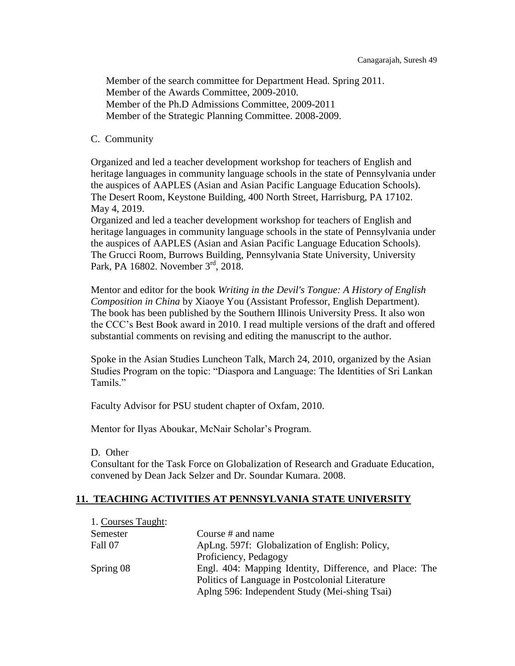Member of the search committee for Department Head. Spring 2011. Member of the Awards Committee, 2009-2010. Member of the Ph.D Admissions Committee, 2009-2011 Member of the Strategic Planning Committee. 2008-2009.

#### C. Community

Organized and led a teacher development workshop for teachers of English and heritage languages in community language schools in the state of Pennsylvania under the auspices of AAPLES (Asian and Asian Pacific Language Education Schools). The Desert Room, Keystone Building, 400 North Street, Harrisburg, PA 17102. May 4, 2019.

Organized and led a teacher development workshop for teachers of English and heritage languages in community language schools in the state of Pennsylvania under the auspices of AAPLES (Asian and Asian Pacific Language Education Schools). The Grucci Room, Burrows Building, Pennsylvania State University, University Park, PA 16802. November 3<sup>rd</sup>, 2018.

Mentor and editor for the book *Writing in the Devil's Tongue: A History of English Composition in China* by Xiaoye You (Assistant Professor, English Department). The book has been published by the Southern Illinois University Press. It also won the CCC's Best Book award in 2010. I read multiple versions of the draft and offered substantial comments on revising and editing the manuscript to the author.

Spoke in the Asian Studies Luncheon Talk, March 24, 2010, organized by the Asian Studies Program on the topic: "Diaspora and Language: The Identities of Sri Lankan Tamils."

Faculty Advisor for PSU student chapter of Oxfam, 2010.

Mentor for Ilyas Aboukar, McNair Scholar's Program.

D. Other

Consultant for the Task Force on Globalization of Research and Graduate Education, convened by Dean Jack Selzer and Dr. Soundar Kumara. 2008.

## **11. TEACHING ACTIVITIES AT PENNSYLVANIA STATE UNIVERSITY**

| 1. Courses Taught: |                                                         |  |  |
|--------------------|---------------------------------------------------------|--|--|
| Semester           | Course # and name                                       |  |  |
| Fall 07            | ApLng. 597f: Globalization of English: Policy,          |  |  |
|                    | Proficiency, Pedagogy                                   |  |  |
| Spring 08          | Engl. 404: Mapping Identity, Difference, and Place: The |  |  |
|                    | Politics of Language in Postcolonial Literature         |  |  |
|                    | Aplng 596: Independent Study (Mei-shing Tsai)           |  |  |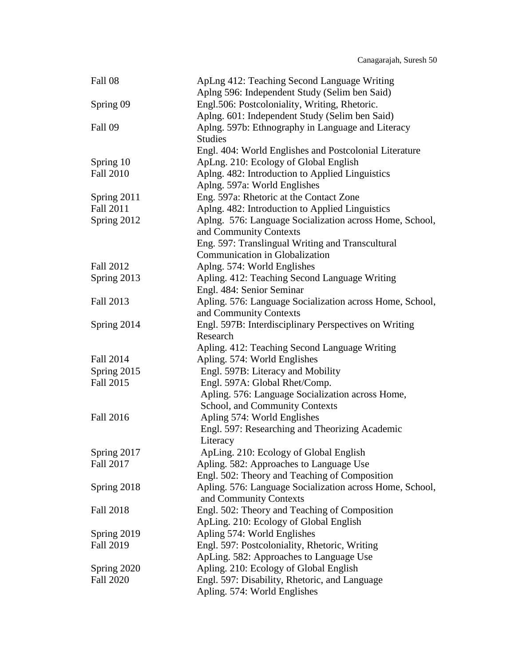| Fall 08          | ApLng 412: Teaching Second Language Writing<br>Aplng 596: Independent Study (Selim ben Said) |  |  |
|------------------|----------------------------------------------------------------------------------------------|--|--|
| Spring 09        | Engl.506: Postcoloniality, Writing, Rhetoric.                                                |  |  |
|                  | Aplng. 601: Independent Study (Selim ben Said)                                               |  |  |
| Fall 09          | Aplng. 597b: Ethnography in Language and Literacy                                            |  |  |
|                  | <b>Studies</b>                                                                               |  |  |
|                  | Engl. 404: World Englishes and Postcolonial Literature                                       |  |  |
| Spring 10        | ApLng. 210: Ecology of Global English                                                        |  |  |
| <b>Fall 2010</b> | Aplng. 482: Introduction to Applied Linguistics                                              |  |  |
|                  | Aplng. 597a: World Englishes                                                                 |  |  |
| Spring 2011      | Eng. 597a: Rhetoric at the Contact Zone                                                      |  |  |
| Fall 2011        | Aplng. 482: Introduction to Applied Linguistics                                              |  |  |
| Spring 2012      | Aplng. 576: Language Socialization across Home, School,                                      |  |  |
|                  | and Community Contexts                                                                       |  |  |
|                  | Eng. 597: Translingual Writing and Transcultural                                             |  |  |
|                  | Communication in Globalization                                                               |  |  |
| <b>Fall 2012</b> | Aplng. 574: World Englishes                                                                  |  |  |
| Spring 2013      | Apling. 412: Teaching Second Language Writing                                                |  |  |
|                  | Engl. 484: Senior Seminar                                                                    |  |  |
| Fall 2013        | Apling. 576: Language Socialization across Home, School,                                     |  |  |
|                  | and Community Contexts                                                                       |  |  |
| Spring 2014      | Engl. 597B: Interdisciplinary Perspectives on Writing                                        |  |  |
|                  | Research                                                                                     |  |  |
|                  | Apling. 412: Teaching Second Language Writing                                                |  |  |
| <b>Fall 2014</b> | Apling. 574: World Englishes                                                                 |  |  |
| Spring 2015      | Engl. 597B: Literacy and Mobility                                                            |  |  |
| <b>Fall 2015</b> | Engl. 597A: Global Rhet/Comp.                                                                |  |  |
|                  | Apling. 576: Language Socialization across Home,                                             |  |  |
|                  | School, and Community Contexts                                                               |  |  |
| Fall 2016        | Apling 574: World Englishes                                                                  |  |  |
|                  | Engl. 597: Researching and Theorizing Academic                                               |  |  |
|                  | Literacy                                                                                     |  |  |
| Spring 2017      | ApLing. 210: Ecology of Global English                                                       |  |  |
| Fall 2017        | Apling. 582: Approaches to Language Use                                                      |  |  |
|                  | Engl. 502: Theory and Teaching of Composition                                                |  |  |
| Spring 2018      | Apling. 576: Language Socialization across Home, School,                                     |  |  |
|                  | and Community Contexts                                                                       |  |  |
| <b>Fall 2018</b> | Engl. 502: Theory and Teaching of Composition                                                |  |  |
|                  | ApLing. 210: Ecology of Global English                                                       |  |  |
| Spring 2019      | Apling 574: World Englishes                                                                  |  |  |
| <b>Fall 2019</b> | Engl. 597: Postcoloniality, Rhetoric, Writing                                                |  |  |
|                  |                                                                                              |  |  |
|                  | ApLing. 582: Approaches to Language Use                                                      |  |  |
| Spring 2020      | Apling. 210: Ecology of Global English                                                       |  |  |
| <b>Fall 2020</b> | Engl. 597: Disability, Rhetoric, and Language<br>Apling. 574: World Englishes                |  |  |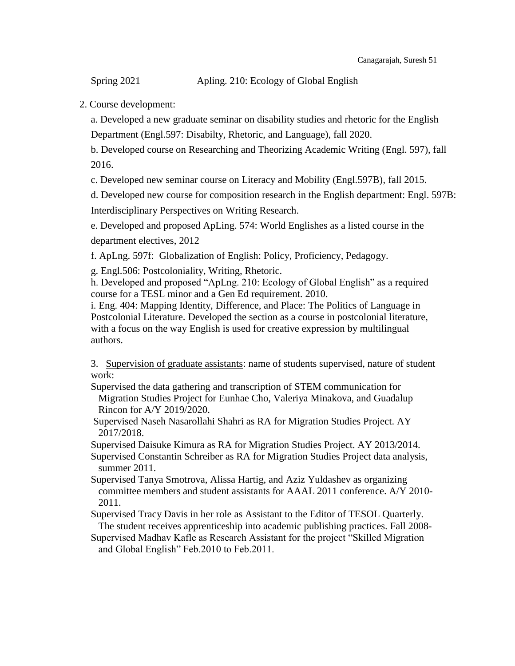Spring 2021 Apling. 210: Ecology of Global English

# 2. Course development:

a. Developed a new graduate seminar on disability studies and rhetoric for the English Department (Engl.597: Disabilty, Rhetoric, and Language), fall 2020.

b. Developed course on Researching and Theorizing Academic Writing (Engl. 597), fall 2016.

c. Developed new seminar course on Literacy and Mobility (Engl.597B), fall 2015.

d. Developed new course for composition research in the English department: Engl. 597B: Interdisciplinary Perspectives on Writing Research.

e. Developed and proposed ApLing. 574: World Englishes as a listed course in the department electives, 2012

f. ApLng. 597f: Globalization of English: Policy, Proficiency, Pedagogy.

g. Engl.506: Postcoloniality, Writing, Rhetoric.

h. Developed and proposed "ApLng. 210: Ecology of Global English" as a required course for a TESL minor and a Gen Ed requirement. 2010.

i. Eng. 404: Mapping Identity, Difference, and Place: The Politics of Language in Postcolonial Literature. Developed the section as a course in postcolonial literature, with a focus on the way English is used for creative expression by multilingual authors.

3. Supervision of graduate assistants: name of students supervised, nature of student work:

Supervised the data gathering and transcription of STEM communication for Migration Studies Project for Eunhae Cho, Valeriya Minakova, and Guadalup Rincon for A/Y 2019/2020.

Supervised Naseh Nasarollahi Shahri as RA for Migration Studies Project. AY 2017/2018.

Supervised Daisuke Kimura as RA for Migration Studies Project. AY 2013/2014.

Supervised Constantin Schreiber as RA for Migration Studies Project data analysis, summer 2011.

Supervised Tanya Smotrova, Alissa Hartig, and Aziz Yuldashev as organizing committee members and student assistants for AAAL 2011 conference. A/Y 2010- 2011.

Supervised Tracy Davis in her role as Assistant to the Editor of TESOL Quarterly. The student receives apprenticeship into academic publishing practices. Fall 2008-

Supervised Madhav Kafle as Research Assistant for the project "Skilled Migration and Global English" Feb.2010 to Feb.2011.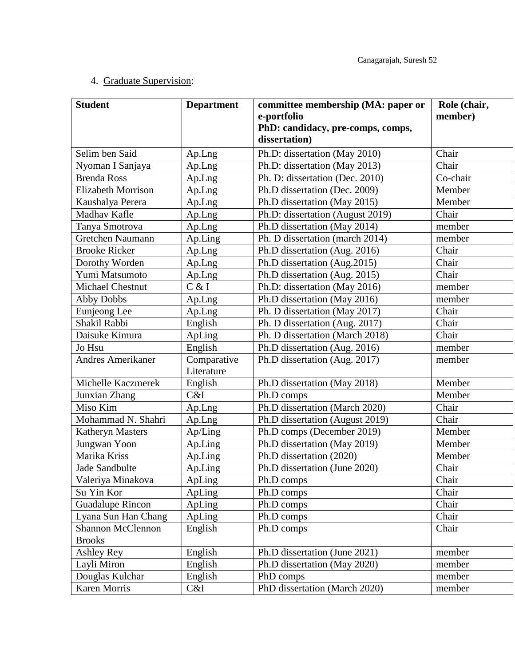# 4. Graduate Supervision:

| <b>Student</b>            | <b>Department</b> | committee membership (MA: paper or<br>e-portfolio<br>PhD: candidacy, pre-comps, comps,<br>dissertation) | Role (chair,<br>member) |
|---------------------------|-------------------|---------------------------------------------------------------------------------------------------------|-------------------------|
| Selim ben Said            | Ap.Lng            | Ph.D: dissertation (May 2010)                                                                           | Chair                   |
| Nyoman I Sanjaya          | Ap.Lng            | Ph.D: dissertation (May 2013)                                                                           | Chair                   |
| <b>Brenda Ross</b>        | Ap.Lng            | Ph. D: dissertation (Dec. 2010)                                                                         | Co-chair                |
| <b>Elizabeth Morrison</b> | Ap.Lng            | Ph.D dissertation (Dec. 2009)                                                                           | Member                  |
| Kaushalya Perera          | Ap.Lng            | Ph.D dissertation (May 2015)                                                                            | Member                  |
| Madhav Kafle              | Ap.Lng            | Ph.D: dissertation (August 2019)                                                                        | Chair                   |
| Tanya Smotrova            | Ap.Lng            | Ph.D dissertation (May 2014)                                                                            | member                  |
| Gretchen Naumann          | Ap.Ling           | Ph. D dissertation (march 2014)                                                                         | member                  |
| <b>Brooke</b> Ricker      | Ap.Lng            | Ph.D dissertation (Aug. 2016)                                                                           | Chair                   |
| Dorothy Worden            | Ap.Lng            | Ph.D dissertation (Aug.2015)                                                                            | Chair                   |
| Yumi Matsumoto            | Ap.Lng            | Ph.D dissertation (Aug. 2015)                                                                           | Chair                   |
| <b>Michael Chestnut</b>   | C & I             | Ph.D: dissertation (May 2016)                                                                           | member                  |
| <b>Abby Dobbs</b>         | Ap.Lng            | Ph.D dissertation (May 2016)                                                                            | member                  |
| Eunjeong Lee              | Ap.Lng            | Ph. D dissertation (May 2017)                                                                           | Chair                   |
| Shakil Rabbi              | English           | Ph. D dissertation (Aug. 2017)                                                                          | Chair                   |
| Daisuke Kimura            | ApLing            | Ph. D dissertation (March 2018)                                                                         | Chair                   |
| Jo Hsu                    | English           | Ph.D dissertation (Aug. 2016)                                                                           | member                  |
| <b>Andres Amerikaner</b>  | Comparative       | Ph.D dissertation (Aug. 2017)                                                                           | member                  |
|                           | Literature        |                                                                                                         |                         |
| Michelle Kaczmerek        | English           | Ph.D dissertation (May 2018)                                                                            | Member                  |
| Junxian Zhang             | C&I               | Ph.D comps                                                                                              | Member                  |
| Miso Kim                  | Ap.Lng            | Ph.D dissertation (March 2020)                                                                          | Chair                   |
| Mohammad N. Shahri        | Ap.Lng            | Ph.D dissertation (August 2019)                                                                         | Chair                   |
| <b>Katheryn Masters</b>   | Ap/Ling           | Ph.D comps (December 2019)                                                                              | Member                  |
| Jungwan Yoon              | Ap.Ling           | Ph.D dissertation (May 2019)                                                                            | Member                  |
| Marika Kriss              | Ap.Ling           | Ph.D dissertation (2020)                                                                                | Member                  |
| Jade Sandbulte            | Ap.Ling           | Ph.D dissertation (June 2020)                                                                           | Chair                   |
| Valeriya Minakova         | ApLing            | Ph.D comps                                                                                              | Chair                   |
| Su Yin Kor                | ApLing            | Ph.D comps                                                                                              | Chair                   |
| <b>Guadalupe Rincon</b>   | ApLing            | Ph.D comps                                                                                              | Chair                   |
| Lyana Sun Han Chang       | ApLing            | Ph.D comps                                                                                              | Chair                   |
| <b>Shannon McClennon</b>  | English           | Ph.D comps                                                                                              | Chair                   |
| <b>Brooks</b>             |                   |                                                                                                         |                         |
| Ashley Rey                | English           | Ph.D dissertation (June 2021)                                                                           | member                  |
| Layli Miron               | English           | Ph.D dissertation (May 2020)                                                                            | member                  |
| Douglas Kulchar           | English           | PhD comps                                                                                               | member                  |
| Karen Morris              | C&I               | PhD dissertation (March 2020)                                                                           | member                  |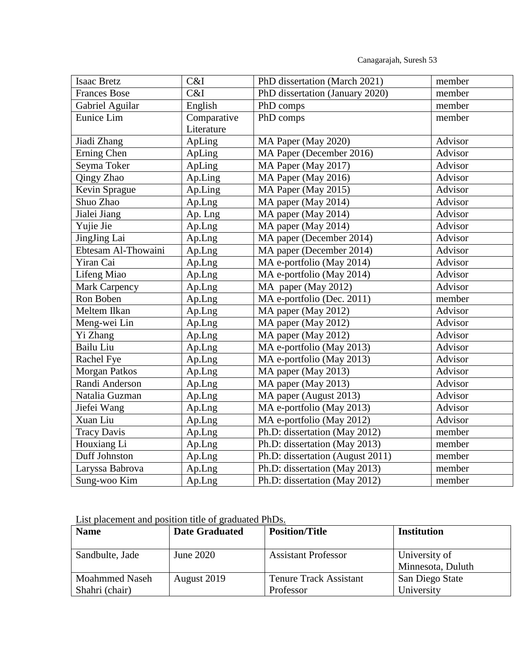Canagarajah, Suresh 53

| Isaac Bretz          | C&I         | PhD dissertation (March 2021)    | member         |
|----------------------|-------------|----------------------------------|----------------|
| <b>Frances Bose</b>  | C&I         | PhD dissertation (January 2020)  | member         |
| Gabriel Aguilar      | English     | PhD comps                        | member         |
| Eunice Lim           | Comparative | PhD comps                        | member         |
|                      | Literature  |                                  |                |
| Jiadi Zhang          | ApLing      | MA Paper (May 2020)              | Advisor        |
| Erning Chen          | ApLing      | MA Paper (December 2016)         | Advisor        |
| Seyma Toker          | ApLing      | MA Paper (May 2017)              | Advisor        |
| Qingy Zhao           | Ap.Ling     | MA Paper (May 2016)              | Advisor        |
| Kevin Sprague        | Ap.Ling     | MA Paper (May 2015)              | Advisor        |
| Shuo Zhao            | Ap.Lng      | MA paper (May 2014)              | Advisor        |
| Jialei Jiang         | Ap. Lng     | MA paper (May 2014)              | Advisor        |
| Yujie Jie            | Ap.Lng      | MA paper (May 2014)              | <b>Advisor</b> |
| JingJing Lai         | Ap.Lng      | MA paper (December 2014)         | Advisor        |
| Ebtesam Al-Thowaini  | Ap.Lng      | MA paper (December 2014)         | Advisor        |
| Yiran Cai            | Ap.Lng      | MA e-portfolio (May 2014)        | Advisor        |
| Lifeng Miao          | Ap.Lng      | MA e-portfolio (May 2014)        | Advisor        |
| <b>Mark Carpency</b> | Ap.Lng      | MA paper (May 2012)              | Advisor        |
| Ron Boben            | Ap.Lng      | MA e-portfolio (Dec. 2011)       | member         |
| Meltem Ilkan         | Ap.Lng      | MA paper (May 2012)              | Advisor        |
| Meng-wei Lin         | Ap.Lng      | MA paper (May 2012)              | Advisor        |
| Yi Zhang             | Ap.Lng      | MA paper (May 2012)              | Advisor        |
| Bailu Liu            | Ap.Lng      | MA e-portfolio (May 2013)        | Advisor        |
| Rachel Fye           | Ap.Lng      | MA e-portfolio (May 2013)        | <b>Advisor</b> |
| <b>Morgan Patkos</b> | Ap.Lng      | MA paper (May 2013)              | Advisor        |
| Randi Anderson       | Ap.Lng      | MA paper (May 2013)              | Advisor        |
| Natalia Guzman       | Ap.Lng      | MA paper (August 2013)           | Advisor        |
| Jiefei Wang          | Ap.Lng      | MA e-portfolio (May 2013)        | Advisor        |
| Xuan Liu             | Ap.Lng      | MA e-portfolio (May 2012)        | Advisor        |
| <b>Tracy Davis</b>   | Ap.Lng      | Ph.D: dissertation (May 2012)    | member         |
| Houxiang Li          | Ap.Lng      | Ph.D: dissertation (May 2013)    | member         |
| Duff Johnston        | Ap.Lng      | Ph.D: dissertation (August 2011) | member         |
| Laryssa Babrova      | Ap.Lng      | Ph.D: dissertation (May 2013)    | member         |
| Sung-woo Kim         | Ap.Lng      | Ph.D: dissertation (May 2012)    | member         |

List placement and position title of graduated PhDs.

| <b>Name</b>           | <b>Date Graduated</b> | <b>Position/Title</b>         | <b>Institution</b>                 |
|-----------------------|-----------------------|-------------------------------|------------------------------------|
| Sandbulte, Jade       | June 2020             | <b>Assistant Professor</b>    | University of<br>Minnesota, Duluth |
| <b>Moahmmed Naseh</b> | August 2019           | <b>Tenure Track Assistant</b> | San Diego State                    |
| Shahri (chair)        |                       | Professor                     | University                         |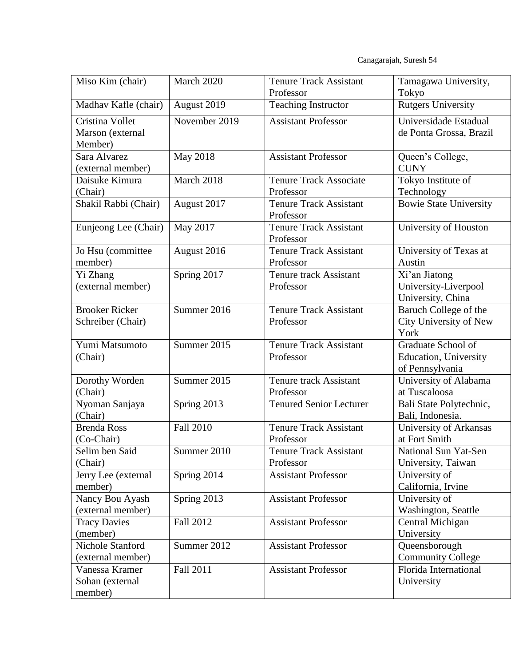Canagarajah, Suresh 54

| Miso Kim (chair)                               | March 2020               | <b>Tenure Track Assistant</b><br>Professor | Tamagawa University,<br>Tokyo                                          |
|------------------------------------------------|--------------------------|--------------------------------------------|------------------------------------------------------------------------|
| Madhav Kafle (chair)                           | August 2019              | <b>Teaching Instructor</b>                 | <b>Rutgers University</b>                                              |
| Cristina Vollet<br>Marson (external<br>Member) | November 2019            | <b>Assistant Professor</b>                 | Universidade Estadual<br>de Ponta Grossa, Brazil                       |
| Sara Alvarez<br>(external member)              | May 2018                 | <b>Assistant Professor</b>                 | Queen's College,<br><b>CUNY</b>                                        |
| Daisuke Kimura<br>(Chair)                      | March 2018               | <b>Tenure Track Associate</b><br>Professor | Tokyo Institute of<br>Technology                                       |
| Shakil Rabbi (Chair)                           | August 2017              | <b>Tenure Track Assistant</b><br>Professor | <b>Bowie State University</b>                                          |
| Eunjeong Lee (Chair)                           | May 2017                 | <b>Tenure Track Assistant</b><br>Professor | University of Houston                                                  |
| Jo Hsu (committee<br>member)                   | August 2016              | <b>Tenure Track Assistant</b><br>Professor | University of Texas at<br>Austin                                       |
| Yi Zhang<br>(external member)                  | Spring 2017              | <b>Tenure track Assistant</b><br>Professor | Xi'an Jiatong<br>University-Liverpool<br>University, China             |
| <b>Brooker Ricker</b><br>Schreiber (Chair)     | Summer 2016              | <b>Tenure Track Assistant</b><br>Professor | Baruch College of the<br>City University of New<br>York                |
| Yumi Matsumoto<br>(Chair)                      | Summer 2015              | <b>Tenure Track Assistant</b><br>Professor | Graduate School of<br><b>Education</b> , University<br>of Pennsylvania |
| Dorothy Worden<br>(Chair)                      | Summer 2015              | <b>Tenure track Assistant</b><br>Professor | University of Alabama<br>at Tuscaloosa                                 |
| Nyoman Sanjaya<br>(Chair)                      | Spring 2013              | Tenured Senior Lecturer                    | Bali State Polytechnic,<br>Bali, Indonesia.                            |
| <b>Brenda Ross</b><br>(Co-Chair)               | <b>Fall 2010</b>         | <b>Tenure Track Assistant</b><br>Professor | University of Arkansas<br>at Fort Smith                                |
| Selim ben Said<br>(Chair)                      | Summer 2010              | <b>Tenure Track Assistant</b><br>Professor | National Sun Yat-Sen<br>University, Taiwan                             |
| Jerry Lee (external<br>member)                 | Spring $201\overline{4}$ | <b>Assistant Professor</b>                 | University of<br>California, Irvine                                    |
| Nancy Bou Ayash<br>(external member)           | Spring 2013              | <b>Assistant Professor</b>                 | University of<br>Washington, Seattle                                   |
| <b>Tracy Davies</b><br>(member)                | <b>Fall 2012</b>         | <b>Assistant Professor</b>                 | Central Michigan<br>University                                         |
| <b>Nichole Stanford</b><br>(external member)   | Summer 2012              | <b>Assistant Professor</b>                 | Queensborough<br><b>Community College</b>                              |
| Vanessa Kramer<br>Sohan (external<br>member)   | Fall 2011                | <b>Assistant Professor</b>                 | Florida International<br>University                                    |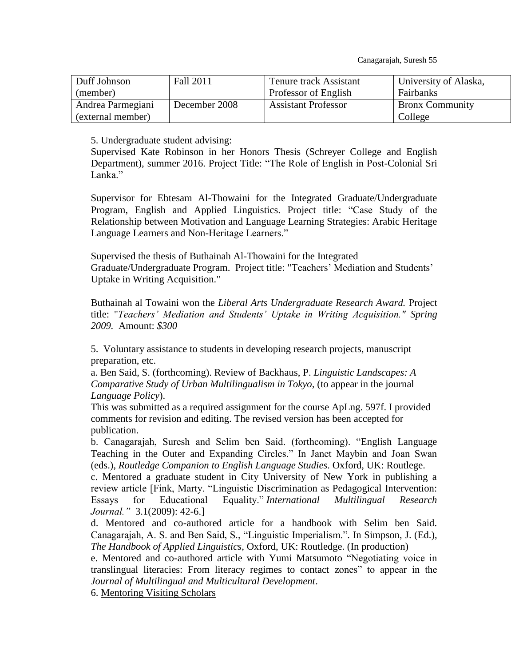Canagarajah, Suresh 55

| Duff Johnson      | Fall 2011     | Tenure track Assistant     | University of Alaska,  |
|-------------------|---------------|----------------------------|------------------------|
| (member)          |               | Professor of English       | Fairbanks              |
| Andrea Parmegiani | December 2008 | <b>Assistant Professor</b> | <b>Bronx Community</b> |
| (external member) |               |                            | College                |

5. Undergraduate student advising:

Supervised Kate Robinson in her Honors Thesis (Schreyer College and English Department), summer 2016. Project Title: "The Role of English in Post-Colonial Sri Lanka."

Supervisor for Ebtesam Al-Thowaini for the Integrated Graduate/Undergraduate Program, English and Applied Linguistics. Project title: "Case Study of the Relationship between Motivation and Language Learning Strategies: Arabic Heritage Language Learners and Non-Heritage Learners."

Supervised the thesis of Buthainah Al-Thowaini for the Integrated Graduate/Undergraduate Program. Project title: "Teachers' Mediation and Students' Uptake in Writing Acquisition."

Buthainah al Towaini won the *Liberal Arts Undergraduate Research Award.* Project title: "*Teachers' Mediation and Students' Uptake in Writing Acquisition." Spring 2009.* Amount: *\$300*

5. Voluntary assistance to students in developing research projects, manuscript preparation, etc.

a. Ben Said, S. (forthcoming). Review of Backhaus, P. *Linguistic Landscapes: A Comparative Study of Urban Multilingualism in Tokyo,* (to appear in the journal *Language Policy*).

This was submitted as a required assignment for the course ApLng. 597f. I provided comments for revision and editing. The revised version has been accepted for publication.

b. Canagarajah, Suresh and Selim ben Said. (forthcoming). "English Language Teaching in the Outer and Expanding Circles." In Janet Maybin and Joan Swan (eds.), *Routledge Companion to English Language Studies*. Oxford, UK: Routlege.

c. Mentored a graduate student in City University of New York in publishing a review article [Fink, Marty. "Linguistic Discrimination as Pedagogical Intervention: Essays for Educational Equality." *International Multilingual Research Journal."* 3.1(2009): 42-6.]

d. Mentored and co-authored article for a handbook with Selim ben Said. Canagarajah, A. S. and Ben Said, S., "Linguistic Imperialism."*.* In Simpson, J. (Ed.), *The Handbook of Applied Linguistics*, Oxford, UK: Routledge. (In production)

e. Mentored and co-authored article with Yumi Matsumoto "Negotiating voice in translingual literacies: From literacy regimes to contact zones" to appear in the *Journal of Multilingual and Multicultural Development*.

6. Mentoring Visiting Scholars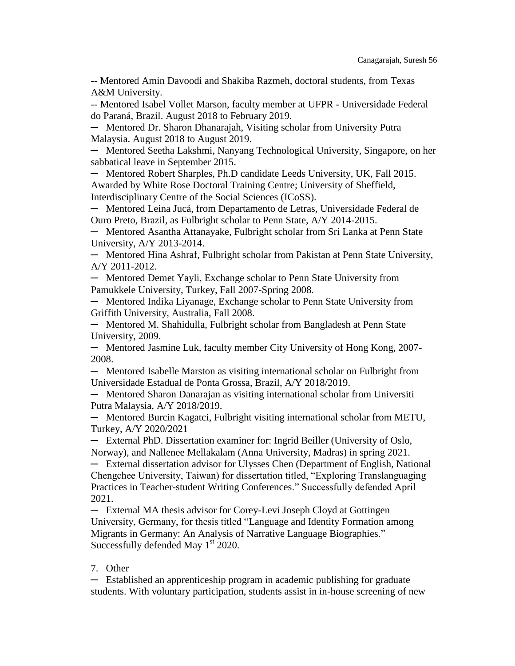-- Mentored Amin Davoodi and Shakiba Razmeh, doctoral students, from Texas A&M University.

-- Mentored Isabel Vollet Marson, faculty member at UFPR - Universidade Federal do Paraná, Brazil. August 2018 to February 2019.

─ Mentored Dr. Sharon Dhanarajah, Visiting scholar from University Putra Malaysia. August 2018 to August 2019.

─ Mentored Seetha Lakshmi, Nanyang Technological University, Singapore, on her sabbatical leave in September 2015.

─ Mentored Robert Sharples, Ph.D candidate Leeds University, UK, Fall 2015. Awarded by White Rose Doctoral Training Centre; University of Sheffield, Interdisciplinary Centre of the Social Sciences (ICoSS).

─ Mentored Leina Jucá, from Departamento de Letras, Universidade Federal de Ouro Preto, Brazil, as Fulbright scholar to Penn State, A/Y 2014-2015.

─ Mentored Asantha Attanayake, Fulbright scholar from Sri Lanka at Penn State University, A/Y 2013-2014.

─ Mentored Hina Ashraf, Fulbright scholar from Pakistan at Penn State University, A/Y 2011-2012.

─ Mentored Demet Yayli, Exchange scholar to Penn State University from Pamukkele University, Turkey, Fall 2007-Spring 2008.

─ Mentored Indika Liyanage, Exchange scholar to Penn State University from Griffith University, Australia, Fall 2008.

─ Mentored M. Shahidulla, Fulbright scholar from Bangladesh at Penn State University, 2009.

─ Mentored Jasmine Luk, faculty member City University of Hong Kong, 2007- 2008.

─ Mentored Isabelle Marston as visiting international scholar on Fulbright from Universidade Estadual de Ponta Grossa, Brazil, A/Y 2018/2019.

─ Mentored Sharon Danarajan as visiting international scholar from Universiti Putra Malaysia, A/Y 2018/2019.

─ Mentored Burcin Kagatci, Fulbright visiting international scholar from METU, Turkey, A/Y 2020/2021

─ External PhD. Dissertation examiner for: Ingrid Beiller (University of Oslo, Norway), and Nallenee Mellakalam (Anna University, Madras) in spring 2021.

─ External dissertation advisor for Ulysses Chen (Department of English, National Chengchee University, Taiwan) for dissertation titled, "Exploring Translanguaging Practices in Teacher-student Writing Conferences." Successfully defended April 2021.

─ External MA thesis advisor for Corey-Levi Joseph Cloyd at Gottingen University, Germany, for thesis titled "Language and Identity Formation among Migrants in Germany: An Analysis of Narrative Language Biographies." Successfully defended May  $1<sup>st</sup>$  2020.

## 7. Other

─ Established an apprenticeship program in academic publishing for graduate students. With voluntary participation, students assist in in-house screening of new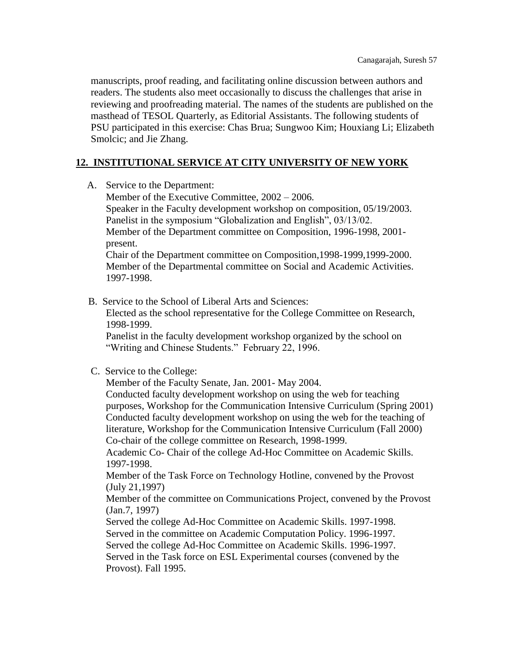manuscripts, proof reading, and facilitating online discussion between authors and readers. The students also meet occasionally to discuss the challenges that arise in reviewing and proofreading material. The names of the students are published on the masthead of TESOL Quarterly, as Editorial Assistants. The following students of PSU participated in this exercise: Chas Brua; Sungwoo Kim; Houxiang Li; Elizabeth Smolcic; and Jie Zhang.

# **12. INSTITUTIONAL SERVICE AT CITY UNIVERSITY OF NEW YORK**

A. Service to the Department:

Member of the Executive Committee, 2002 – 2006. Speaker in the Faculty development workshop on composition, 05/19/2003. Panelist in the symposium "Globalization and English", 03/13/02. Member of the Department committee on Composition, 1996-1998, 2001 present. Chair of the Department committee on Composition,1998-1999,1999-2000.

Member of the Departmental committee on Social and Academic Activities. 1997-1998.

B. Service to the School of Liberal Arts and Sciences:

Elected as the school representative for the College Committee on Research, 1998-1999.

Panelist in the faculty development workshop organized by the school on "Writing and Chinese Students." February 22, 1996.

## C. Service to the College:

Member of the Faculty Senate, Jan. 2001- May 2004. Conducted faculty development workshop on using the web for teaching purposes, Workshop for the Communication Intensive Curriculum (Spring 2001) Conducted faculty development workshop on using the web for the teaching of literature, Workshop for the Communication Intensive Curriculum (Fall 2000) Co-chair of the college committee on Research, 1998-1999.

Academic Co- Chair of the college Ad-Hoc Committee on Academic Skills. 1997-1998.

Member of the Task Force on Technology Hotline, convened by the Provost (July 21,1997)

Member of the committee on Communications Project, convened by the Provost (Jan.7, 1997)

Served the college Ad-Hoc Committee on Academic Skills. 1997-1998. Served in the committee on Academic Computation Policy. 1996-1997. Served the college Ad-Hoc Committee on Academic Skills. 1996-1997. Served in the Task force on ESL Experimental courses (convened by the Provost). Fall 1995.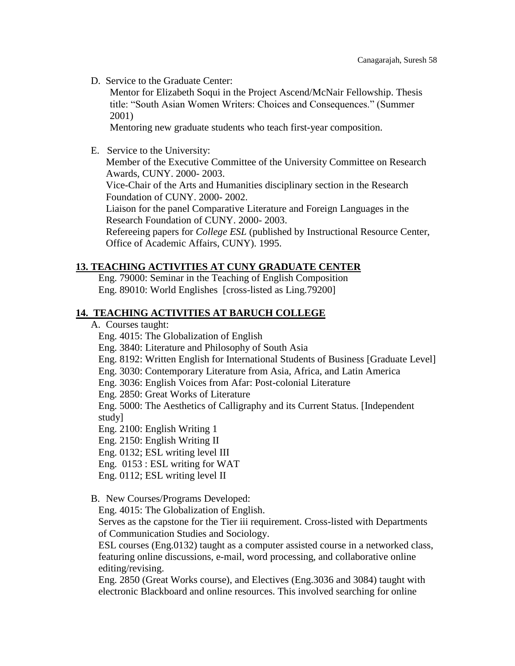D. Service to the Graduate Center:

Mentor for Elizabeth Soqui in the Project Ascend/McNair Fellowship. Thesis title: "South Asian Women Writers: Choices and Consequences." (Summer 2001)

Mentoring new graduate students who teach first-year composition.

E. Service to the University:

Member of the Executive Committee of the University Committee on Research Awards, CUNY. 2000- 2003.

Vice-Chair of the Arts and Humanities disciplinary section in the Research Foundation of CUNY. 2000- 2002.

Liaison for the panel Comparative Literature and Foreign Languages in the Research Foundation of CUNY. 2000- 2003.

Refereeing papers for *College ESL* (published by Instructional Resource Center, Office of Academic Affairs, CUNY). 1995.

#### **13. TEACHING ACTIVITIES AT CUNY GRADUATE CENTER**

Eng. 79000: Seminar in the Teaching of English Composition Eng. 89010: World Englishes [cross-listed as Ling.79200]

#### **14. TEACHING ACTIVITIES AT BARUCH COLLEGE**

- A. Courses taught:
	- Eng. 4015: The Globalization of English
	- Eng. 3840: Literature and Philosophy of South Asia
	- Eng. 8192: Written English for International Students of Business [Graduate Level]
	- Eng. 3030: Contemporary Literature from Asia, Africa, and Latin America
	- Eng. 3036: English Voices from Afar: Post-colonial Literature
	- Eng. 2850: Great Works of Literature

Eng. 5000: The Aesthetics of Calligraphy and its Current Status. [Independent study]

- Eng. 2100: English Writing 1
- Eng. 2150: English Writing II
- Eng. 0132; ESL writing level III
- Eng. 0153 : ESL writing for WAT
- Eng. 0112; ESL writing level II
- B. New Courses/Programs Developed:

Eng. 4015: The Globalization of English.

Serves as the capstone for the Tier iii requirement. Cross-listed with Departments of Communication Studies and Sociology.

ESL courses (Eng.0132) taught as a computer assisted course in a networked class, featuring online discussions, e-mail, word processing, and collaborative online editing/revising.

Eng. 2850 (Great Works course), and Electives (Eng.3036 and 3084) taught with electronic Blackboard and online resources. This involved searching for online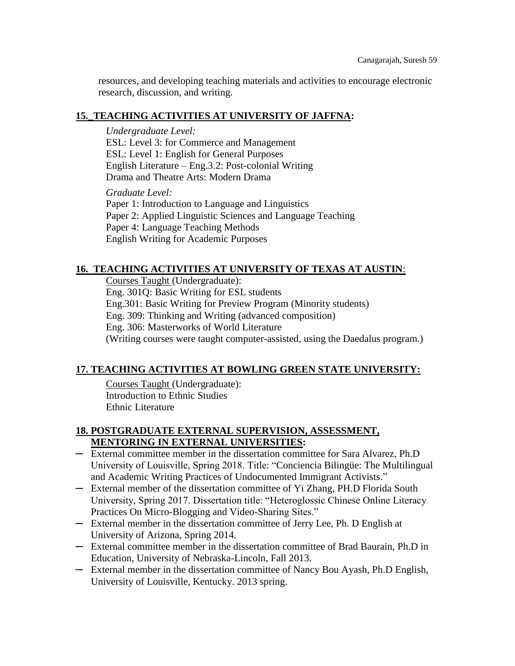resources, and developing teaching materials and activities to encourage electronic research, discussion, and writing.

# **15.\_TEACHING ACTIVITIES AT UNIVERSITY OF JAFFNA:**

## *Undergraduate Level:*

ESL: Level 3: for Commerce and Management ESL: Level 1: English for General Purposes English Literature – Eng.3.2: Post-colonial Writing Drama and Theatre Arts: Modern Drama

*Graduate Level:*

Paper 1: Introduction to Language and Linguistics Paper 2: Applied Linguistic Sciences and Language Teaching Paper 4: Language Teaching Methods English Writing for Academic Purposes

# **16. TEACHING ACTIVITIES AT UNIVERSITY OF TEXAS AT AUSTIN**:

Courses Taught (Undergraduate): Eng. 301Q: Basic Writing for ESL students Eng.301: Basic Writing for Preview Program (Minority students) Eng. 309: Thinking and Writing (advanced composition) Eng. 306: Masterworks of World Literature (Writing courses were taught computer-assisted, using the Daedalus program.)

# **17. TEACHING ACTIVITIES AT BOWLING GREEN STATE UNIVERSITY:**

Courses Taught (Undergraduate): Introduction to Ethnic Studies Ethnic Literature

# **18. POSTGRADUATE EXTERNAL SUPERVISION, ASSESSMENT, MENTORING IN EXTERNAL UNIVERSITIES:**

- ─ External committee member in the dissertation committee for Sara Alvarez, Ph.D University of Louisville, Spring 2018. Title: "Conciencia Bilingüe: The Multilingual and Academic Writing Practices of Undocumented Immigrant Activists."
- ─ External member of the dissertation committee of Yi Zhang, PH.D Florida South University, Spring 2017. Dissertation title: "Heteroglossic Chinese Online Literacy Practices On Micro-Blogging and Video-Sharing Sites."
- ─ External member in the dissertation committee of Jerry Lee, Ph. D English at University of Arizona, Spring 2014.
- ─ External committee member in the dissertation committee of Brad Baurain, Ph.D in Education, University of Nebraska-Lincoln, Fall 2013.
- ─ External member in the dissertation committee of Nancy Bou Ayash, Ph.D English, University of Louisville, Kentucky. 2013 spring.